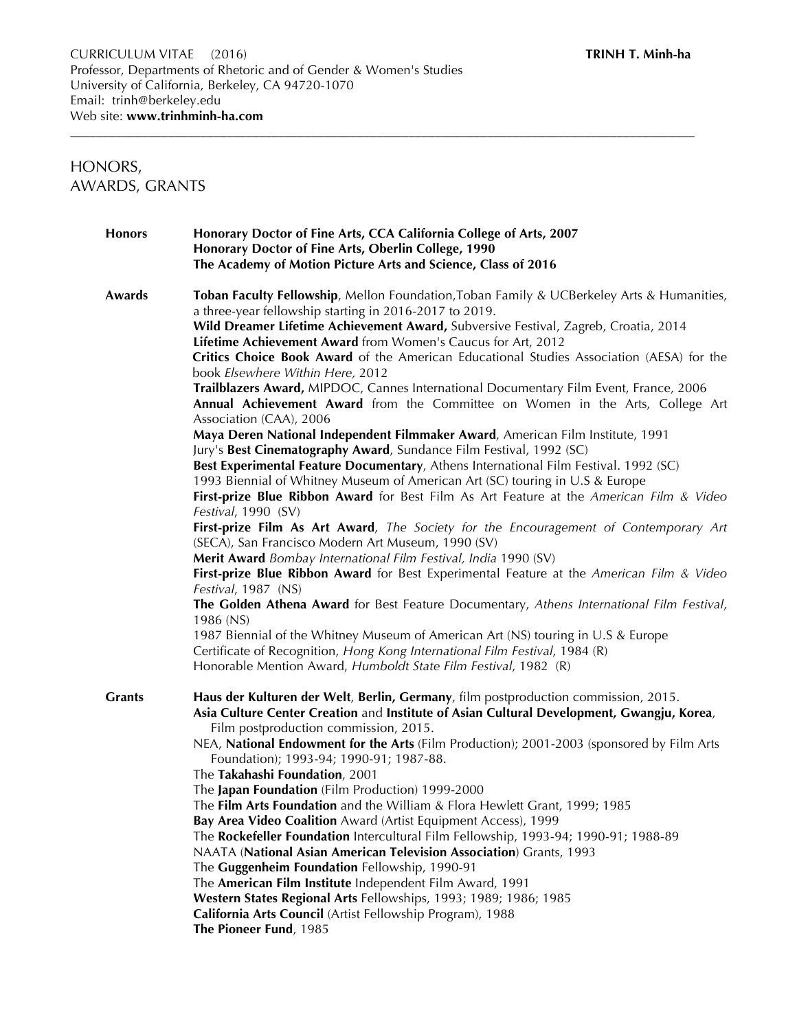# HONORS, AWARDS, GRANTS

| Honorary Doctor of Fine Arts, CCA California College of Arts, 2007<br><b>Honors</b><br>Honorary Doctor of Fine Arts, Oberlin College, 1990 |                                                                                                                                                                                                                                                                                                                                                                                                                                                                                                                                                                                                                                                                                                                                                                                                                                                                                                                                                                                                                                                                                                                                                                                                                                                                                                                                                                                                                                                                                                                                                  |  |  |
|--------------------------------------------------------------------------------------------------------------------------------------------|--------------------------------------------------------------------------------------------------------------------------------------------------------------------------------------------------------------------------------------------------------------------------------------------------------------------------------------------------------------------------------------------------------------------------------------------------------------------------------------------------------------------------------------------------------------------------------------------------------------------------------------------------------------------------------------------------------------------------------------------------------------------------------------------------------------------------------------------------------------------------------------------------------------------------------------------------------------------------------------------------------------------------------------------------------------------------------------------------------------------------------------------------------------------------------------------------------------------------------------------------------------------------------------------------------------------------------------------------------------------------------------------------------------------------------------------------------------------------------------------------------------------------------------------------|--|--|
|                                                                                                                                            | The Academy of Motion Picture Arts and Science, Class of 2016                                                                                                                                                                                                                                                                                                                                                                                                                                                                                                                                                                                                                                                                                                                                                                                                                                                                                                                                                                                                                                                                                                                                                                                                                                                                                                                                                                                                                                                                                    |  |  |
| Awards                                                                                                                                     | Toban Faculty Fellowship, Mellon Foundation, Toban Family & UCBerkeley Arts & Humanities,<br>a three-year fellowship starting in 2016-2017 to 2019.<br>Wild Dreamer Lifetime Achievement Award, Subversive Festival, Zagreb, Croatia, 2014<br>Lifetime Achievement Award from Women's Caucus for Art, 2012<br>Critics Choice Book Award of the American Educational Studies Association (AESA) for the<br>book Elsewhere Within Here, 2012<br>Trailblazers Award, MIPDOC, Cannes International Documentary Film Event, France, 2006<br>Annual Achievement Award from the Committee on Women in the Arts, College Art<br>Association (CAA), 2006<br>Maya Deren National Independent Filmmaker Award, American Film Institute, 1991<br>Jury's Best Cinematography Award, Sundance Film Festival, 1992 (SC)<br>Best Experimental Feature Documentary, Athens International Film Festival. 1992 (SC)<br>1993 Biennial of Whitney Museum of American Art (SC) touring in U.S & Europe<br>First-prize Blue Ribbon Award for Best Film As Art Feature at the American Film & Video<br>Festival, 1990 (SV)<br>First-prize Film As Art Award, The Society for the Encouragement of Contemporary Art<br>(SECA), San Francisco Modern Art Museum, 1990 (SV)<br>Merit Award Bombay International Film Festival, India 1990 (SV)<br>First-prize Blue Ribbon Award for Best Experimental Feature at the American Film & Video<br>Festival, 1987 (NS)<br>The Golden Athena Award for Best Feature Documentary, Athens International Film Festival,<br>1986 (NS) |  |  |
|                                                                                                                                            | 1987 Biennial of the Whitney Museum of American Art (NS) touring in U.S & Europe                                                                                                                                                                                                                                                                                                                                                                                                                                                                                                                                                                                                                                                                                                                                                                                                                                                                                                                                                                                                                                                                                                                                                                                                                                                                                                                                                                                                                                                                 |  |  |
|                                                                                                                                            | Certificate of Recognition, Hong Kong International Film Festival, 1984 (R)<br>Honorable Mention Award, Humboldt State Film Festival, 1982 (R)                                                                                                                                                                                                                                                                                                                                                                                                                                                                                                                                                                                                                                                                                                                                                                                                                                                                                                                                                                                                                                                                                                                                                                                                                                                                                                                                                                                                   |  |  |
| <b>Grants</b>                                                                                                                              | Haus der Kulturen der Welt, Berlin, Germany, film postproduction commission, 2015.<br>Asia Culture Center Creation and Institute of Asian Cultural Development, Gwangju, Korea,<br>Film postproduction commission, 2015.<br>NEA, National Endowment for the Arts (Film Production); 2001-2003 (sponsored by Film Arts<br>Foundation); 1993-94; 1990-91; 1987-88.<br>The Takahashi Foundation, 2001<br>The Japan Foundation (Film Production) 1999-2000<br>The Film Arts Foundation and the William & Flora Hewlett Grant, 1999; 1985<br>Bay Area Video Coalition Award (Artist Equipment Access), 1999<br>The Rockefeller Foundation Intercultural Film Fellowship, 1993-94; 1990-91; 1988-89<br>NAATA (National Asian American Television Association) Grants, 1993<br>The Guggenheim Foundation Fellowship, 1990-91<br>The American Film Institute Independent Film Award, 1991<br>Western States Regional Arts Fellowships, 1993; 1989; 1986; 1985<br>California Arts Council (Artist Fellowship Program), 1988<br>The Pioneer Fund, 1985                                                                                                                                                                                                                                                                                                                                                                                                                                                                                                     |  |  |

\_\_\_\_\_\_\_\_\_\_\_\_\_\_\_\_\_\_\_\_\_\_\_\_\_\_\_\_\_\_\_\_\_\_\_\_\_\_\_\_\_\_\_\_\_\_\_\_\_\_\_\_\_\_\_\_\_\_\_\_\_\_\_\_\_\_\_\_\_\_\_\_\_\_\_\_\_\_\_\_\_\_\_\_\_\_\_\_\_\_\_\_\_\_\_\_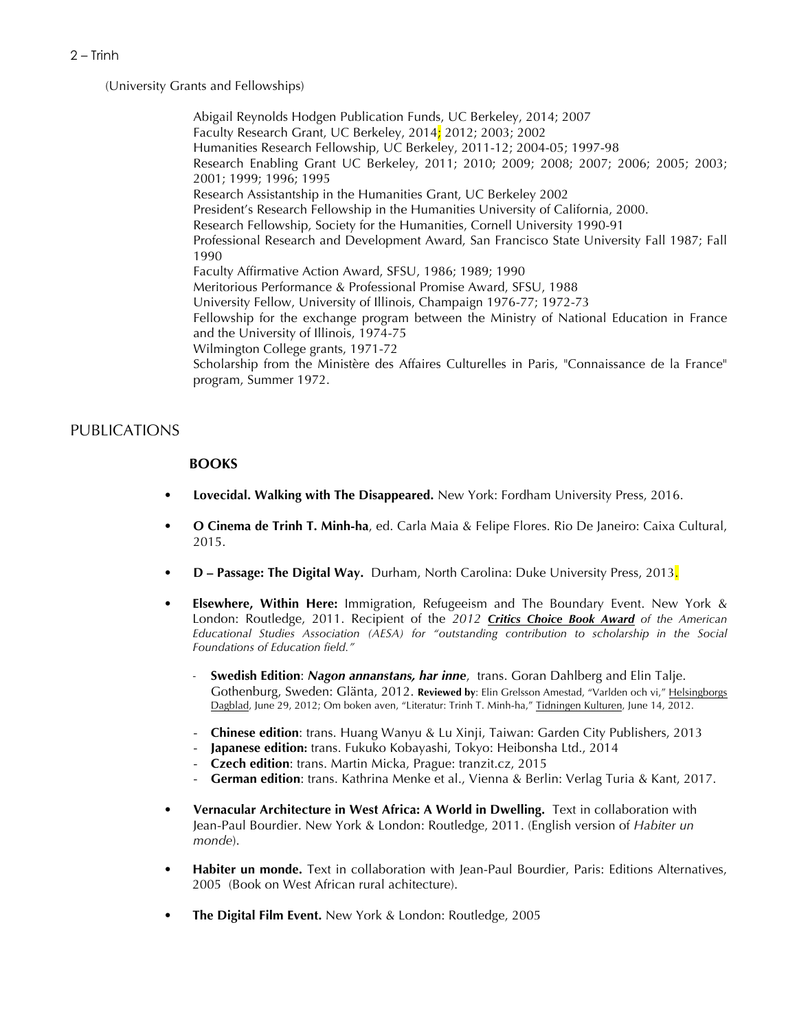(University Grants and Fellowships)

Abigail Reynolds Hodgen Publication Funds, UC Berkeley, 2014; 2007 Faculty Research Grant, UC Berkeley, 2014; 2012; 2003; 2002 Humanities Research Fellowship, UC Berkeley, 2011-12; 2004-05; 1997-98 Research Enabling Grant UC Berkeley, 2011; 2010; 2009; 2008; 2007; 2006; 2005; 2003; 2001; 1999; 1996; 1995 Research Assistantship in the Humanities Grant, UC Berkeley 2002 President's Research Fellowship in the Humanities University of California, 2000. Research Fellowship, Society for the Humanities, Cornell University 1990-91 Professional Research and Development Award, San Francisco State University Fall 1987; Fall 1990 Faculty Affirmative Action Award, SFSU, 1986; 1989; 1990 Meritorious Performance & Professional Promise Award, SFSU, 1988 University Fellow, University of Illinois, Champaign 1976-77; 1972-73 Fellowship for the exchange program between the Ministry of National Education in France and the University of Illinois, 1974-75 Wilmington College grants, 1971-72 Scholarship from the Ministère des Affaires Culturelles in Paris, "Connaissance de la France" program, Summer 1972.

# PUBLICATIONS

# **BOOKS**

- **• Lovecidal. Walking with The Disappeared.** New York: Fordham University Press, 2016.
- **• O Cinema de Trinh T. Minh-ha**, ed. Carla Maia & Felipe Flores. Rio De Janeiro: Caixa Cultural, 2015.
- **• D – Passage: The Digital Way.** Durham, North Carolina: Duke University Press, 2013.
- **• Elsewhere, Within Here:** Immigration, Refugeeism and The Boundary Event. New York & London: Routledge, 2011. Recipient of the *2012 Critics Choice Book Award of the American Educational Studies Association (AESA) for "outstanding contribution to scholarship in the Social Foundations of Education field."*
	- *-* **Swedish Edition**: *Nagon annanstans, har inne*, trans. Goran Dahlberg and Elin Talje. Gothenburg, Sweden: Glänta, 2012. **Reviewed by**: Elin Grelsson Amestad, "Varlden och vi," Helsingborgs Dagblad, June 29, 2012; Om boken aven, "Literatur: Trinh T. Minh-ha," Tidningen Kulturen, June 14, 2012.
	- **Chinese edition**: trans. Huang Wanyu & Lu Xinji, Taiwan: Garden City Publishers, 2013
	- **Japanese edition:** trans. Fukuko Kobayashi, Tokyo: Heibonsha Ltd., 2014
	- **Czech edition**: trans. Martin Micka, Prague: tranzit.cz, 2015
	- **German edition**: trans. Kathrina Menke et al., Vienna & Berlin: Verlag Turia & Kant, 2017.
- **• Vernacular Architecture in West Africa: A World in Dwelling.** Text in collaboration with Jean-Paul Bourdier. New York & London: Routledge, 2011. (English version of *Habiter un monde*).
- **• Habiter un monde.** Text in collaboration with Jean-Paul Bourdier, Paris: Editions Alternatives, 2005 (Book on West African rural achitecture).
- **• The Digital Film Event.** New York & London: Routledge, 2005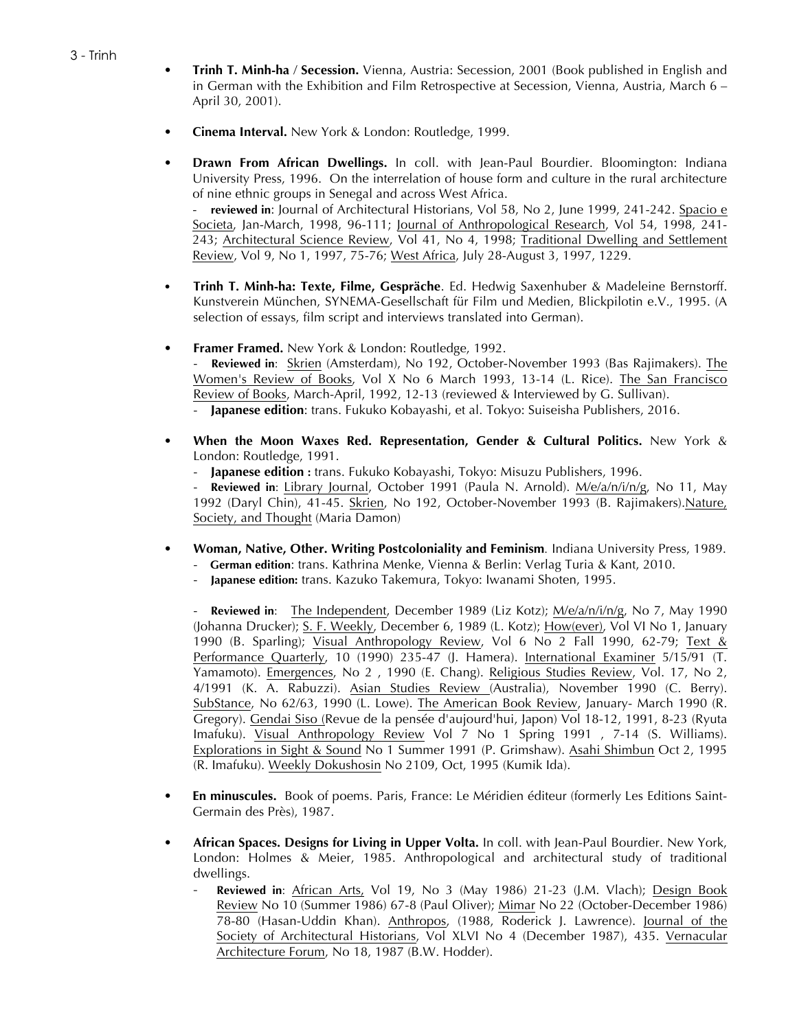- **• Trinh T. Minh-ha** / **Secession.** Vienna, Austria: Secession, 2001 (Book published in English and in German with the Exhibition and Film Retrospective at Secession, Vienna, Austria, March 6 – April 30, 2001).
- **• Cinema Interval.** New York & London: Routledge, 1999.
- **• Drawn From African Dwellings.** In coll. with Jean-Paul Bourdier. Bloomington: Indiana University Press, 1996. On the interrelation of house form and culture in the rural architecture of nine ethnic groups in Senegal and across West Africa. - **reviewed in**: Journal of Architectural Historians, Vol 58, No 2, June 1999, 241-242. Spacio e Societa, Jan-March, 1998, 96-111; Journal of Anthropological Research, Vol 54, 1998, 241-

243; Architectural Science Review, Vol 41, No 4, 1998; Traditional Dwelling and Settlement Review, Vol 9, No 1, 1997, 75-76; West Africa, July 28-August 3, 1997, 1229.

- **Trinh T. Minh-ha: Texte, Filme, Gespräche**. Ed. Hedwig Saxenhuber & Madeleine Bernstorff. Kunstverein München, SYNEMA-Gesellschaft für Film und Medien, Blickpilotin e.V., 1995. (A selection of essays, film script and interviews translated into German).
- **• Framer Framed.** New York & London: Routledge, 1992.

- **Reviewed in**: Skrien (Amsterdam), No 192, October-November 1993 (Bas Rajimakers). The Women's Review of Books, Vol X No 6 March 1993, 13-14 (L. Rice). The San Francisco Review of Books, March-April, 1992, 12-13 (reviewed & Interviewed by G. Sullivan).

- **Japanese edition**: trans. Fukuko Kobayashi, et al. Tokyo: Suiseisha Publishers, 2016.

- **• When the Moon Waxes Red. Representation, Gender & Cultural Politics.** New York & London: Routledge, 1991.
	- **Japanese edition :** trans. Fukuko Kobayashi, Tokyo: Misuzu Publishers, 1996.

- **Reviewed in**: Library Journal, October 1991 (Paula N. Arnold). M/e/a/n/i/n/g, No 11, May 1992 (Daryl Chin), 41-45. Skrien, No 192, October-November 1993 (B. Rajimakers).Nature, Society, and Thought (Maria Damon)

- **• Woman, Native, Other. Writing Postcoloniality and Feminism***.* Indiana University Press, 1989.
	- **German edition**: trans. Kathrina Menke, Vienna & Berlin: Verlag Turia & Kant, 2010.
	- **Japanese edition:** trans. Kazuko Takemura, Tokyo: Iwanami Shoten, 1995.

**Reviewed in:** The Independent, December 1989 (Liz Kotz); M/e/a/n/i/n/g, No 7, May 1990 (Johanna Drucker); S. F. Weekly, December 6, 1989 (L. Kotz); How(ever), Vol VI No 1, January 1990 (B. Sparling); Visual Anthropology Review, Vol 6 No 2 Fall 1990, 62-79; Text & Performance Quarterly, 10 (1990) 235-47 (J. Hamera). International Examiner 5/15/91 (T. Yamamoto). Emergences, No 2 , 1990 (E. Chang). Religious Studies Review, Vol. 17, No 2, 4/1991 (K. A. Rabuzzi). Asian Studies Review (Australia), November 1990 (C. Berry). SubStance, No 62/63, 1990 (L. Lowe). The American Book Review, January- March 1990 (R. Gregory). Gendai Siso (Revue de la pensée d'aujourd'hui, Japon) Vol 18-12, 1991, 8-23 (Ryuta Imafuku). Visual Anthropology Review Vol 7 No 1 Spring 1991 , 7-14 (S. Williams). Explorations in Sight & Sound No 1 Summer 1991 (P. Grimshaw). Asahi Shimbun Oct 2, 1995 (R. Imafuku). Weekly Dokushosin No 2109, Oct, 1995 (Kumik Ida).

- **En minuscules.** Book of poems. Paris, France: Le Méridien éditeur (formerly Les Editions Saint-Germain des Près), 1987.
- **African Spaces. Designs for Living in Upper Volta.** In coll. with Jean-Paul Bourdier. New York, London: Holmes & Meier, 1985. Anthropological and architectural study of traditional dwellings.
	- Reviewed in: African Arts, Vol 19, No 3 (May 1986) 21-23 (J.M. Vlach); Design Book Review No 10 (Summer 1986) 67-8 (Paul Oliver); Mimar No 22 (October-December 1986) 78-80 (Hasan-Uddin Khan). Anthropos, (1988, Roderick J. Lawrence). Journal of the Society of Architectural Historians, Vol XLVI No 4 (December 1987), 435. Vernacular Architecture Forum, No 18, 1987 (B.W. Hodder).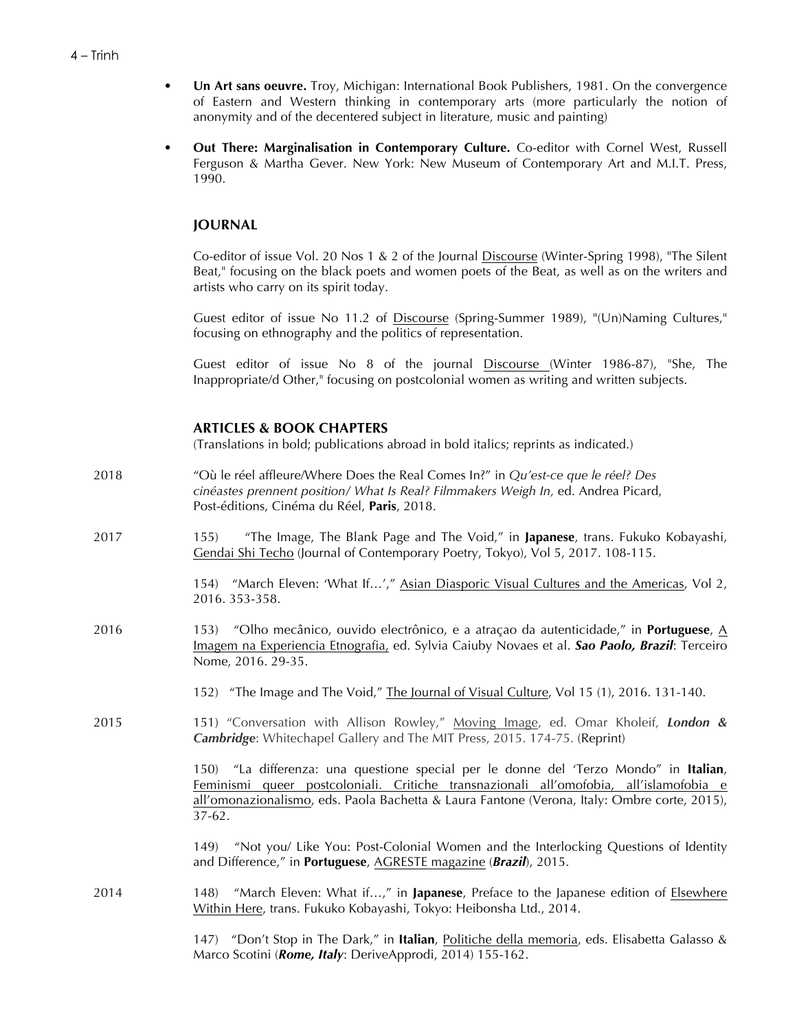- **• Un Art sans oeuvre.** Troy, Michigan: International Book Publishers, 1981. On the convergence of Eastern and Western thinking in contemporary arts (more particularly the notion of anonymity and of the decentered subject in literature, music and painting)
- **Out There: Marginalisation in Contemporary Culture.** Co-editor with Cornel West, Russell Ferguson & Martha Gever. New York: New Museum of Contemporary Art and M.I.T. Press, 1990.

# **JOURNAL**

Co-editor of issue Vol. 20 Nos 1 & 2 of the Journal Discourse (Winter-Spring 1998), "The Silent Beat," focusing on the black poets and women poets of the Beat, as well as on the writers and artists who carry on its spirit today.

Guest editor of issue No 11.2 of Discourse (Spring-Summer 1989), "(Un)Naming Cultures," focusing on ethnography and the politics of representation.

Guest editor of issue No 8 of the journal Discourse (Winter 1986-87), "She, The Inappropriate/d Other," focusing on postcolonial women as writing and written subjects.

# **ARTICLES & BOOK CHAPTERS**

(Translations in bold; publications abroad in bold italics; reprints as indicated.)

- 2018 "Où le réel affleure/Where Does the Real Comes In?" in *Qu'est-ce que le réel? Des cinéastes prennent position/ What Is Real? Filmmakers Weigh In,* ed. Andrea Picard, Post-éditions, Cinéma du Réel, **Paris**, 2018.
- 2017 155) "The Image, The Blank Page and The Void," in **Japanese**, trans. Fukuko Kobayashi, Gendai Shi Techo (Journal of Contemporary Poetry, Tokyo), Vol 5, 2017. 108-115.

154) "March Eleven: 'What If...'," Asian Diasporic Visual Cultures and the Americas, Vol 2, 2016. 353-358.

- 2016 153) "Olho mecânico, ouvido electrônico, e a atraçao da autenticidade," in **Portuguese**, A Imagem na Experiencia Etnografia, ed. Sylvia Caiuby Novaes et al. *Sao Paolo, Brazil*: Terceiro Nome, 2016. 29-35.
	- 152) "The Image and The Void," The Journal of Visual Culture, Vol 15 (1), 2016. 131-140.
- 2015 151) "Conversation with Allison Rowley," Moving Image, ed. Omar Kholeif, *London & Cambridge*: Whitechapel Gallery and The MIT Press, 2015. 174-75. (Reprint)

150) "La differenza: una questione special per le donne del 'Terzo Mondo" in **Italian**, Feminismi queer postcoloniali. Critiche transnazionali all'omofobia, all'islamofobia e all'omonazionalismo, eds. Paola Bachetta & Laura Fantone (Verona, Italy: Ombre corte, 2015), 37-62.

149) "Not you/ Like You: Post-Colonial Women and the Interlocking Questions of Identity and Difference," in **Portuguese**, AGRESTE magazine (*Brazil*), 2015.

2014 148) "March Eleven: What if…," in **Japanese**, Preface to the Japanese edition of Elsewhere Within Here, trans. Fukuko Kobayashi, Tokyo: Heibonsha Ltd., 2014.

> 147) "Don't Stop in The Dark," in **Italian**, Politiche della memoria, eds. Elisabetta Galasso & Marco Scotini (*Rome, Italy*: DeriveApprodi, 2014) 155-162.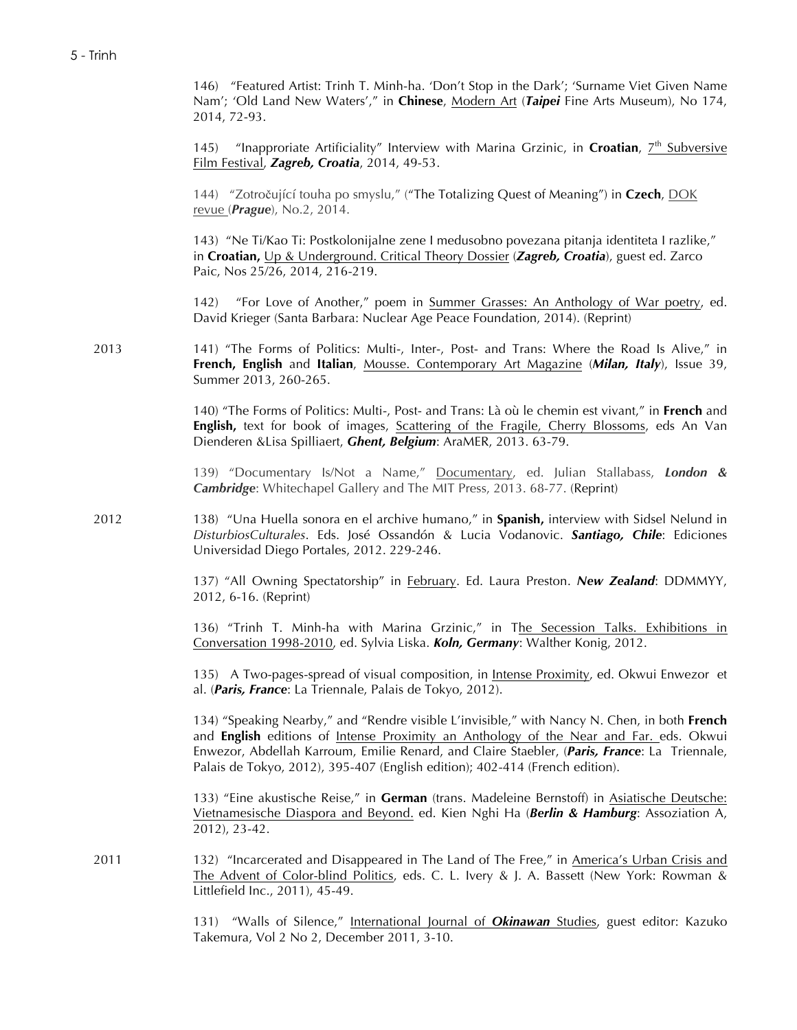146) "Featured Artist: Trinh T. Minh-ha. 'Don't Stop in the Dark'; 'Surname Viet Given Name Nam'; 'Old Land New Waters'," in **Chinese**, Modern Art (*Taipei* Fine Arts Museum), No 174, 2014, 72-93.

145) "Inapproriate Artificiality" Interview with Marina Grzinic, in **Croatian**, 7<sup>th</sup> Subversive Film Festival, *Zagreb, Croatia*, 2014, 49-53.

144) "Zotročující touha po smyslu," ("The Totalizing Quest of Meaning") in **Czech**, DOK revue (*Prague*), No.2, 2014.

143) "Ne Ti/Kao Ti: Postkolonijalne zene I medusobno povezana pitanja identiteta I razlike," in **Croatian,** Up & Underground. Critical Theory Dossier (*Zagreb, Croatia*), guest ed. Zarco Paic, Nos 25/26, 2014, 216-219.

142) "For Love of Another," poem in Summer Grasses: An Anthology of War poetry, ed. David Krieger (Santa Barbara: Nuclear Age Peace Foundation, 2014). (Reprint)

2013 141) "The Forms of Politics: Multi-, Inter-, Post- and Trans: Where the Road Is Alive," in **French, English** and **Italian**, Mousse. Contemporary Art Magazine (*Milan, Italy*), Issue 39, Summer 2013, 260-265.

> 140) "The Forms of Politics: Multi-, Post- and Trans: Là où le chemin est vivant," in **French** and **English,** text for book of images, **Scattering of the Fragile, Cherry Blossoms**, eds An Van Dienderen &Lisa Spilliaert, *Ghent, Belgium*: AraMER, 2013. 63-79.

> 139) "Documentary Is/Not a Name," Documentary, ed. Julian Stallabass, *London & Cambridge*: Whitechapel Gallery and The MIT Press, 2013. 68-77. (Reprint)

2012 138) "Una Huella sonora en el archive humano," in **Spanish,** interview with Sidsel Nelund in *DisturbiosCulturales*. Eds. José Ossandón & Lucia Vodanovic. *Santiago, Chile*: Ediciones Universidad Diego Portales, 2012. 229-246.

> 137) "All Owning Spectatorship" in February. Ed. Laura Preston. *New Zealand*: DDMMYY, 2012, 6-16. (Reprint)

> 136) "Trinh T. Minh-ha with Marina Grzinic," in The Secession Talks. Exhibitions in Conversation 1998-2010, ed. Sylvia Liska. *Koln, Germany*: Walther Konig, 2012.

> 135) A Two-pages-spread of visual composition, in Intense Proximity, ed. Okwui Enwezor et al. (*Paris, France*: La Triennale, Palais de Tokyo, 2012).

> 134) "Speaking Nearby," and "Rendre visible L'invisible," with Nancy N. Chen, in both **French** and **English** editions of Intense Proximity an Anthology of the Near and Far. eds. Okwui Enwezor, Abdellah Karroum, Emilie Renard, and Claire Staebler, (*Paris, France*: La Triennale, Palais de Tokyo, 2012), 395-407 (English edition); 402-414 (French edition).

> 133) "Eine akustische Reise," in **German** (trans. Madeleine Bernstoff) in Asiatische Deutsche: Vietnamesische Diaspora and Beyond. ed. Kien Nghi Ha (*Berlin & Hamburg*: Assoziation A, 2012), 23-42.

2011 132) "Incarcerated and Disappeared in The Land of The Free," in America's Urban Crisis and The Advent of Color-blind Politics, eds. C. L. Ivery & J. A. Bassett (New York: Rowman & Littlefield Inc., 2011), 45-49.

> 131) "Walls of Silence," International Journal of *Okinawan* Studies, guest editor: Kazuko Takemura, Vol 2 No 2, December 2011, 3-10.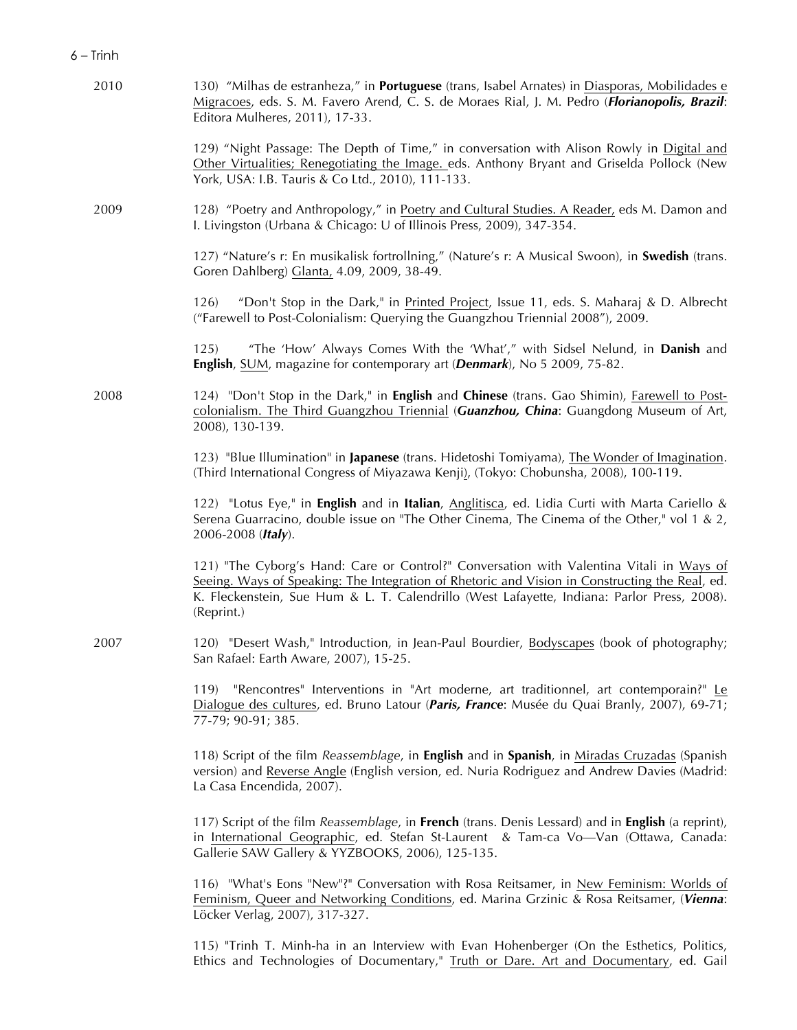| 2010 | 130) "Milhas de estranheza," in Portuguese (trans, Isabel Arnates) in Diasporas, Mobilidades e<br>Migracoes, eds. S. M. Favero Arend, C. S. de Moraes Rial, J. M. Pedro ( <i>Florianopolis, Brazil</i> :<br>Editora Mulheres, 2011), 17-33.                                                             |
|------|---------------------------------------------------------------------------------------------------------------------------------------------------------------------------------------------------------------------------------------------------------------------------------------------------------|
|      | 129) "Night Passage: The Depth of Time," in conversation with Alison Rowly in Digital and<br>Other Virtualities; Renegotiating the Image. eds. Anthony Bryant and Griselda Pollock (New<br>York, USA: I.B. Tauris & Co Ltd., 2010), 111-133.                                                            |
| 2009 | 128) "Poetry and Anthropology," in Poetry and Cultural Studies. A Reader, eds M. Damon and<br>I. Livingston (Urbana & Chicago: U of Illinois Press, 2009), 347-354.                                                                                                                                     |
|      | 127) "Nature's r: En musikalisk fortrollning," (Nature's r: A Musical Swoon), in Swedish (trans.<br>Goren Dahlberg) Glanta, 4.09, 2009, 38-49.                                                                                                                                                          |
|      | "Don't Stop in the Dark," in Printed Project, Issue 11, eds. S. Maharaj & D. Albrecht<br>126)<br>("Farewell to Post-Colonialism: Querying the Guangzhou Triennial 2008"), 2009.                                                                                                                         |
|      | "The 'How' Always Comes With the 'What'," with Sidsel Nelund, in Danish and<br>125)<br>English, SUM, magazine for contemporary art (Denmark), No 5 2009, 75-82.                                                                                                                                         |
| 2008 | 124) "Don't Stop in the Dark," in <b>English</b> and <b>Chinese</b> (trans. Gao Shimin), <i>Earewell to Post-</i><br>colonialism. The Third Guangzhou Triennial (Guanzhou, China: Guangdong Museum of Art,<br>2008), 130-139.                                                                           |
|      | 123) "Blue Illumination" in Japanese (trans. Hidetoshi Tomiyama), The Wonder of Imagination.<br>(Third International Congress of Miyazawa Kenji), (Tokyo: Chobunsha, 2008), 100-119.                                                                                                                    |
|      | 122) "Lotus Eye," in English and in Italian, Anglitisca, ed. Lidia Curti with Marta Cariello &<br>Serena Guarracino, double issue on "The Other Cinema, The Cinema of the Other," vol 1 & 2,<br>2006-2008 (Italy).                                                                                      |
|      | 121) "The Cyborg's Hand: Care or Control?" Conversation with Valentina Vitali in Ways of<br>Seeing. Ways of Speaking: The Integration of Rhetoric and Vision in Constructing the Real, ed.<br>K. Fleckenstein, Sue Hum & L. T. Calendrillo (West Lafayette, Indiana: Parlor Press, 2008).<br>(Reprint.) |
| 2007 | 120) "Desert Wash," Introduction, in Jean-Paul Bourdier, Bodyscapes (book of photography;<br>San Rafael: Earth Aware, 2007), 15-25.                                                                                                                                                                     |
|      | "Rencontres" Interventions in "Art moderne, art traditionnel, art contemporain?" Le<br>119)<br>Dialogue des cultures, ed. Bruno Latour (Paris, France: Musée du Quai Branly, 2007), 69-71;<br>77-79; 90-91; 385.                                                                                        |
|      | 118) Script of the film Reassemblage, in <b>English</b> and in <b>Spanish</b> , in Miradas Cruzadas (Spanish<br>version) and Reverse Angle (English version, ed. Nuria Rodriguez and Andrew Davies (Madrid:<br>La Casa Encendida, 2007).                                                                |
|      | 117) Script of the film Reassemblage, in French (trans. Denis Lessard) and in English (a reprint),<br>in International Geographic, ed. Stefan St-Laurent & Tam-ca Vo-Van (Ottawa, Canada:<br>Gallerie SAW Gallery & YYZBOOKS, 2006), 125-135.                                                           |
|      | 116) "What's Eons "New"?" Conversation with Rosa Reitsamer, in New Feminism: Worlds of<br>Feminism, Queer and Networking Conditions, ed. Marina Grzinic & Rosa Reitsamer, (Vienna:<br>Löcker Verlag, 2007), 317-327.                                                                                    |
|      | 115) "Trinh T. Minh-ha in an Interview with Evan Hohenberger (On the Esthetics, Politics,                                                                                                                                                                                                               |

Ethics and Technologies of Documentary," Truth or Dare. Art and Documentary, ed. Gail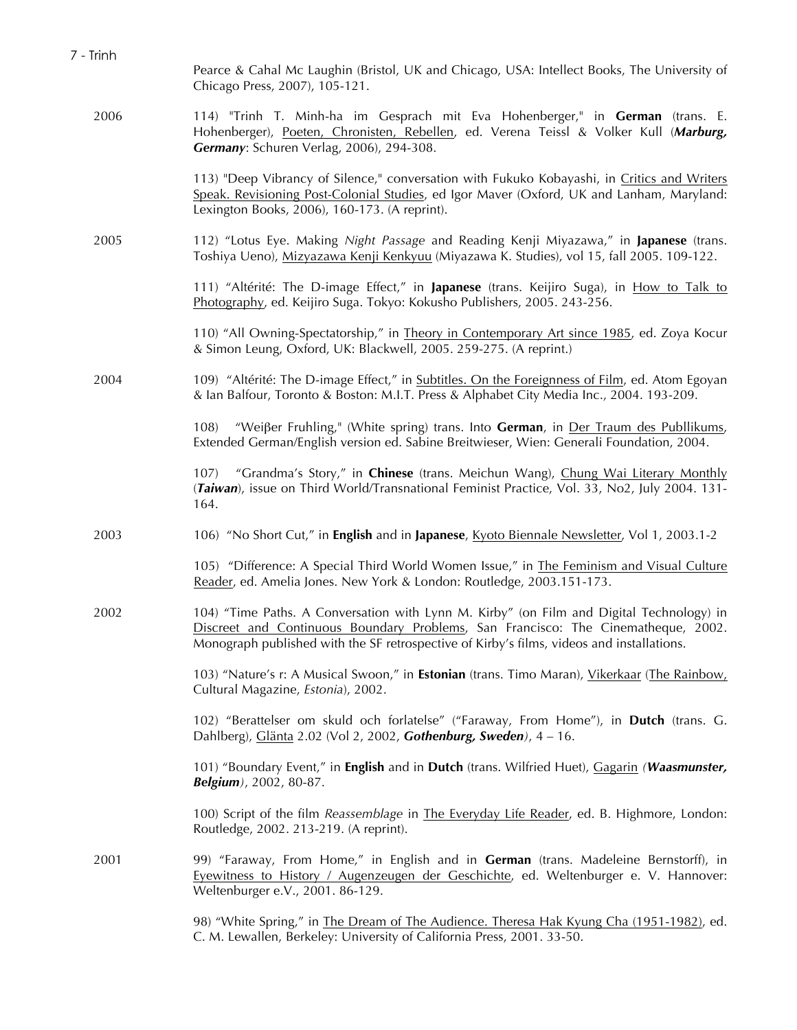| 7 - Trinh | Pearce & Cahal Mc Laughin (Bristol, UK and Chicago, USA: Intellect Books, The University of                                                                                                                                                                                |
|-----------|----------------------------------------------------------------------------------------------------------------------------------------------------------------------------------------------------------------------------------------------------------------------------|
|           | Chicago Press, 2007), 105-121.                                                                                                                                                                                                                                             |
| 2006      | 114) "Trinh T. Minh-ha im Gesprach mit Eva Hohenberger," in German (trans. E.<br>Hohenberger), Poeten, Chronisten, Rebellen, ed. Verena Teissl & Volker Kull (Marburg,<br>Germany: Schuren Verlag, 2006), 294-308.                                                         |
|           | 113) "Deep Vibrancy of Silence," conversation with Fukuko Kobayashi, in Critics and Writers<br>Speak. Revisioning Post-Colonial Studies, ed Igor Maver (Oxford, UK and Lanham, Maryland:<br>Lexington Books, 2006), 160-173. (A reprint).                                  |
| 2005      | 112) "Lotus Eye. Making Night Passage and Reading Kenji Miyazawa," in Japanese (trans.<br>Toshiya Ueno), Mizyazawa Kenji Kenkyuu (Miyazawa K. Studies), vol 15, fall 2005. 109-122.                                                                                        |
|           | 111) "Altérité: The D-image Effect," in Japanese (trans. Keijiro Suga), in How to Talk to<br>Photography, ed. Keijiro Suga. Tokyo: Kokusho Publishers, 2005. 243-256.                                                                                                      |
|           | 110) "All Owning-Spectatorship," in Theory in Contemporary Art since 1985, ed. Zoya Kocur<br>& Simon Leung, Oxford, UK: Blackwell, 2005. 259-275. (A reprint.)                                                                                                             |
| 2004      | 109) "Altérité: The D-image Effect," in Subtitles. On the Foreignness of Film, ed. Atom Egoyan<br>& Ian Balfour, Toronto & Boston: M.I.T. Press & Alphabet City Media Inc., 2004. 193-209.                                                                                 |
|           | "Weißer Fruhling," (White spring) trans. Into German, in Der Traum des Publlikums,<br>108)<br>Extended German/English version ed. Sabine Breitwieser, Wien: Generali Foundation, 2004.                                                                                     |
|           | "Grandma's Story," in Chinese (trans. Meichun Wang), Chung Wai Literary Monthly<br>107)<br>(Taiwan), issue on Third World/Transnational Feminist Practice, Vol. 33, No2, July 2004. 131-<br>164.                                                                           |
| 2003      | 106) "No Short Cut," in English and in Japanese, Kyoto Biennale Newsletter, Vol 1, 2003.1-2                                                                                                                                                                                |
|           | 105) "Difference: A Special Third World Women Issue," in The Feminism and Visual Culture<br>Reader, ed. Amelia Jones. New York & London: Routledge, 2003.151-173.                                                                                                          |
| 2002      | 104) "Time Paths. A Conversation with Lynn M. Kirby" (on Film and Digital Technology) in<br>Discreet and Continuous Boundary Problems, San Francisco: The Cinematheque, 2002.<br>Monograph published with the SF retrospective of Kirby's films, videos and installations. |
|           | 103) "Nature's r: A Musical Swoon," in <b>Estonian</b> (trans. Timo Maran), Vikerkaar (The Rainbow,<br>Cultural Magazine, Estonia), 2002.                                                                                                                                  |
|           | 102) "Berattelser om skuld och forlatelse" ("Faraway, From Home"), in Dutch (trans. G.<br>Dahlberg), Glänta 2.02 (Vol 2, 2002, Gothenburg, Sweden), $4 - 16$ .                                                                                                             |
|           | 101) "Boundary Event," in English and in Dutch (trans. Wilfried Huet), Gagarin (Waasmunster,<br>Belgium), 2002, 80-87.                                                                                                                                                     |
|           | 100) Script of the film Reassemblage in The Everyday Life Reader, ed. B. Highmore, London:<br>Routledge, 2002. 213-219. (A reprint).                                                                                                                                       |
| 2001      | 99) "Faraway, From Home," in English and in German (trans. Madeleine Bernstorff), in<br>Eyewitness to History / Augenzeugen der Geschichte, ed. Weltenburger e. V. Hannover:<br>Weltenburger e.V., 2001. 86-129.                                                           |
|           | 98) "White Spring," in The Dream of The Audience. Theresa Hak Kyung Cha (1951-1982), ed.<br>C. M. Lewallen, Berkeley: University of California Press, 2001. 33-50.                                                                                                         |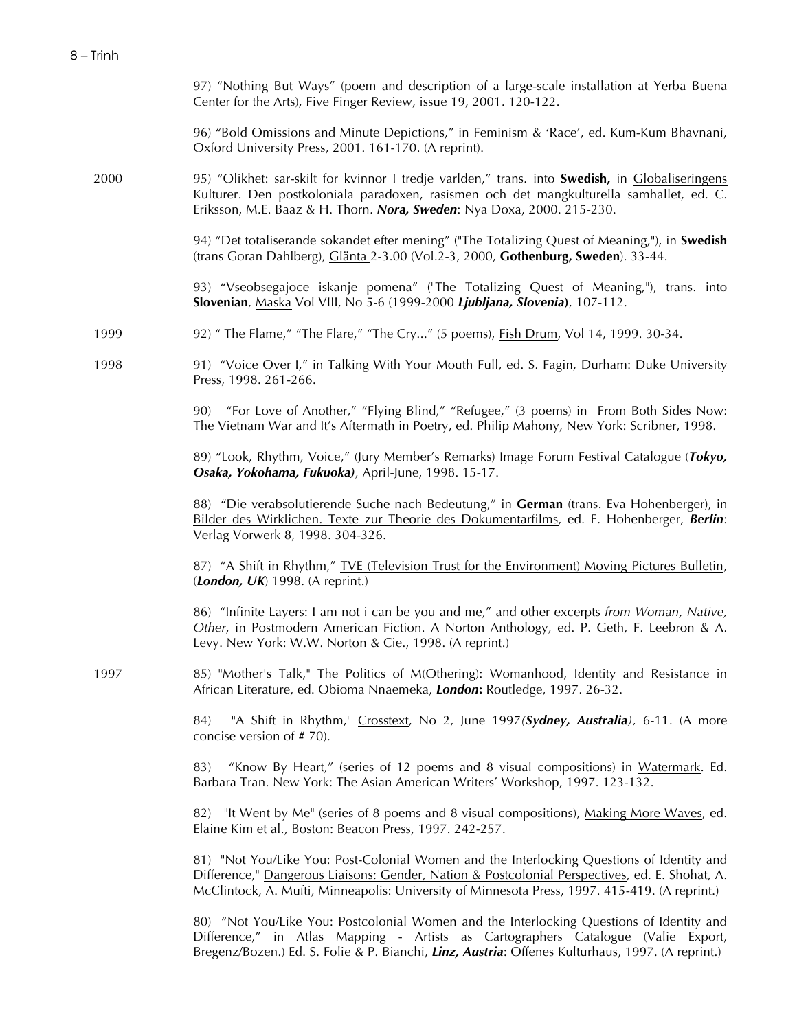|      | 97) "Nothing But Ways" (poem and description of a large-scale installation at Yerba Buena<br>Center for the Arts), Five Finger Review, issue 19, 2001. 120-122.                                                                                                                              |
|------|----------------------------------------------------------------------------------------------------------------------------------------------------------------------------------------------------------------------------------------------------------------------------------------------|
|      | 96) "Bold Omissions and Minute Depictions," in Feminism & 'Race', ed. Kum-Kum Bhavnani,<br>Oxford University Press, 2001. 161-170. (A reprint).                                                                                                                                              |
| 2000 | 95) "Olikhet: sar-skilt for kvinnor I tredje varlden," trans. into <b>Swedish</b> , in <i>Globaliseringens</i><br>Kulturer. Den postkoloniala paradoxen, rasismen och det mangkulturella samhallet, ed. C.<br>Eriksson, M.E. Baaz & H. Thorn. Nora, Sweden: Nya Doxa, 2000. 215-230.         |
|      | 94) "Det totaliserande sokandet efter mening" ("The Totalizing Quest of Meaning,"), in Swedish<br>(trans Goran Dahlberg), Glänta 2-3.00 (Vol.2-3, 2000, Gothenburg, Sweden). 33-44.                                                                                                          |
|      | 93) "Vseobsegajoce iskanje pomena" ("The Totalizing Quest of Meaning,"), trans. into<br>Slovenian, Maska Vol VIII, No 5-6 (1999-2000 Ljubljana, Slovenia), 107-112.                                                                                                                          |
| 1999 | 92) " The Flame," "The Flare," "The Cry" (5 poems), <i>Fish Drum, Vol 14</i> , 1999. 30-34.                                                                                                                                                                                                  |
| 1998 | 91) "Voice Over I," in Talking With Your Mouth Full, ed. S. Fagin, Durham: Duke University<br>Press, 1998. 261-266.                                                                                                                                                                          |
|      | 90) "For Love of Another," "Flying Blind," "Refugee," (3 poems) in From Both Sides Now:<br>The Vietnam War and It's Aftermath in Poetry, ed. Philip Mahony, New York: Scribner, 1998.                                                                                                        |
|      | 89) "Look, Rhythm, Voice," (Jury Member's Remarks) Image Forum Festival Catalogue (Tokyo,<br>Osaka, Yokohama, Fukuoka), April-June, 1998. 15-17.                                                                                                                                             |
|      | 88) "Die verabsolutierende Suche nach Bedeutung," in German (trans. Eva Hohenberger), in<br>Bilder des Wirklichen. Texte zur Theorie des Dokumentarfilms, ed. E. Hohenberger, Berlin:<br>Verlag Vorwerk 8, 1998. 304-326.                                                                    |
|      | 87) "A Shift in Rhythm," <u>TVE (Television Trust for the Environment) Moving Pictures Bulletin</u> ,<br>(London, UK) 1998. (A reprint.)                                                                                                                                                     |
|      | 86) "Infinite Layers: I am not i can be you and me," and other excerpts from Woman, Native,<br>Other, in Postmodern American Fiction. A Norton Anthology, ed. P. Geth, F. Leebron & A.<br>Levy. New York: W.W. Norton & Cie., 1998. (A reprint.)                                             |
| 1997 | 85) "Mother's Talk," The Politics of M(Othering): Womanhood, Identity and Resistance in<br>African Literature, ed. Obioma Nnaemeka, London: Routledge, 1997. 26-32.                                                                                                                          |
|      | "A Shift in Rhythm," Crosstext, No 2, June 1997(Sydney, Australia), 6-11. (A more<br>84)<br>concise version of #70).                                                                                                                                                                         |
|      | "Know By Heart," (series of 12 poems and 8 visual compositions) in Watermark. Ed.<br>83)<br>Barbara Tran. New York: The Asian American Writers' Workshop, 1997. 123-132.                                                                                                                     |
|      | 82) "It Went by Me" (series of 8 poems and 8 visual compositions), Making More Waves, ed.<br>Elaine Kim et al., Boston: Beacon Press, 1997. 242-257.                                                                                                                                         |
|      | 81) "Not You/Like You: Post-Colonial Women and the Interlocking Questions of Identity and<br>Difference," Dangerous Liaisons: Gender, Nation & Postcolonial Perspectives, ed. E. Shohat, A.<br>McClintock, A. Mufti, Minneapolis: University of Minnesota Press, 1997. 415-419. (A reprint.) |
|      | 80) "Not You/Like You: Postcolonial Women and the Interlocking Questions of Identity and<br>Difference," in Atlas Mapping - Artists as Cartographers Catalogue (Valie Export,<br>Bregenz/Bozen.) Ed. S. Folie & P. Bianchi, Linz, Austria: Offenes Kulturhaus, 1997. (A reprint.)            |
|      |                                                                                                                                                                                                                                                                                              |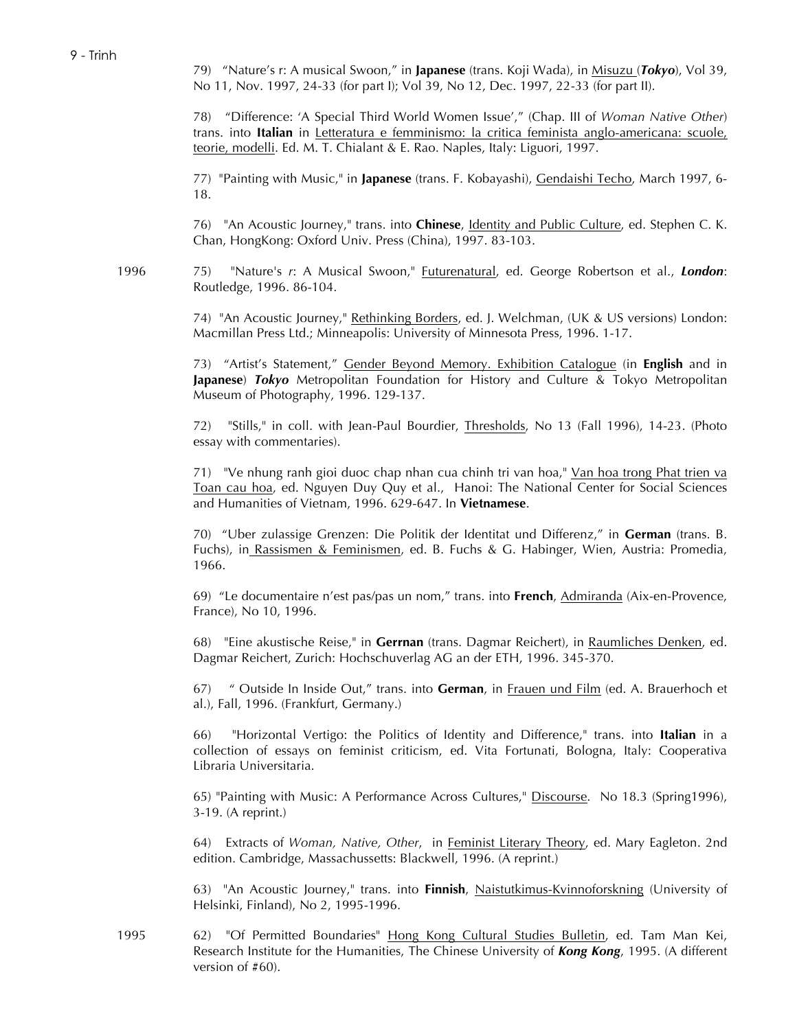79) "Nature's r: A musical Swoon," in **Japanese** (trans. Koji Wada), in Misuzu (*Tokyo*), Vol 39, No 11, Nov. 1997, 24-33 (for part I); Vol 39, No 12, Dec. 1997, 22-33 (for part II).

78) "Difference: 'A Special Third World Women Issue'," (Chap. III of *Woman Native Other*) trans. into **Italian** in Letteratura e femminismo: la critica feminista anglo-americana: scuole, teorie, modelli. Ed. M. T. Chialant & E. Rao. Naples, Italy: Liguori, 1997.

77) "Painting with Music," in **Japanese** (trans. F. Kobayashi), Gendaishi Techo, March 1997, 6- 18.

76) "An Acoustic Journey," trans. into **Chinese**, Identity and Public Culture, ed. Stephen C. K. Chan, HongKong: Oxford Univ. Press (China), 1997. 83-103.

1996 75) "Nature's *r*: A Musical Swoon," Futurenatural, ed. George Robertson et al., *London*: Routledge, 1996. 86-104.

> 74) "An Acoustic Journey," Rethinking Borders, ed. J. Welchman, (UK & US versions) London: Macmillan Press Ltd.; Minneapolis: University of Minnesota Press, 1996. 1-17.

> 73) "Artist's Statement," Gender Beyond Memory. Exhibition Catalogue (in **English** and in **Japanese**) *Tokyo* Metropolitan Foundation for History and Culture & Tokyo Metropolitan Museum of Photography, 1996. 129-137.

> 72) "Stills," in coll. with Jean-Paul Bourdier, Thresholds, No 13 (Fall 1996), 14-23. (Photo essay with commentaries).

> 71) "Ve nhung ranh gioi duoc chap nhan cua chinh tri van hoa," Van hoa trong Phat trien va Toan cau hoa, ed. Nguyen Duy Quy et al., Hanoi: The National Center for Social Sciences and Humanities of Vietnam, 1996. 629-647. In **Vietnamese**.

> 70) "Uber zulassige Grenzen: Die Politik der Identitat und Differenz," in **German** (trans. B. Fuchs), in Rassismen & Feminismen, ed. B. Fuchs & G. Habinger, Wien, Austria: Promedia, 1966.

> 69) "Le documentaire n'est pas/pas un nom," trans. into **French**, Admiranda (Aix-en-Provence, France), No 10, 1996.

> 68) "Eine akustische Reise," in **Gerrnan** (trans. Dagmar Reichert), in Raumliches Denken, ed. Dagmar Reichert, Zurich: Hochschuverlag AG an der ETH, 1996. 345-370.

> 67) " Outside In Inside Out," trans. into **German**, in Frauen und Film (ed. A. Brauerhoch et al.), Fall, 1996. (Frankfurt, Germany.)

> 66) "Horizontal Vertigo: the Politics of Identity and Difference," trans. into **Italian** in a collection of essays on feminist criticism, ed. Vita Fortunati, Bologna, Italy: Cooperativa Libraria Universitaria.

> 65) "Painting with Music: A Performance Across Cultures," Discourse. No 18.3 (Spring1996), 3-19. (A reprint.)

> 64) Extracts of *Woman, Native, Other*, in Feminist Literary Theory, ed. Mary Eagleton. 2nd edition. Cambridge, Massachussetts: Blackwell, 1996. (A reprint.)

> 63) "An Acoustic Journey," trans. into **Finnish**, Naistutkimus-Kvinnoforskning (University of Helsinki, Finland), No 2, 1995-1996.

1995 62) "Of Permitted Boundaries" Hong Kong Cultural Studies Bulletin, ed. Tam Man Kei, Research Institute for the Humanities, The Chinese University of *Kong Kong*, 1995. (A different version of #60).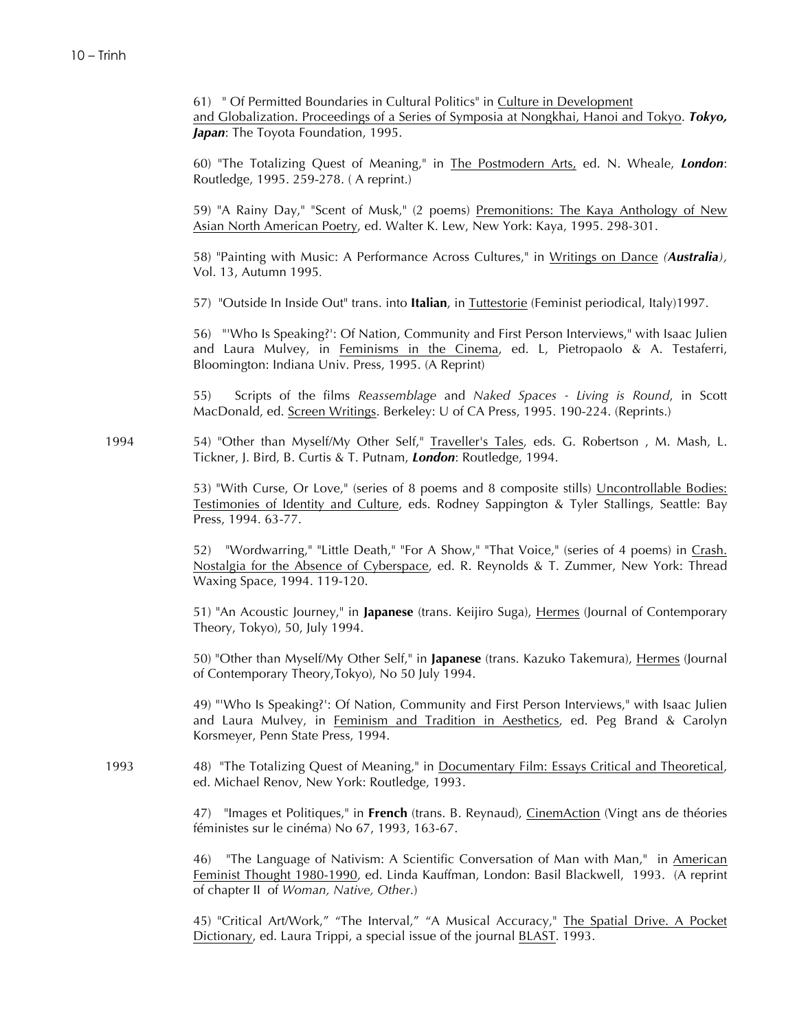61) " Of Permitted Boundaries in Cultural Politics" in Culture in Development and Globalization. Proceedings of a Series of Symposia at Nongkhai, Hanoi and Tokyo. *Tokyo,*  **Japan**: The Toyota Foundation, 1995.

60) "The Totalizing Quest of Meaning," in The Postmodern Arts, ed. N. Wheale, *London*: Routledge, 1995. 259-278. ( A reprint.)

59) "A Rainy Day," "Scent of Musk," (2 poems) Premonitions: The Kaya Anthology of New Asian North American Poetry, ed. Walter K. Lew, New York: Kaya, 1995. 298-301.

58) "Painting with Music: A Performance Across Cultures," in Writings on Dance *(Australia),* Vol. 13, Autumn 1995*.*

57) "Outside In Inside Out" trans. into **Italian**, in Tuttestorie (Feminist periodical, Italy)1997.

56) "'Who Is Speaking?': Of Nation, Community and First Person Interviews," with Isaac Julien and Laura Mulvey, in Feminisms in the Cinema, ed. L, Pietropaolo & A. Testaferri, Bloomington: Indiana Univ. Press, 1995. (A Reprint)

55) Scripts of the films *Reassemblage* and *Naked Spaces - Living is Round*, in Scott MacDonald, ed. Screen Writings. Berkeley: U of CA Press, 1995. 190-224. (Reprints.)

1994 54) "Other than Myself/My Other Self," Traveller's Tales, eds. G. Robertson, M. Mash, L. Tickner, J. Bird, B. Curtis & T. Putnam, *London*: Routledge, 1994.

> 53) "With Curse, Or Love," (series of 8 poems and 8 composite stills) Uncontrollable Bodies: Testimonies of Identity and Culture, eds. Rodney Sappington & Tyler Stallings, Seattle: Bay Press, 1994. 63-77.

> 52) "Wordwarring," "Little Death," "For A Show," "That Voice," (series of 4 poems) in Crash. Nostalgia for the Absence of Cyberspace, ed. R. Reynolds & T. Zummer, New York: Thread Waxing Space, 1994. 119-120.

> 51) "An Acoustic Journey," in **Japanese** (trans. Keijiro Suga), Hermes (Journal of Contemporary Theory, Tokyo), 50, July 1994.

> 50) "Other than Myself/My Other Self," in **Japanese** (trans. Kazuko Takemura), Hermes (Journal of Contemporary Theory,Tokyo), No 50 July 1994.

> 49) "'Who Is Speaking?': Of Nation, Community and First Person Interviews," with Isaac Julien and Laura Mulvey, in Feminism and Tradition in Aesthetics, ed. Peg Brand & Carolyn Korsmeyer, Penn State Press, 1994.

1993 48) "The Totalizing Quest of Meaning," in Documentary Film: Essays Critical and Theoretical, ed. Michael Renov, New York: Routledge, 1993.

> 47) "Images et Politiques," in **French** (trans. B. Reynaud), CinemAction (Vingt ans de théories féministes sur le cinéma) No 67, 1993, 163-67.

> 46) "The Language of Nativism: A Scientific Conversation of Man with Man," in American Feminist Thought 1980-1990, ed. Linda Kauffman, London: Basil Blackwell, 1993. (A reprint of chapter II of *Woman, Native, Other*.)

> 45) "Critical Art/Work," "The Interval," "A Musical Accuracy," The Spatial Drive. A Pocket Dictionary, ed. Laura Trippi, a special issue of the journal BLAST. 1993.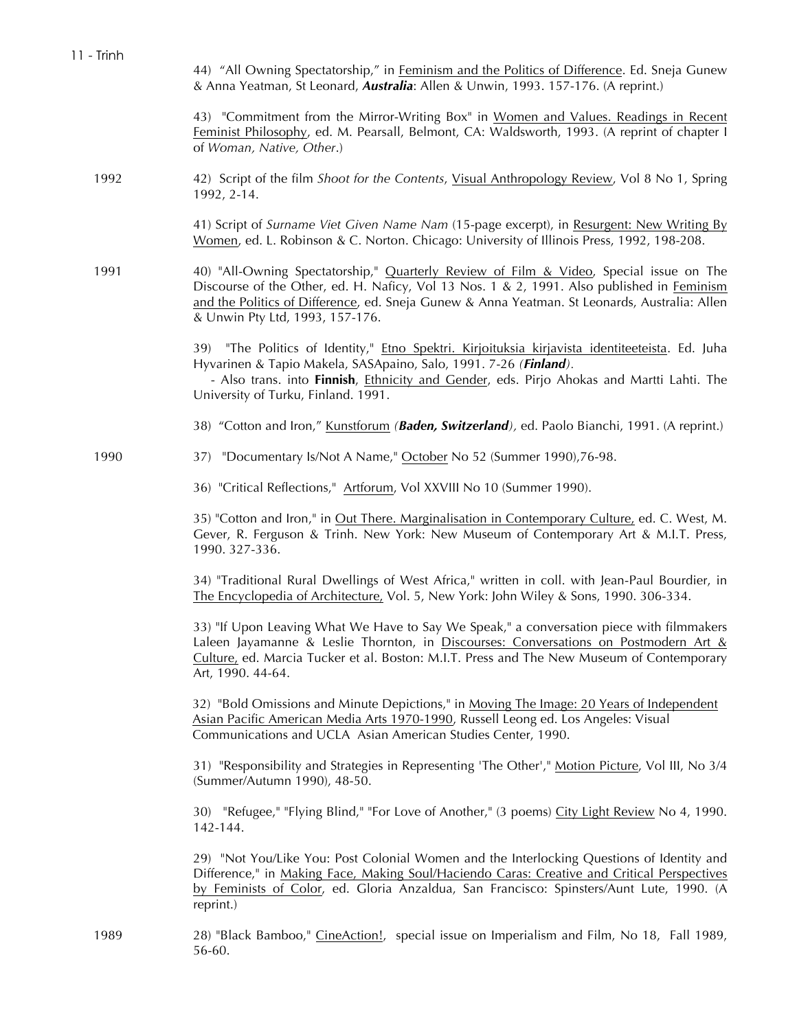| 11 - Trinh | 44) "All Owning Spectatorship," in Feminism and the Politics of Difference. Ed. Sneja Gunew<br>& Anna Yeatman, St Leonard, Australia: Allen & Unwin, 1993. 157-176. (A reprint.)                                                                                                                                         |
|------------|--------------------------------------------------------------------------------------------------------------------------------------------------------------------------------------------------------------------------------------------------------------------------------------------------------------------------|
|            | 43) "Commitment from the Mirror-Writing Box" in Women and Values. Readings in Recent<br>Feminist Philosophy, ed. M. Pearsall, Belmont, CA: Waldsworth, 1993. (A reprint of chapter I<br>of Woman, Native, Other.)                                                                                                        |
| 1992       | 42) Script of the film Shoot for the Contents, Visual Anthropology Review, Vol 8 No 1, Spring<br>1992, 2-14.                                                                                                                                                                                                             |
|            | 41) Script of Surname Viet Given Name Nam (15-page excerpt), in Resurgent: New Writing By<br>Women, ed. L. Robinson & C. Norton. Chicago: University of Illinois Press, 1992, 198-208.                                                                                                                                   |
| 1991       | 40) "All-Owning Spectatorship," Quarterly Review of Film & Video, Special issue on The<br>Discourse of the Other, ed. H. Naficy, Vol 13 Nos. 1 & 2, 1991. Also published in Feminism<br>and the Politics of Difference, ed. Sneja Gunew & Anna Yeatman. St Leonards, Australia: Allen<br>& Unwin Pty Ltd, 1993, 157-176. |
|            | 39) "The Politics of Identity," <i>Etno Spektri. Kirjoituksia kirjavista identiteeteista</i> . Ed. Juha<br>Hyvarinen & Tapio Makela, SASApaino, Salo, 1991. 7-26 (Finland).<br>- Also trans. into Finnish, Ethnicity and Gender, eds. Pirjo Ahokas and Martti Lahti. The<br>University of Turku, Finland. 1991.          |
|            | 38) "Cotton and Iron," Kunstforum (Baden, Switzerland), ed. Paolo Bianchi, 1991. (A reprint.)                                                                                                                                                                                                                            |
| 1990       | "Documentary Is/Not A Name," October No 52 (Summer 1990), 76-98.<br>37)                                                                                                                                                                                                                                                  |
|            | 36) "Critical Reflections," Artforum, Vol XXVIII No 10 (Summer 1990).                                                                                                                                                                                                                                                    |
|            | 35) "Cotton and Iron," in Out There. Marginalisation in Contemporary Culture, ed. C. West, M.<br>Gever, R. Ferguson & Trinh. New York: New Museum of Contemporary Art & M.I.T. Press,<br>1990. 327-336.                                                                                                                  |
|            | 34) "Traditional Rural Dwellings of West Africa," written in coll. with Jean-Paul Bourdier, in<br>The Encyclopedia of Architecture, Vol. 5, New York: John Wiley & Sons, 1990. 306-334.                                                                                                                                  |
|            | 33) "If Upon Leaving What We Have to Say We Speak," a conversation piece with filmmakers<br>Laleen Jayamanne & Leslie Thornton, in Discourses: Conversations on Postmodern Art &<br>Culture, ed. Marcia Tucker et al. Boston: M.I.T. Press and The New Museum of Contemporary<br>Art, 1990. 44-64.                       |
|            | 32) "Bold Omissions and Minute Depictions," in Moving The Image: 20 Years of Independent<br>Asian Pacific American Media Arts 1970-1990, Russell Leong ed. Los Angeles: Visual<br>Communications and UCLA Asian American Studies Center, 1990.                                                                           |
|            | 31) "Responsibility and Strategies in Representing 'The Other'," Motion Picture, Vol III, No 3/4<br>(Summer/Autumn 1990), 48-50.                                                                                                                                                                                         |
|            | 30) "Refugee," "Flying Blind," "For Love of Another," (3 poems) City Light Review No 4, 1990.<br>142-144.                                                                                                                                                                                                                |
|            | 29) "Not You/Like You: Post Colonial Women and the Interlocking Questions of Identity and<br>Difference," in Making Face, Making Soul/Haciendo Caras: Creative and Critical Perspectives<br>by Feminists of Color, ed. Gloria Anzaldua, San Francisco: Spinsters/Aunt Lute, 1990. (A<br>reprint.)                        |
| 1989       | 28) "Black Bamboo," CineAction!, special issue on Imperialism and Film, No 18, Fall 1989,<br>56-60.                                                                                                                                                                                                                      |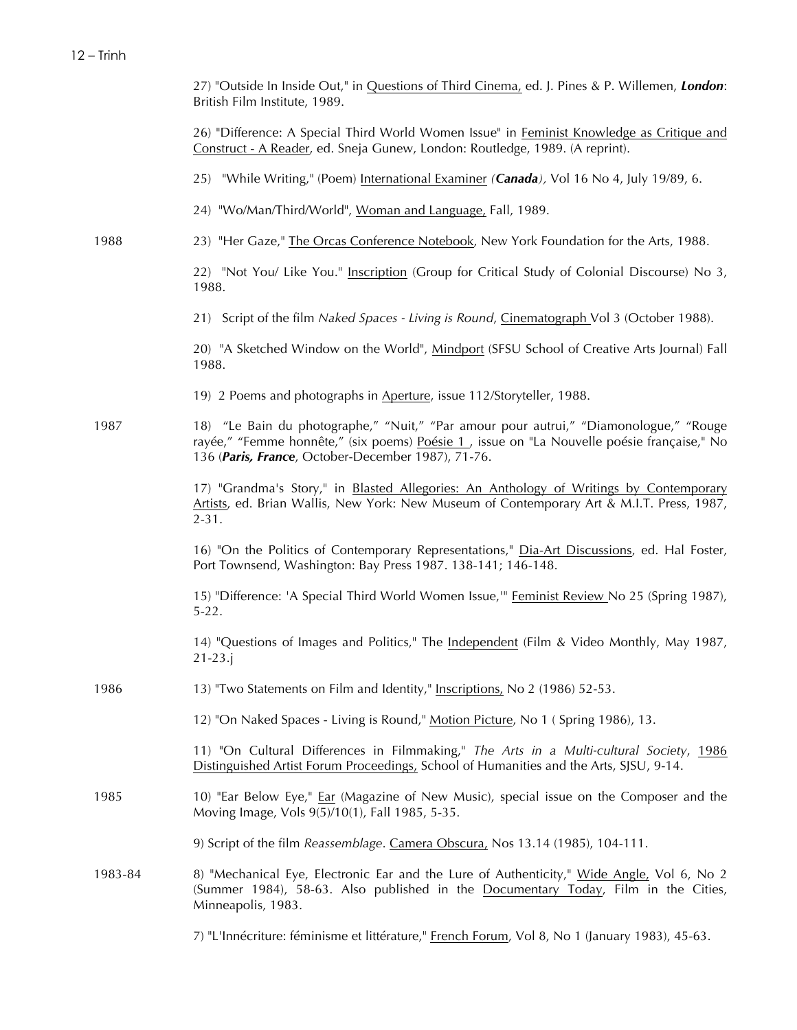|         | 27) "Outside In Inside Out," in Questions of Third Cinema, ed. J. Pines & P. Willemen, London:<br>British Film Institute, 1989.                                                                                                           |
|---------|-------------------------------------------------------------------------------------------------------------------------------------------------------------------------------------------------------------------------------------------|
|         | 26) "Difference: A Special Third World Women Issue" in Feminist Knowledge as Critique and<br>Construct - A Reader, ed. Sneja Gunew, London: Routledge, 1989. (A reprint).                                                                 |
|         | 25) "While Writing," (Poem) International Examiner (Canada), Vol 16 No 4, July 19/89, 6.                                                                                                                                                  |
|         | 24) "Wo/Man/Third/World", Woman and Language, Fall, 1989.                                                                                                                                                                                 |
| 1988    | 23) "Her Gaze," The Orcas Conference Notebook, New York Foundation for the Arts, 1988.                                                                                                                                                    |
|         | 22) "Not You/ Like You." Inscription (Group for Critical Study of Colonial Discourse) No 3,<br>1988.                                                                                                                                      |
|         | 21) Script of the film Naked Spaces - Living is Round, Cinematograph Vol 3 (October 1988).                                                                                                                                                |
|         | 20) "A Sketched Window on the World", Mindport (SFSU School of Creative Arts Journal) Fall<br>1988.                                                                                                                                       |
|         | 19) 2 Poems and photographs in Aperture, issue 112/Storyteller, 1988.                                                                                                                                                                     |
| 1987    | 18) "Le Bain du photographe," "Nuit," "Par amour pour autrui," "Diamonologue," "Rouge<br>rayée," "Femme honnête," (six poems) Poésie 1, issue on "La Nouvelle poésie française," No<br>136 (Paris, France, October-December 1987), 71-76. |
|         | 17) "Grandma's Story," in Blasted Allegories: An Anthology of Writings by Contemporary<br>Artists, ed. Brian Wallis, New York: New Museum of Contemporary Art & M.I.T. Press, 1987,<br>$2 - 31.$                                          |
|         | 16) "On the Politics of Contemporary Representations," Dia-Art Discussions, ed. Hal Foster,<br>Port Townsend, Washington: Bay Press 1987. 138-141; 146-148.                                                                               |
|         | 15) "Difference: 'A Special Third World Women Issue,'" Feminist Review No 25 (Spring 1987),<br>$5 - 22.$                                                                                                                                  |
|         | 14) "Questions of Images and Politics," The Independent (Film & Video Monthly, May 1987,<br>$21 - 23$ .                                                                                                                                   |
| 1986    | 13) "Two Statements on Film and Identity," Inscriptions, No 2 (1986) 52-53.                                                                                                                                                               |
|         | 12) "On Naked Spaces - Living is Round," Motion Picture, No 1 ( Spring 1986), 13.                                                                                                                                                         |
|         | 11) "On Cultural Differences in Filmmaking," The Arts in a Multi-cultural Society, 1986<br>Distinguished Artist Forum Proceedings, School of Humanities and the Arts, SJSU, 9-14.                                                         |
| 1985    | 10) "Ear Below Eye," Ear (Magazine of New Music), special issue on the Composer and the<br>Moving Image, Vols 9(5)/10(1), Fall 1985, 5-35.                                                                                                |
|         | 9) Script of the film Reassemblage. Camera Obscura, Nos 13.14 (1985), 104-111.                                                                                                                                                            |
| 1983-84 | 8) "Mechanical Eye, Electronic Ear and the Lure of Authenticity," Wide Angle, Vol 6, No 2<br>(Summer 1984), 58-63. Also published in the Documentary Today, Film in the Cities,<br>Minneapolis, 1983.                                     |
|         | 7) "L'Innécriture: féminisme et littérature," French Forum, Vol 8, No 1 (January 1983), 45-63.                                                                                                                                            |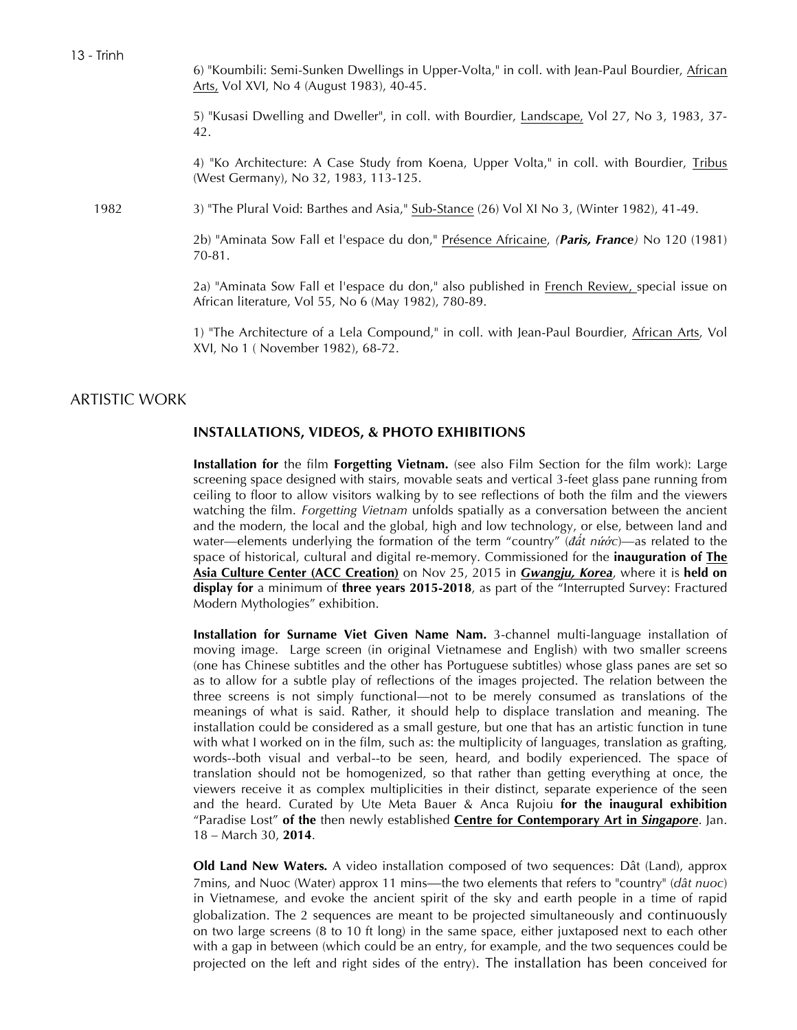6) "Koumbili: Semi-Sunken Dwellings in Upper-Volta," in coll. with Jean-Paul Bourdier, African Arts, Vol XVI, No 4 (August 1983), 40-45.

5) "Kusasi Dwelling and Dweller", in coll. with Bourdier, Landscape, Vol 27, No 3, 1983, 37-42.

4) "Ko Architecture: A Case Study from Koena, Upper Volta," in coll. with Bourdier, Tribus (West Germany), No 32, 1983, 113-125.

1982 3) "The Plural Void: Barthes and Asia," Sub-Stance (26) Vol XI No 3, (Winter 1982), 41-49.

2b) "Aminata Sow Fall et l'espace du don," Présence Africaine, *(Paris, France)* No 120 (1981) 70-81.

2a) "Aminata Sow Fall et l'espace du don," also published in French Review, special issue on African literature, Vol 55, No 6 (May 1982), 780-89.

1) "The Architecture of a Lela Compound," in coll. with Jean-Paul Bourdier, African Arts, Vol XVI, No 1 ( November 1982), 68-72.

# ARTISTIC WORK

### **INSTALLATIONS, VIDEOS, & PHOTO EXHIBITIONS**

**Installation for** the film **Forgetting Vietnam.** (see also Film Section for the film work): Large screening space designed with stairs, movable seats and vertical 3-feet glass pane running from ceiling to floor to allow visitors walking by to see reflections of both the film and the viewers watching the film. *Forgetting Vietnam* unfolds spatially as a conversation between the ancient and the modern, the local and the global, high and low technology, or else, between land and water—elements underlying the formation of the term "country" (*đất nứớc*)—as related to the space of historical, cultural and digital re-memory. Commissioned for the **inauguration of The Asia Culture Center (ACC Creation)** on Nov 25, 2015 in *Gwangju, Korea*, where it is **held on display for** a minimum of **three years 2015-2018**, as part of the "Interrupted Survey: Fractured Modern Mythologies" exhibition.

**Installation for Surname Viet Given Name Nam.** 3-channel multi-language installation of moving image. Large screen (in original Vietnamese and English) with two smaller screens (one has Chinese subtitles and the other has Portuguese subtitles) whose glass panes are set so as to allow for a subtle play of reflections of the images projected. The relation between the three screens is not simply functional—not to be merely consumed as translations of the meanings of what is said. Rather, it should help to displace translation and meaning. The installation could be considered as a small gesture, but one that has an artistic function in tune with what I worked on in the film, such as: the multiplicity of languages, translation as grafting, words--both visual and verbal--to be seen, heard, and bodily experienced. The space of translation should not be homogenized, so that rather than getting everything at once, the viewers receive it as complex multiplicities in their distinct, separate experience of the seen and the heard. Curated by Ute Meta Bauer & Anca Rujoiu **for the inaugural exhibition** "Paradise Lost" **of the** then newly established **Centre for Contemporary Art in** *Singapore*. Jan. 18 – March 30, **2014**.

**Old Land New Waters***.* A video installation composed of two sequences: Dât (Land), approx 7mins, and Nuoc (Water) approx 11 mins—the two elements that refers to "country" (*dât nuoc*) in Vietnamese, and evoke the ancient spirit of the sky and earth people in a time of rapid globalization. The 2 sequences are meant to be projected simultaneously and continuously on two large screens (8 to 10 ft long) in the same space, either juxtaposed next to each other with a gap in between (which could be an entry, for example, and the two sequences could be projected on the left and right sides of the entry). The installation has been conceived for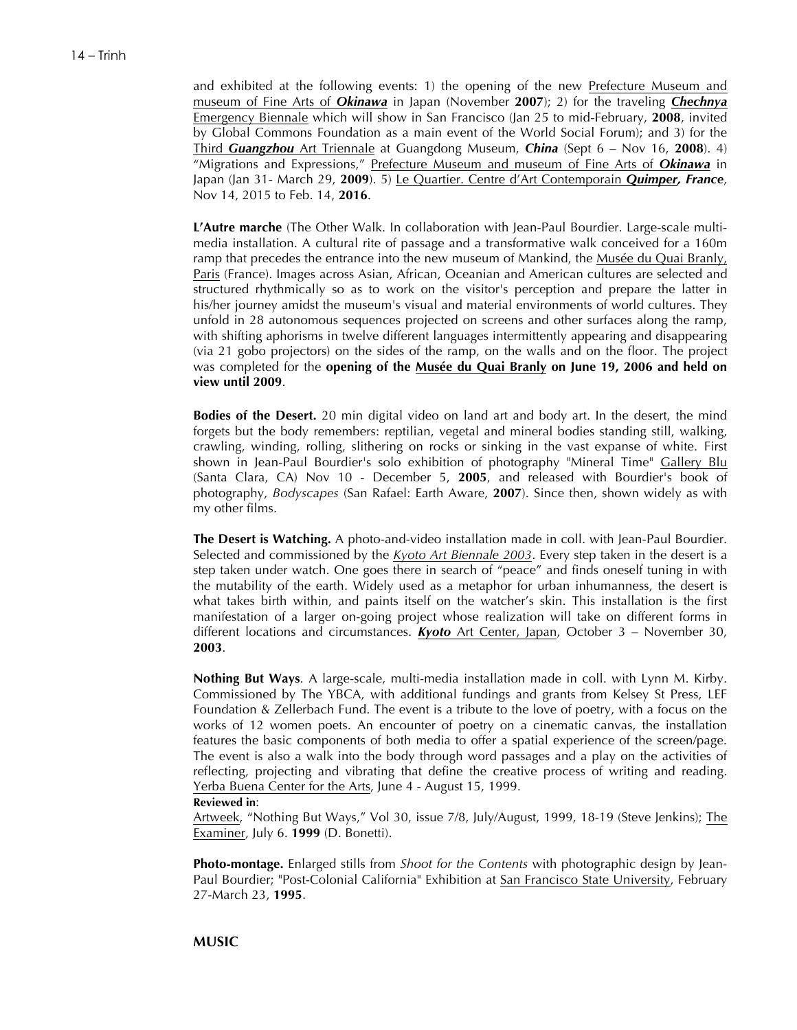and exhibited at the following events: 1) the opening of the new Prefecture Museum and museum of Fine Arts of *Okinawa* in Japan (November **2007**); 2) for the traveling *Chechnya* Emergency Biennale which will show in San Francisco (Jan 25 to mid-February, **2008**, invited by Global Commons Foundation as a main event of the World Social Forum); and 3) for the Third *Guangzhou* Art Triennale at Guangdong Museum, *China* (Sept 6 – Nov 16, **2008**). 4) "Migrations and Expressions," Prefecture Museum and museum of Fine Arts of *Okinawa* in Japan (Jan 31- March 29, **2009**). 5) Le Quartier. Centre d'Art Contemporain *Quimper, France*, Nov 14, 2015 to Feb. 14, **2016**.

**L'Autre marche** (The Other Walk. In collaboration with Jean-Paul Bourdier. Large-scale multimedia installation. A cultural rite of passage and a transformative walk conceived for a 160m ramp that precedes the entrance into the new museum of Mankind, the Musée du Quai Branly, Paris (France). Images across Asian, African, Oceanian and American cultures are selected and structured rhythmically so as to work on the visitor's perception and prepare the latter in his/her journey amidst the museum's visual and material environments of world cultures. They unfold in 28 autonomous sequences projected on screens and other surfaces along the ramp, with shifting aphorisms in twelve different languages intermittently appearing and disappearing (via 21 gobo projectors) on the sides of the ramp, on the walls and on the floor. The project was completed for the **opening of the Musée du Quai Branly on June 19, 2006 and held on view until 2009**.

**Bodies of the Desert.** 20 min digital video on land art and body art. In the desert, the mind forgets but the body remembers: reptilian, vegetal and mineral bodies standing still, walking, crawling, winding, rolling, slithering on rocks or sinking in the vast expanse of white. First shown in Jean-Paul Bourdier's solo exhibition of photography "Mineral Time" Gallery Blu (Santa Clara, CA) Nov 10 - December 5, **2005**, and released with Bourdier's book of photography, *Bodyscapes* (San Rafael: Earth Aware, **2007**). Since then, shown widely as with my other films.

**The Desert is Watching.** A photo-and-video installation made in coll. with Jean-Paul Bourdier. Selected and commissioned by the *Kyoto Art Biennale 2003*. Every step taken in the desert is a step taken under watch. One goes there in search of "peace" and finds oneself tuning in with the mutability of the earth. Widely used as a metaphor for urban inhumanness, the desert is what takes birth within, and paints itself on the watcher's skin. This installation is the first manifestation of a larger on-going project whose realization will take on different forms in different locations and circumstances. *Kyoto* Art Center, Japan, October 3 – November 30, **2003**.

**Nothing But Ways**. A large-scale, multi-media installation made in coll. with Lynn M. Kirby. Commissioned by The YBCA, with additional fundings and grants from Kelsey St Press, LEF Foundation & Zellerbach Fund. The event is a tribute to the love of poetry, with a focus on the works of 12 women poets. An encounter of poetry on a cinematic canvas, the installation features the basic components of both media to offer a spatial experience of the screen/page. The event is also a walk into the body through word passages and a play on the activities of reflecting, projecting and vibrating that define the creative process of writing and reading. Yerba Buena Center for the Arts, June 4 - August 15, 1999.

#### **Reviewed in**:

Artweek, "Nothing But Ways," Vol 30, issue 7/8, July/August, 1999, 18-19 (Steve Jenkins); The Examiner, July 6. **1999** (D. Bonetti).

**Photo-montage.** Enlarged stills from *Shoot for the Contents* with photographic design by Jean-Paul Bourdier; "Post-Colonial California" Exhibition at San Francisco State University, February 27-March 23, **1995**.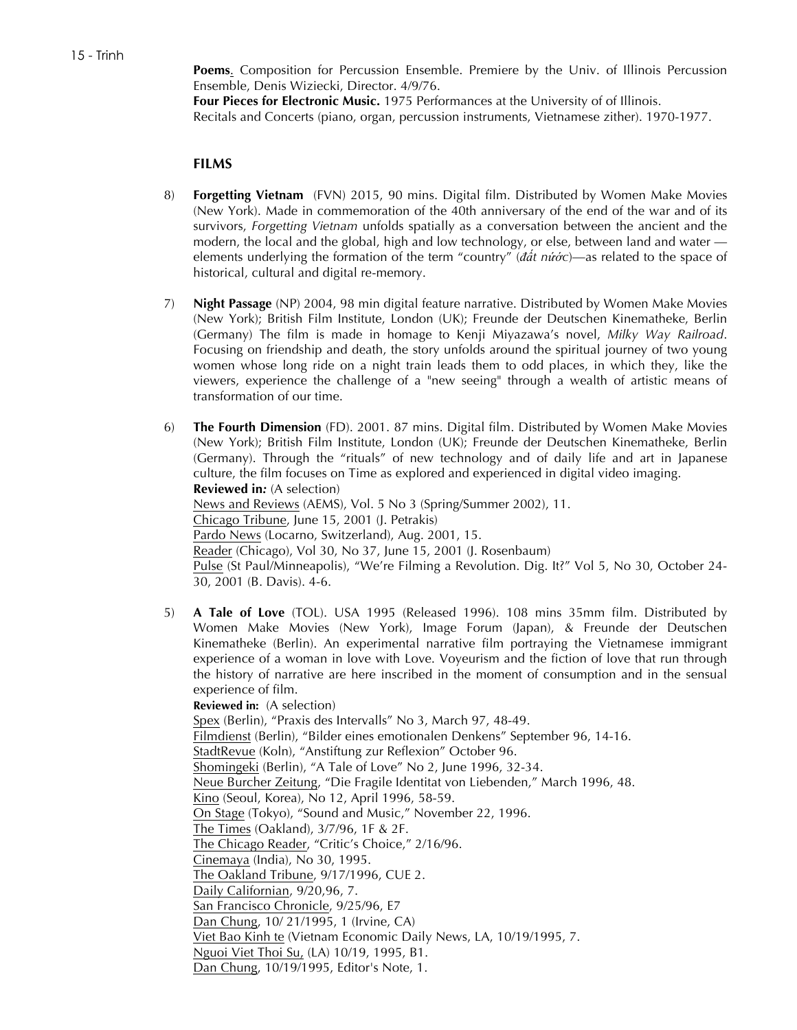**Poems**. Composition for Percussion Ensemble. Premiere by the Univ. of Illinois Percussion Ensemble, Denis Wiziecki, Director. 4/9/76.

**Four Pieces for Electronic Music.** 1975 Performances at the University of of Illinois. Recitals and Concerts (piano, organ, percussion instruments, Vietnamese zither). 1970-1977.

## **FILMS**

- 8) **Forgetting Vietnam** (FVN) 2015, 90 mins. Digital film. Distributed by Women Make Movies (New York). Made in commemoration of the 40th anniversary of the end of the war and of its survivors, *Forgetting Vietnam* unfolds spatially as a conversation between the ancient and the modern, the local and the global, high and low technology, or else, between land and water elements underlying the formation of the term "country" (*đất nứớc*)—as related to the space of historical, cultural and digital re-memory.
- 7) **Night Passage** (NP) 2004, 98 min digital feature narrative. Distributed by Women Make Movies (New York); British Film Institute, London (UK); Freunde der Deutschen Kinematheke, Berlin (Germany) The film is made in homage to Kenji Miyazawa's novel, *Milky Way Railroad*. Focusing on friendship and death, the story unfolds around the spiritual journey of two young women whose long ride on a night train leads them to odd places, in which they, like the viewers, experience the challenge of a "new seeing" through a wealth of artistic means of transformation of our time.
- 6) **The Fourth Dimension** (FD). 2001. 87 mins. Digital film. Distributed by Women Make Movies (New York); British Film Institute, London (UK); Freunde der Deutschen Kinematheke, Berlin (Germany). Through the "rituals" of new technology and of daily life and art in Japanese culture, the film focuses on Time as explored and experienced in digital video imaging. **Reviewed in***:* (A selection) News and Reviews (AEMS), Vol. 5 No 3 (Spring/Summer 2002), 11. Chicago Tribune, June 15, 2001 (J. Petrakis) Pardo News (Locarno, Switzerland), Aug. 2001, 15. Reader (Chicago), Vol 30, No 37, June 15, 2001 (J. Rosenbaum) Pulse (St Paul/Minneapolis), "We're Filming a Revolution. Dig. It?" Vol 5, No 30, October 24- 30, 2001 (B. Davis). 4-6.
- 5) **A Tale of Love** (TOL). USA 1995 (Released 1996). 108 mins 35mm film. Distributed by Women Make Movies (New York), Image Forum (Japan), & Freunde der Deutschen Kinematheke (Berlin). An experimental narrative film portraying the Vietnamese immigrant experience of a woman in love with Love. Voyeurism and the fiction of love that run through the history of narrative are here inscribed in the moment of consumption and in the sensual experience of film.

**Reviewed in:** (A selection) Spex (Berlin), "Praxis des Intervalls" No 3, March 97, 48-49. Filmdienst (Berlin), "Bilder eines emotionalen Denkens" September 96, 14-16. StadtRevue (Koln), "Anstiftung zur Reflexion" October 96. Shomingeki (Berlin), "A Tale of Love" No 2, June 1996, 32-34. Neue Burcher Zeitung, "Die Fragile Identitat von Liebenden," March 1996, 48. Kino (Seoul, Korea), No 12, April 1996, 58-59. On Stage (Tokyo), "Sound and Music," November 22, 1996. The Times (Oakland), 3/7/96, 1F & 2F. The Chicago Reader, "Critic's Choice," 2/16/96. Cinemaya (India), No 30, 1995. The Oakland Tribune, 9/17/1996, CUE 2. Daily Californian, 9/20,96, 7. San Francisco Chronicle, 9/25/96, E7 Dan Chung, 10/ 21/1995, 1 (Irvine, CA) Viet Bao Kinh te (Vietnam Economic Daily News, LA, 10/19/1995, 7. Nguoi Viet Thoi Su, (LA) 10/19, 1995, B1. Dan Chung, 10/19/1995, Editor's Note, 1.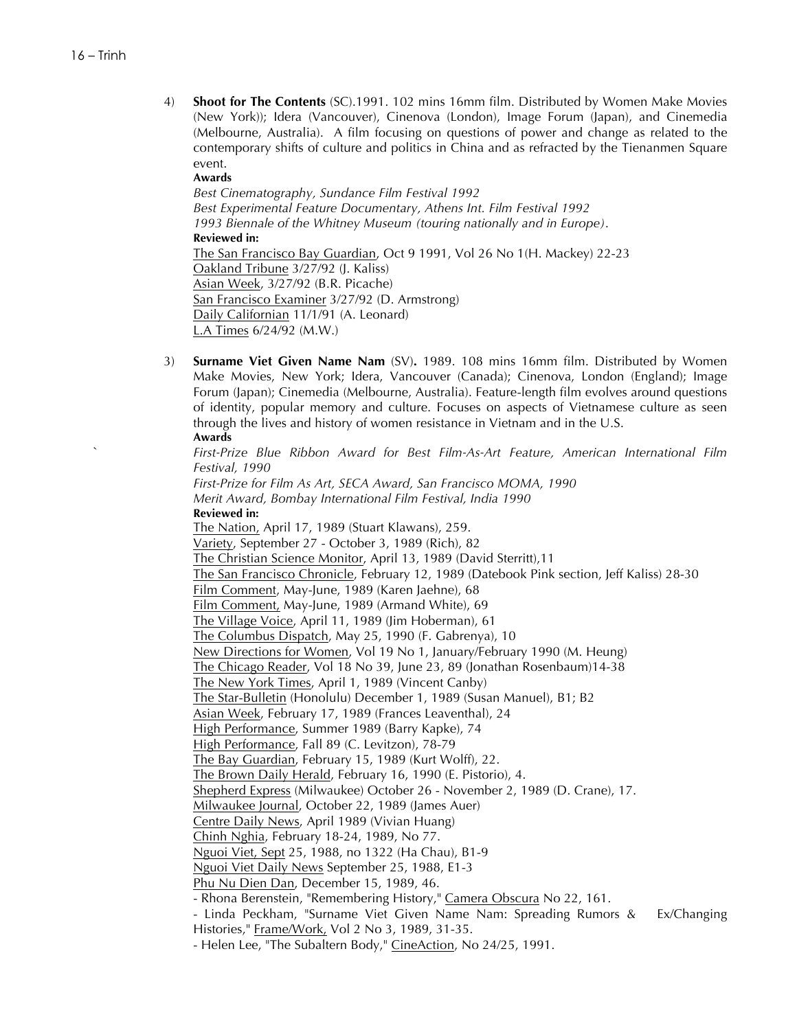4) **Shoot for The Contents** (SC).1991. 102 mins 16mm film. Distributed by Women Make Movies (New York)); Idera (Vancouver), Cinenova (London), Image Forum (Japan), and Cinemedia (Melbourne, Australia). A film focusing on questions of power and change as related to the contemporary shifts of culture and politics in China and as refracted by the Tienanmen Square event.

**Awards**

*Best Cinematography, Sundance Film Festival 1992 Best Experimental Feature Documentary, Athens Int. Film Festival 1992 1993 Biennale of the Whitney Museum (touring nationally and in Europe)*. **Reviewed in:** The San Francisco Bay Guardian, Oct 9 1991, Vol 26 No 1(H. Mackey) 22-23 Oakland Tribune 3/27/92 (J. Kaliss) Asian Week, 3/27/92 (B.R. Picache) San Francisco Examiner 3/27/92 (D. Armstrong) Daily Californian 11/1/91 (A. Leonard) L.A Times 6/24/92 (M.W.)

3) **Surname Viet Given Name Nam** (SV)**.** 1989. 108 mins 16mm film. Distributed by Women Make Movies, New York; Idera, Vancouver (Canada); Cinenova, London (England); Image Forum (Japan); Cinemedia (Melbourne, Australia). Feature-length film evolves around questions of identity, popular memory and culture. Focuses on aspects of Vietnamese culture as seen through the lives and history of women resistance in Vietnam and in the U.S. **Awards**

` *First-Prize Blue Ribbon Award for Best Film-As-Art Feature, American International Film Festival, 1990 First-Prize for Film As Art, SECA Award, San Francisco MOMA, 1990 Merit Award, Bombay International Film Festival, India 1990* **Reviewed in:** The Nation, April 17, 1989 (Stuart Klawans), 259. Variety, September 27 - October 3, 1989 (Rich), 82 The Christian Science Monitor, April 13, 1989 (David Sterritt),11 The San Francisco Chronicle, February 12, 1989 (Datebook Pink section, Jeff Kaliss) 28-30 Film Comment, May-June, 1989 (Karen Jaehne), 68 Film Comment, May-June, 1989 (Armand White), 69 The Village Voice, April 11, 1989 (Jim Hoberman), 61 The Columbus Dispatch, May 25, 1990 (F. Gabrenya), 10 New Directions for Women, Vol 19 No 1, January/February 1990 (M. Heung) The Chicago Reader, Vol 18 No 39, June 23, 89 (Jonathan Rosenbaum)14-38 The New York Times, April 1, 1989 (Vincent Canby) The Star-Bulletin (Honolulu) December 1, 1989 (Susan Manuel), B1; B2 Asian Week, February 17, 1989 (Frances Leaventhal), 24 High Performance, Summer 1989 (Barry Kapke), 74 High Performance, Fall 89 (C. Levitzon), 78-79 The Bay Guardian, February 15, 1989 (Kurt Wolff), 22. The Brown Daily Herald, February 16, 1990 (E. Pistorio), 4. Shepherd Express (Milwaukee) October 26 - November 2, 1989 (D. Crane), 17. Milwaukee Journal, October 22, 1989 (James Auer) Centre Daily News, April 1989 (Vivian Huang) Chinh Nghia, February 18-24, 1989, No 77. Nguoi Viet, Sept 25, 1988, no 1322 (Ha Chau), B1-9 Nguoi Viet Daily News September 25, 1988, E1-3 Phu Nu Dien Dan, December 15, 1989, 46. - Rhona Berenstein, "Remembering History," Camera Obscura No 22, 161. - Linda Peckham, "Surname Viet Given Name Nam: Spreading Rumors & Ex/Changing Histories," Frame/Work, Vol 2 No 3, 1989, 31-35.

- Helen Lee, "The Subaltern Body," CineAction, No 24/25, 1991.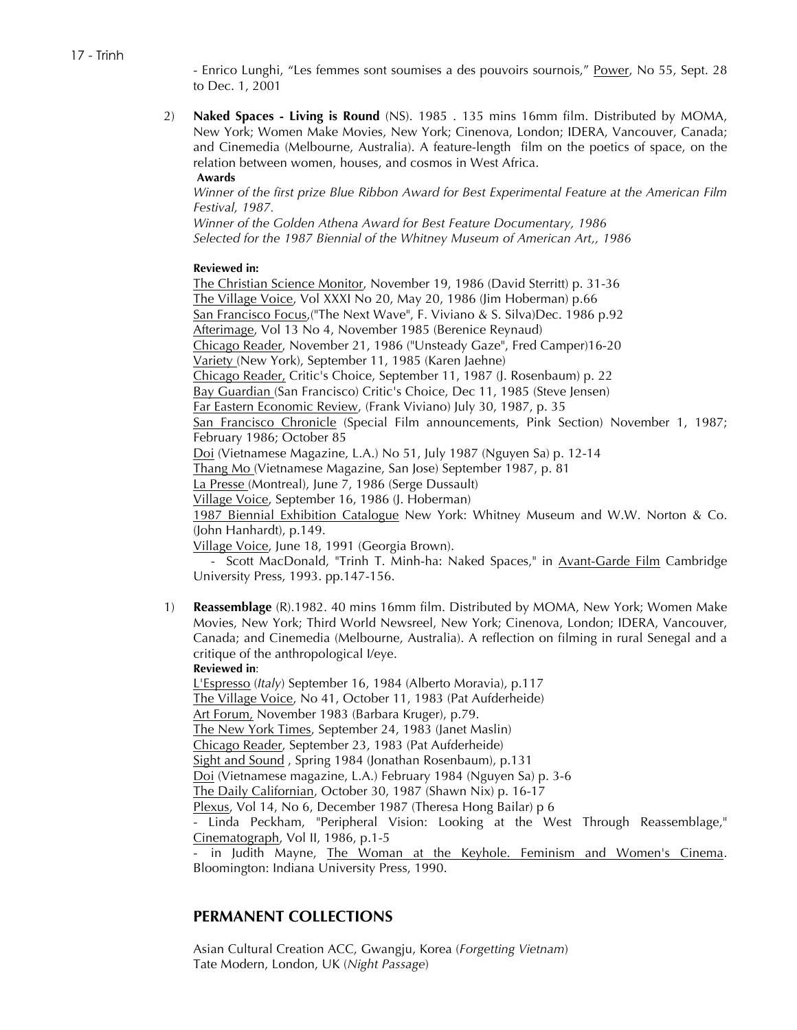- Enrico Lunghi, "Les femmes sont soumises a des pouvoirs sournois," Power, No 55, Sept. 28 to Dec. 1, 2001

2) **Naked Spaces - Living is Round** (NS). 1985 . 135 mins 16mm film. Distributed by MOMA, New York; Women Make Movies, New York; Cinenova, London; IDERA, Vancouver, Canada; and Cinemedia (Melbourne, Australia). A feature-length film on the poetics of space, on the relation between women, houses, and cosmos in West Africa. **Awards**

*Winner of the first prize Blue Ribbon Award for Best Experimental Feature at the American Film Festival, 1987.*

*Winner of the Golden Athena Award for Best Feature Documentary, 1986 Selected for the 1987 Biennial of the Whitney Museum of American Art,, 1986*

## **Reviewed in:**

The Christian Science Monitor, November 19, 1986 (David Sterritt) p. 31-36 The Village Voice, Vol XXXI No 20, May 20, 1986 (Jim Hoberman) p.66 San Francisco Focus,("The Next Wave", F. Viviano & S. Silva)Dec. 1986 p.92 Afterimage, Vol 13 No 4, November 1985 (Berenice Reynaud) Chicago Reader, November 21, 1986 ("Unsteady Gaze", Fred Camper)16-20 Variety (New York), September 11, 1985 (Karen Jaehne) Chicago Reader, Critic's Choice, September 11, 1987 (J. Rosenbaum) p. 22 Bay Guardian (San Francisco) Critic's Choice, Dec 11, 1985 (Steve Jensen) Far Eastern Economic Review, (Frank Viviano) July 30, 1987, p. 35 San Francisco Chronicle (Special Film announcements, Pink Section) November 1, 1987; February 1986; October 85 Doi (Vietnamese Magazine, L.A.) No 51, July 1987 (Nguyen Sa) p. 12-14 Thang Mo (Vietnamese Magazine, San Jose) September 1987, p. 81 La Presse (Montreal), June 7, 1986 (Serge Dussault) Village Voice, September 16, 1986 (J. Hoberman) 1987 Biennial Exhibition Catalogue New York: Whitney Museum and W.W. Norton & Co. (John Hanhardt), p.149. Village Voice, June 18, 1991 (Georgia Brown). - Scott MacDonald, "Trinh T. Minh-ha: Naked Spaces," in Avant-Garde Film Cambridge

University Press, 1993. pp.147-156.

1) **Reassemblage** (R).1982. 40 mins 16mm film. Distributed by MOMA, New York; Women Make Movies, New York; Third World Newsreel, New York; Cinenova, London; IDERA, Vancouver, Canada; and Cinemedia (Melbourne, Australia). A reflection on filming in rural Senegal and a critique of the anthropological I/eye.

**Reviewed in**:

L'Espresso (*Italy*) September 16, 1984 (Alberto Moravia), p.117 The Village Voice, No 41, October 11, 1983 (Pat Aufderheide) Art Forum, November 1983 (Barbara Kruger), p.79. The New York Times, September 24, 1983 (Janet Maslin) Chicago Reader, September 23, 1983 (Pat Aufderheide) Sight and Sound , Spring 1984 (Jonathan Rosenbaum), p.131 Doi (Vietnamese magazine, L.A.) February 1984 (Nguyen Sa) p. 3-6 The Daily Californian, October 30, 1987 (Shawn Nix) p. 16-17 Plexus, Vol 14, No 6, December 1987 (Theresa Hong Bailar) p 6 - Linda Peckham, "Peripheral Vision: Looking at the West Through Reassemblage," Cinematograph, Vol II, 1986, p.1-5 - in Judith Mayne, The Woman at the Keyhole. Feminism and Women's Cinema. Bloomington: Indiana University Press, 1990.

# **PERMANENT COLLECTIONS**

Asian Cultural Creation ACC, Gwangju, Korea (*Forgetting Vietnam*) Tate Modern, London, UK (*Night Passage*)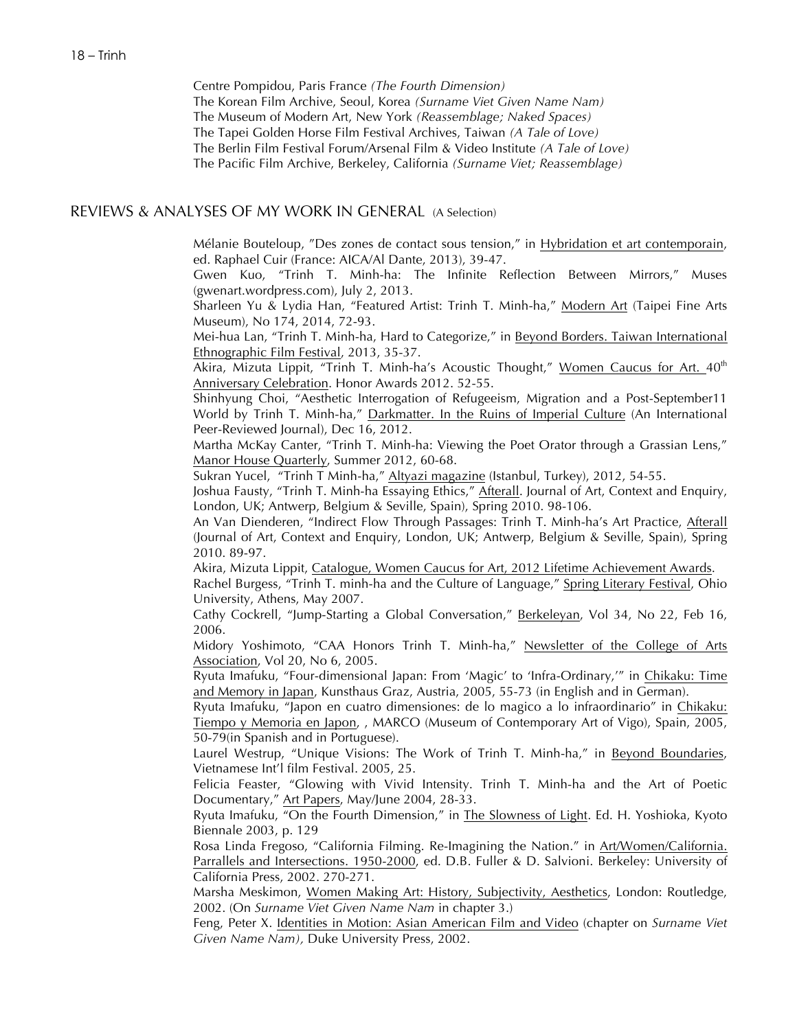Centre Pompidou, Paris France *(The Fourth Dimension)* The Korean Film Archive, Seoul, Korea *(Surname Viet Given Name Nam)* The Museum of Modern Art, New York *(Reassemblage; Naked Spaces)* The Tapei Golden Horse Film Festival Archives, Taiwan *(A Tale of Love)* The Berlin Film Festival Forum/Arsenal Film & Video Institute *(A Tale of Love)* The Pacific Film Archive, Berkeley, California *(Surname Viet; Reassemblage)*

## REVIEWS & ANALYSES OF MY WORK IN GENERAL (A Selection)

Mélanie Bouteloup, "Des zones de contact sous tension," in Hybridation et art contemporain, ed. Raphael Cuir (France: AICA/Al Dante, 2013), 39-47.

Gwen Kuo, "Trinh T. Minh-ha: The Infinite Reflection Between Mirrors," Muses (gwenart.wordpress.com), July 2, 2013.

Sharleen Yu & Lydia Han, "Featured Artist: Trinh T. Minh-ha," Modern Art (Taipei Fine Arts Museum), No 174, 2014, 72-93.

Mei-hua Lan, "Trinh T. Minh-ha, Hard to Categorize," in Beyond Borders. Taiwan International Ethnographic Film Festival, 2013, 35-37.

Akira, Mizuta Lippit, "Trinh T. Minh-ha's Acoustic Thought," Women Caucus for Art.  $40<sup>th</sup>$ Anniversary Celebration. Honor Awards 2012. 52-55.

Shinhyung Choi, "Aesthetic Interrogation of Refugeeism, Migration and a Post-September11 World by Trinh T. Minh-ha," Darkmatter. In the Ruins of Imperial Culture (An International Peer-Reviewed Journal), Dec 16, 2012.

Martha McKay Canter, "Trinh T. Minh-ha: Viewing the Poet Orator through a Grassian Lens," Manor House Quarterly, Summer 2012, 60-68.

Sukran Yucel, "Trinh T Minh-ha," Altyazi magazine (Istanbul, Turkey), 2012, 54-55.

Joshua Fausty, "Trinh T. Minh-ha Essaying Ethics," Afterall. Journal of Art, Context and Enquiry, London, UK; Antwerp, Belgium & Seville, Spain), Spring 2010. 98-106.

An Van Dienderen, "Indirect Flow Through Passages: Trinh T. Minh-ha's Art Practice, Afterall (Journal of Art, Context and Enquiry, London, UK; Antwerp, Belgium & Seville, Spain), Spring 2010. 89-97.

Akira, Mizuta Lippit, Catalogue, Women Caucus for Art, 2012 Lifetime Achievement Awards. Rachel Burgess, "Trinh T. minh-ha and the Culture of Language," Spring Literary Festival, Ohio University, Athens, May 2007.

Cathy Cockrell, "Jump-Starting a Global Conversation," Berkeleyan, Vol 34, No 22, Feb 16, 2006.

Midory Yoshimoto, "CAA Honors Trinh T. Minh-ha," Newsletter of the College of Arts Association, Vol 20, No 6, 2005.

Ryuta Imafuku, "Four-dimensional Japan: From 'Magic' to 'Infra-Ordinary,'" in Chikaku: Time and Memory in Japan, Kunsthaus Graz, Austria, 2005, 55-73 (in English and in German).

Ryuta Imafuku, "Japon en cuatro dimensiones: de lo magico a lo infraordinario" in Chikaku: Tiempo y Memoria en Japon, , MARCO (Museum of Contemporary Art of Vigo), Spain, 2005, 50-79(in Spanish and in Portuguese).

Laurel Westrup, "Unique Visions: The Work of Trinh T. Minh-ha," in Beyond Boundaries, Vietnamese Int'l film Festival. 2005, 25.

Felicia Feaster, "Glowing with Vivid Intensity. Trinh T. Minh-ha and the Art of Poetic Documentary," Art Papers, May/June 2004, 28-33.

Ryuta Imafuku, "On the Fourth Dimension," in The Slowness of Light. Ed. H. Yoshioka, Kyoto Biennale 2003, p. 129

Rosa Linda Fregoso, "California Filming. Re-Imagining the Nation." in Art/Women/California. Parrallels and Intersections. 1950-2000, ed. D.B. Fuller & D. Salvioni. Berkeley: University of California Press, 2002. 270-271.

Marsha Meskimon, Women Making Art: History, Subjectivity, Aesthetics, London: Routledge, 2002. (On *Surname Viet Given Name Nam* in chapter 3.)

Feng, Peter X. Identities in Motion: Asian American Film and Video (chapter on *Surname Viet Given Name Nam),* Duke University Press, 2002.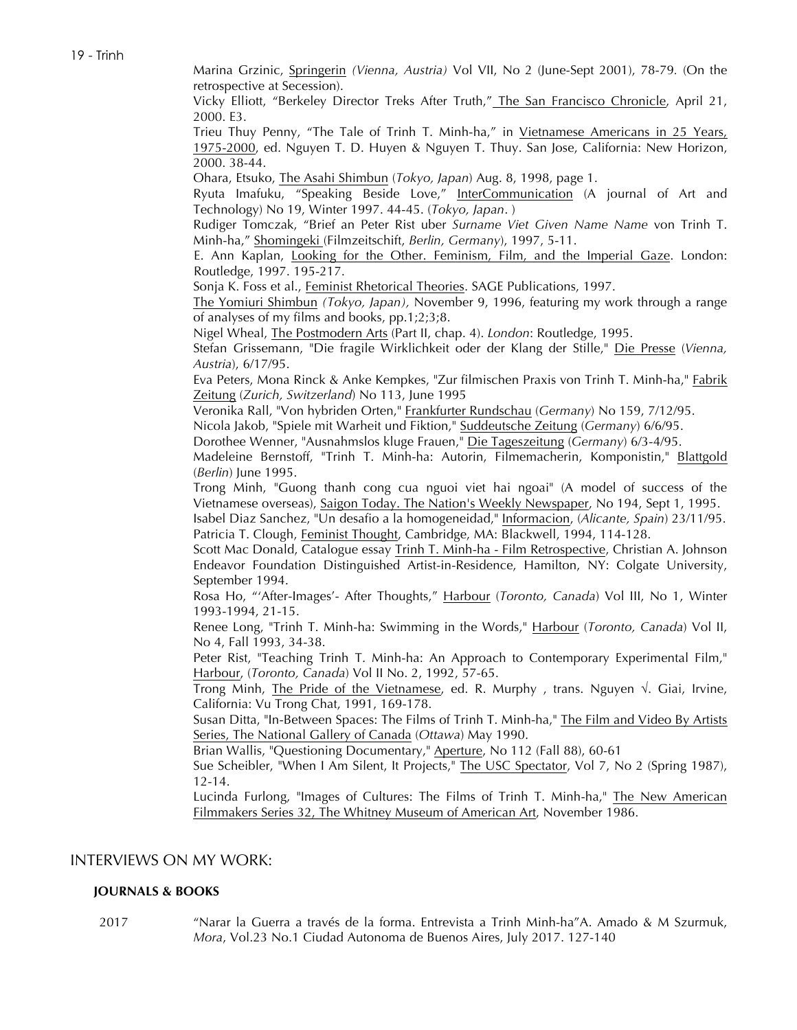19 - Trinh

Marina Grzinic, Springerin *(Vienna, Austria)* Vol VII, No 2 (June-Sept 2001), 78-79*.* (On the retrospective at Secession).

Vicky Elliott, "Berkeley Director Treks After Truth," The San Francisco Chronicle, April 21, 2000. E3.

Trieu Thuy Penny, "The Tale of Trinh T. Minh-ha," in Vietnamese Americans in 25 Years, 1975-2000, ed. Nguyen T. D. Huyen & Nguyen T. Thuy. San Jose, California: New Horizon, 2000. 38-44.

Ohara, Etsuko, The Asahi Shimbun (*Tokyo, Japan*) Aug. 8, 1998, page 1.

Ryuta Imafuku, "Speaking Beside Love," InterCommunication (A journal of Art and Technology) No 19, Winter 1997. 44-45. (*Tokyo, Japan*. )

Rudiger Tomczak, "Brief an Peter Rist uber *Surname Viet Given Name Name* von Trinh T. Minh-ha," Shomingeki (Filmzeitschift, *Berlin, Germany*), 1997, 5-11.

E. Ann Kaplan, Looking for the Other. Feminism, Film, and the Imperial Gaze. London: Routledge, 1997. 195-217.

Sonja K. Foss et al., Feminist Rhetorical Theories. SAGE Publications, 1997.

The Yomiuri Shimbun *(Tokyo, Japan),* November 9, 1996, featuring my work through a range of analyses of my films and books, pp.1;2;3;8.

Nigel Wheal, The Postmodern Arts (Part II, chap. 4). *London*: Routledge, 1995.

Stefan Grissemann, "Die fragile Wirklichkeit oder der Klang der Stille," Die Presse (*Vienna, Austria*), 6/17/95.

Eva Peters, Mona Rinck & Anke Kempkes, "Zur filmischen Praxis von Trinh T. Minh-ha," Fabrik Zeitung (*Zurich, Switzerland*) No 113, June 1995

Veronika Rall, "Von hybriden Orten," Frankfurter Rundschau (*Germany*) No 159, 7/12/95.

Nicola Jakob, "Spiele mit Warheit und Fiktion," Suddeutsche Zeitung (*Germany*) 6/6/95.

Dorothee Wenner, "Ausnahmslos kluge Frauen," Die Tageszeitung (*Germany*) 6/3-4/95.

Madeleine Bernstoff, "Trinh T. Minh-ha: Autorin, Filmemacherin, Komponistin," Blattgold (*Berlin*) June 1995.

Trong Minh, "Guong thanh cong cua nguoi viet hai ngoai" (A model of success of the Vietnamese overseas), Saigon Today. The Nation's Weekly Newspaper, No 194, Sept 1, 1995.

Isabel Diaz Sanchez, "Un desafio a la homogeneidad," Informacion, (*Alicante, Spain*) 23/11/95. Patricia T. Clough, Feminist Thought, Cambridge, MA: Blackwell, 1994, 114-128.

Scott Mac Donald, Catalogue essay Trinh T. Minh-ha - Film Retrospective, Christian A. Johnson Endeavor Foundation Distinguished Artist-in-Residence, Hamilton, NY: Colgate University, September 1994.

Rosa Ho, "'After-Images'- After Thoughts," Harbour (*Toronto, Canada*) Vol III, No 1, Winter 1993-1994, 21-15.

Renee Long, "Trinh T. Minh-ha: Swimming in the Words," Harbour (*Toronto, Canada*) Vol II, No 4, Fall 1993, 34-38.

Peter Rist, "Teaching Trinh T. Minh-ha: An Approach to Contemporary Experimental Film," Harbour, (*Toronto, Canada*) Vol II No. 2, 1992, 57-65.

Trong Minh, The Pride of the Vietnamese, ed. R. Murphy, trans. Nguyen  $\sqrt{ }$ . Giai, Irvine, California: Vu Trong Chat, 1991, 169-178.

Susan Ditta, "In-Between Spaces: The Films of Trinh T. Minh-ha," The Film and Video By Artists Series, The National Gallery of Canada (*Ottawa*) May 1990.

Brian Wallis, "Questioning Documentary," Aperture, No 112 (Fall 88), 60-61

Sue Scheibler, "When I Am Silent, It Projects," The USC Spectator, Vol 7, No 2 (Spring 1987), 12-14.

Lucinda Furlong, "Images of Cultures: The Films of Trinh T. Minh-ha," The New American Filmmakers Series 32, The Whitney Museum of American Art, November 1986.

# INTERVIEWS ON MY WORK:

### **JOURNALS & BOOKS**

2017 "Narar la Guerra a través de la forma. Entrevista a Trinh Minh-ha"A. Amado & M Szurmuk, *Mora*, Vol.23 No.1 Ciudad Autonoma de Buenos Aires, July 2017. 127-140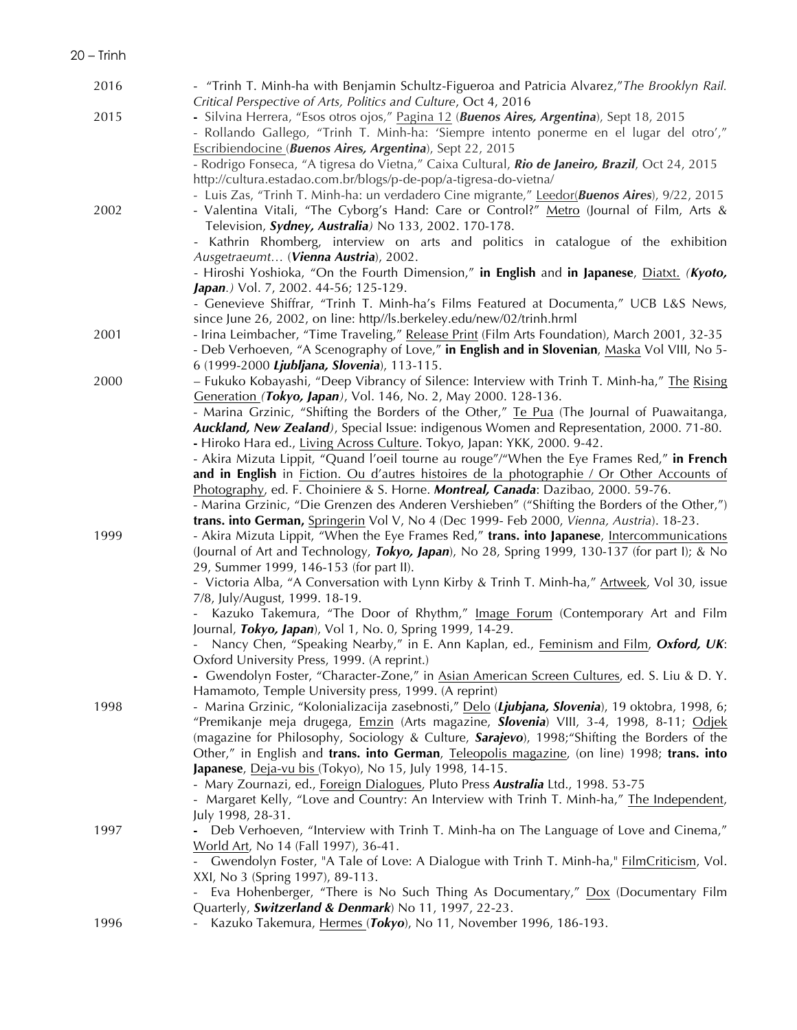| 2016 | - "Trinh T. Minh-ha with Benjamin Schultz-Figueroa and Patricia Alvarez,"The Brooklyn Rail.<br>Critical Perspective of Arts, Politics and Culture, Oct 4, 2016                          |
|------|-----------------------------------------------------------------------------------------------------------------------------------------------------------------------------------------|
| 2015 | - Silvina Herrera, "Esos otros ojos," Pagina 12 (Buenos Aires, Argentina), Sept 18, 2015<br>- Rollando Gallego, "Trinh T. Minh-ha: 'Siempre intento ponerme en el lugar del otro',"     |
|      | Escribiendocine (Buenos Aires, Argentina), Sept 22, 2015                                                                                                                                |
|      | - Rodrigo Fonseca, "A tigresa do Vietna," Caixa Cultural, Rio de Janeiro, Brazil, Oct 24, 2015                                                                                          |
|      | http://cultura.estadao.com.br/blogs/p-de-pop/a-tigresa-do-vietna/                                                                                                                       |
|      | - Luis Zas, "Trinh T. Minh-ha: un verdadero Cine migrante," Leedor(Buenos Aires), 9/22, 2015                                                                                            |
| 2002 | - Valentina Vitali, "The Cyborg's Hand: Care or Control?" Metro (Journal of Film, Arts &<br>Television, Sydney, Australia) No 133, 2002. 170-178.                                       |
|      | - Kathrin Rhomberg, interview on arts and politics in catalogue of the exhibition                                                                                                       |
|      | Ausgetraeumt (Vienna Austria), 2002.                                                                                                                                                    |
|      | - Hiroshi Yoshioka, "On the Fourth Dimension," in English and in Japanese, Diatxt. (Kyoto,                                                                                              |
|      | Japan.) Vol. 7, 2002. 44-56; 125-129.                                                                                                                                                   |
|      | - Genevieve Shiffrar, "Trinh T. Minh-ha's Films Featured at Documenta," UCB L&S News,                                                                                                   |
|      | since June 26, 2002, on line: http//ls.berkeley.edu/new/02/trinh.hrml                                                                                                                   |
| 2001 | - Irina Leimbacher, "Time Traveling," Release Print (Film Arts Foundation), March 2001, 32-35                                                                                           |
|      | - Deb Verhoeven, "A Scenography of Love," in English and in Slovenian, Maska Vol VIII, No 5-                                                                                            |
|      | 6 (1999-2000 Ljubljana, Slovenia), 113-115.                                                                                                                                             |
| 2000 | - Fukuko Kobayashi, "Deep Vibrancy of Silence: Interview with Trinh T. Minh-ha," The Rising<br>Generation (Tokyo, Japan), Vol. 146, No. 2, May 2000. 128-136.                           |
|      | - Marina Grzinic, "Shifting the Borders of the Other," Te Pua (The Journal of Puawaitanga,                                                                                              |
|      | Auckland, New Zealand), Special Issue: indigenous Women and Representation, 2000. 71-80.                                                                                                |
|      | - Hiroko Hara ed., Living Across Culture. Tokyo, Japan: YKK, 2000. 9-42.                                                                                                                |
|      | - Akira Mizuta Lippit, "Quand l'oeil tourne au rouge"/"When the Eye Frames Red," in French                                                                                              |
|      | and in English in Fiction. Ou d'autres histoires de la photographie / Or Other Accounts of                                                                                              |
|      | Photography, ed. F. Choiniere & S. Horne. Montreal, Canada: Dazibao, 2000. 59-76.                                                                                                       |
|      | - Marina Grzinic, "Die Grenzen des Anderen Vershieben" ("Shifting the Borders of the Other,")                                                                                           |
| 1999 | trans. into German, Springerin Vol V, No 4 (Dec 1999- Feb 2000, Vienna, Austria). 18-23.<br>- Akira Mizuta Lippit, "When the Eye Frames Red," trans. into Japanese, Intercommunications |
|      | (Journal of Art and Technology, <i>Tokyo, Japan</i> ), No 28, Spring 1999, 130-137 (for part I); & No                                                                                   |
|      | 29, Summer 1999, 146-153 (for part II).                                                                                                                                                 |
|      | - Victoria Alba, "A Conversation with Lynn Kirby & Trinh T. Minh-ha," Artweek, Vol 30, issue                                                                                            |
|      | 7/8, July/August, 1999. 18-19.                                                                                                                                                          |
|      | Kazuko Takemura, "The Door of Rhythm," Image Forum (Contemporary Art and Film                                                                                                           |
|      | Journal, Tokyo, Japan), Vol 1, No. 0, Spring 1999, 14-29.                                                                                                                               |
|      | Nancy Chen, "Speaking Nearby," in E. Ann Kaplan, ed., Feminism and Film, Oxford, UK:                                                                                                    |
|      | Oxford University Press, 1999. (A reprint.)<br>- Gwendolyn Foster, "Character-Zone," in Asian American Screen Cultures, ed. S. Liu & D. Y.                                              |
|      | Hamamoto, Temple University press, 1999. (A reprint)                                                                                                                                    |
| 1998 | - Marina Grzinic, "Kolonializacija zasebnosti," Delo (Ljubjana, Slovenia), 19 oktobra, 1998, 6;                                                                                         |
|      | "Premikanje meja drugega, Emzin (Arts magazine, Slovenia) VIII, 3-4, 1998, 8-11; Odjek                                                                                                  |
|      | (magazine for Philosophy, Sociology & Culture, Sarajevo), 1998; "Shifting the Borders of the                                                                                            |
|      | Other," in English and trans. into German, Teleopolis magazine, (on line) 1998; trans. into                                                                                             |
|      | Japanese, Deja-vu bis (Tokyo), No 15, July 1998, 14-15.                                                                                                                                 |
|      | - Mary Zournazi, ed., Foreign Dialogues, Pluto Press Australia Ltd., 1998. 53-75                                                                                                        |
|      | - Margaret Kelly, "Love and Country: An Interview with Trinh T. Minh-ha," The Independent,<br>July 1998, 28-31.                                                                         |
| 1997 | - Deb Verhoeven, "Interview with Trinh T. Minh-ha on The Language of Love and Cinema,"                                                                                                  |
|      | World Art, No 14 (Fall 1997), 36-41.                                                                                                                                                    |
|      | Gwendolyn Foster, "A Tale of Love: A Dialogue with Trinh T. Minh-ha," FilmCriticism, Vol.                                                                                               |
|      | XXI, No 3 (Spring 1997), 89-113.                                                                                                                                                        |
|      | - Eva Hohenberger, "There is No Such Thing As Documentary," Dox (Documentary Film                                                                                                       |
|      | Quarterly, Switzerland & Denmark) No 11, 1997, 22-23.                                                                                                                                   |
| 1996 | Kazuko Takemura, Hermes (Tokyo), No 11, November 1996, 186-193.                                                                                                                         |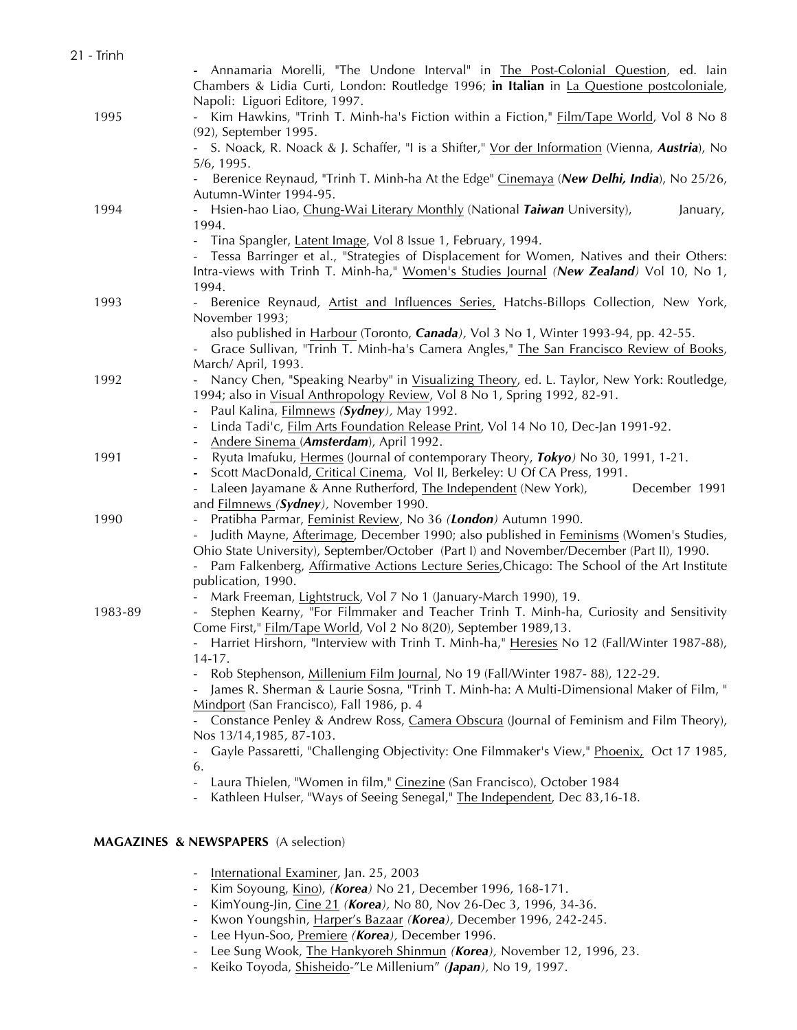| 21 - Trinh |                                                                                                                                                                     |
|------------|---------------------------------------------------------------------------------------------------------------------------------------------------------------------|
|            | - Annamaria Morelli, "The Undone Interval" in The Post-Colonial Question, ed. Iain                                                                                  |
|            | Chambers & Lidia Curti, London: Routledge 1996; in Italian in La Questione postcoloniale,                                                                           |
|            | Napoli: Liguori Editore, 1997.                                                                                                                                      |
| 1995       | Kim Hawkins, "Trinh T. Minh-ha's Fiction within a Fiction," Film/Tape World, Vol 8 No 8                                                                             |
|            | (92), September 1995.                                                                                                                                               |
|            | S. Noack, R. Noack & J. Schaffer, "I is a Shifter," Vor der Information (Vienna, Austria), No                                                                       |
|            | 5/6, 1995.                                                                                                                                                          |
|            | Berenice Reynaud, "Trinh T. Minh-ha At the Edge" Cinemaya (New Delhi, India), No 25/26,                                                                             |
|            | Autumn-Winter 1994-95.                                                                                                                                              |
| 1994       | Hsien-hao Liao, Chung-Wai Literary Monthly (National Taiwan University),<br>January,<br>1994.                                                                       |
|            |                                                                                                                                                                     |
|            | Tina Spangler, Latent Image, Vol 8 Issue 1, February, 1994.<br>$\sim$<br>- Tessa Barringer et al., "Strategies of Displacement for Women, Natives and their Others: |
|            | Intra-views with Trinh T. Minh-ha," Women's Studies Journal (New Zealand) Vol 10, No 1,                                                                             |
|            | 1994.                                                                                                                                                               |
| 1993       | Berenice Reynaud, Artist and Influences Series, Hatchs-Billops Collection, New York,                                                                                |
|            | November 1993;                                                                                                                                                      |
|            | also published in Harbour (Toronto, Canada), Vol 3 No 1, Winter 1993-94, pp. 42-55.                                                                                 |
|            | Grace Sullivan, "Trinh T. Minh-ha's Camera Angles," The San Francisco Review of Books,<br>$\sim$                                                                    |
|            | March/April, 1993.                                                                                                                                                  |
| 1992       | Nancy Chen, "Speaking Nearby" in Visualizing Theory, ed. L. Taylor, New York: Routledge,                                                                            |
|            | 1994; also in Visual Anthropology Review, Vol 8 No 1, Spring 1992, 82-91.                                                                                           |
|            | Paul Kalina, Filmnews (Sydney), May 1992.                                                                                                                           |
|            | Linda Tadi'c, Film Arts Foundation Release Print, Vol 14 No 10, Dec-Jan 1991-92.                                                                                    |
|            | Andere Sinema (Amsterdam), April 1992.                                                                                                                              |
| 1991       | Ryuta Imafuku, Hermes (Journal of contemporary Theory, Tokyo) No 30, 1991, 1-21.                                                                                    |
|            | Scott MacDonald, Critical Cinema, Vol II, Berkeley: U Of CA Press, 1991.                                                                                            |
|            | Laleen Jayamane & Anne Rutherford, The Independent (New York),<br>December 1991                                                                                     |
|            | and <b>Filmnews (Sydney</b> ), November 1990.                                                                                                                       |
| 1990       | Pratibha Parmar, Feminist Review, No 36 (London) Autumn 1990.                                                                                                       |
|            | Judith Mayne, Afterimage, December 1990; also published in Feminisms (Women's Studies,                                                                              |
|            | Ohio State University), September/October (Part I) and November/December (Part II), 1990.                                                                           |
|            | Pam Falkenberg, Affirmative Actions Lecture Series, Chicago: The School of the Art Institute                                                                        |
|            | publication, 1990.                                                                                                                                                  |
|            | Mark Freeman, Lightstruck, Vol 7 No 1 (January-March 1990), 19.                                                                                                     |
| 1983-89    | Stephen Kearny, "For Filmmaker and Teacher Trinh T. Minh-ha, Curiosity and Sensitivity                                                                              |
|            | Come First," Film/Tape World, Vol 2 No 8(20), September 1989,13.                                                                                                    |
|            | Harriet Hirshorn, "Interview with Trinh T. Minh-ha," Heresies No 12 (Fall/Winter 1987-88),                                                                          |
|            | $14 - 17.$                                                                                                                                                          |
|            | Rob Stephenson, Millenium Film Journal, No 19 (Fall/Winter 1987- 88), 122-29.                                                                                       |
|            | James R. Sherman & Laurie Sosna, "Trinh T. Minh-ha: A Multi-Dimensional Maker of Film, "                                                                            |
|            | Mindport (San Francisco), Fall 1986, p. 4                                                                                                                           |
|            | - Constance Penley & Andrew Ross, Camera Obscura (Journal of Feminism and Film Theory),                                                                             |
|            | Nos 13/14,1985, 87-103.                                                                                                                                             |
|            | - Gayle Passaretti, "Challenging Objectivity: One Filmmaker's View," Phoenix, Oct 17 1985,                                                                          |
|            | 6.<br>Laura Thielen, "Women in film," Cinezine (San Francisco), October 1984                                                                                        |
|            | Kathleen Hulser, "Ways of Seeing Senegal," The Independent, Dec 83,16-18.                                                                                           |
|            |                                                                                                                                                                     |
|            |                                                                                                                                                                     |
|            |                                                                                                                                                                     |

# **MAGAZINES & NEWSPAPERS** (A selection)

| International Examiner, Jan. 25, 2003 |  |  |
|---------------------------------------|--|--|
|                                       |  |  |

- Kim Soyoung, Kino), *(Korea)* No 21, December 1996, 168-171.
- KimYoung-Jin, Cine 21 *(Korea),* No 80, Nov 26-Dec 3, 1996, 34-36.
- Kwon Youngshin, Harper's Bazaar *(Korea),* December 1996, 242-245.
- Lee Hyun-Soo, Premiere *(Korea),* December 1996.
- Lee Sung Wook, The Hankyoreh Shinmun *(Korea),* November 12, 1996, 23.
- Keiko Toyoda, Shisheido-"Le Millenium" *(Japan),* No 19, 1997.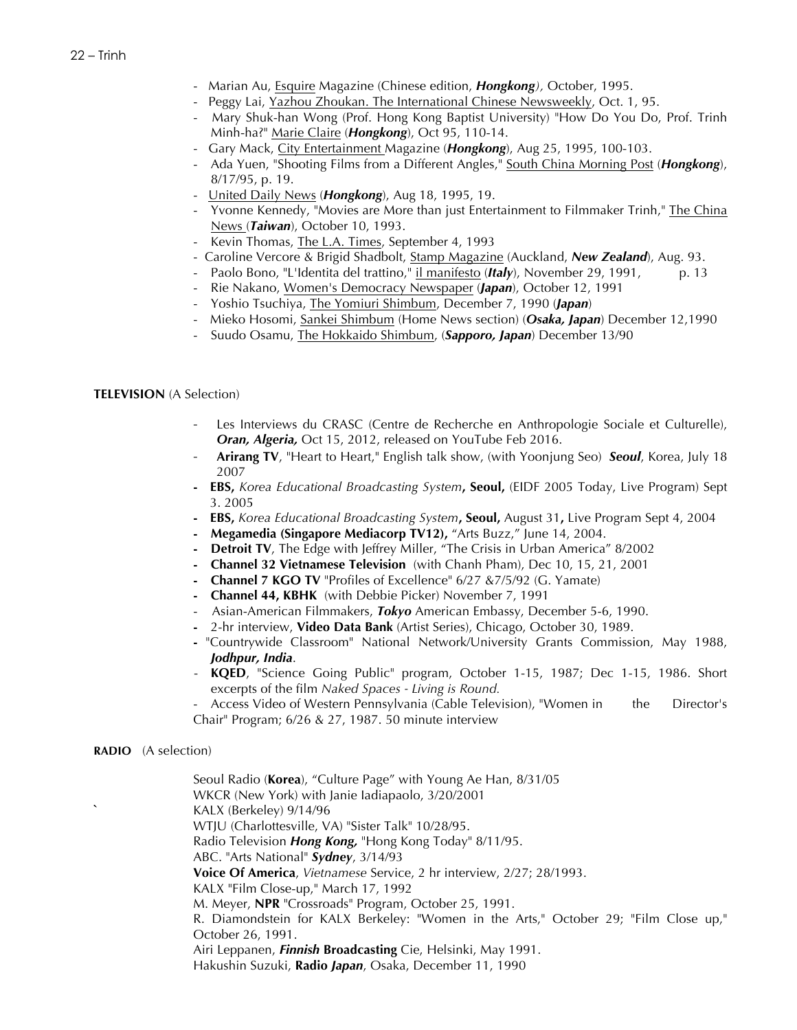- Marian Au, Esquire Magazine (Chinese edition, *Hongkong),* October, 1995.
- Peggy Lai, Yazhou Zhoukan. The International Chinese Newsweekly, Oct. 1, 95.
- Mary Shuk-han Wong (Prof. Hong Kong Baptist University) "How Do You Do, Prof. Trinh Minh-ha?" Marie Claire (*Hongkong*), Oct 95, 110-14.
- Gary Mack, City Entertainment Magazine (*Hongkong*), Aug 25, 1995, 100-103.
- Ada Yuen, "Shooting Films from a Different Angles," South China Morning Post (*Hongkong*), 8/17/95, p. 19.
- United Daily News (*Hongkong*), Aug 18, 1995, 19.
- Yvonne Kennedy, "Movies are More than just Entertainment to Filmmaker Trinh," The China News (*Taiwan*), October 10, 1993.
- Kevin Thomas, The L.A. Times, September 4, 1993
- Caroline Vercore & Brigid Shadbolt, Stamp Magazine (Auckland, *New Zealand*), Aug. 93.
- Paolo Bono, "L'Identita del trattino," il manifesto (Italy), November 29, 1991, p. 13
- Rie Nakano, Women's Democracy Newspaper (*Japan*), October 12, 1991
- Yoshio Tsuchiya, The Yomiuri Shimbum, December 7, 1990 (*Japan*)
- Mieko Hosomi, Sankei Shimbum (Home News section) (*Osaka, Japan*) December 12,1990
- Suudo Osamu, The Hokkaido Shimbum, (*Sapporo, Japan*) December 13/90

## **TELEVISION** (A Selection)

- Les Interviews du CRASC (Centre de Recherche en Anthropologie Sociale et Culturelle), *Oran, Algeria,* Oct 15, 2012, released on YouTube Feb 2016.
- **Arirang TV**, "Heart to Heart," English talk show, (with Yoonjung Seo) *Seoul*, Korea, July 18 2007
- **- EBS,** *Korea Educational Broadcasting System***, Seoul,** (EIDF 2005 Today, Live Program) Sept 3. 2005
- **- EBS,** *Korea Educational Broadcasting System***, Seoul,** August 31**,** Live Program Sept 4, 2004
- **- Megamedia (Singapore Mediacorp TV12),** "Arts Buzz," June 14, 2004.
- **- Detroit TV**, The Edge with Jeffrey Miller, "The Crisis in Urban America" 8/2002
- **- Channel 32 Vietnamese Television** (with Chanh Pham), Dec 10, 15, 21, 2001
- **- Channel 7 KGO TV** "Profiles of Excellence" 6/27 &7/5/92 (G. Yamate)
- **- Channel 44, KBHK** (with Debbie Picker) November 7, 1991
- Asian-American Filmmakers, *Tokyo* American Embassy, December 5-6, 1990.
- **-** 2-hr interview, **Video Data Bank** (Artist Series), Chicago, October 30, 1989.
- **-** "Countrywide Classroom" National Network/University Grants Commission, May 1988, *Jodhpur, India*.
- KQED, "Science Going Public" program, October 1-15, 1987; Dec 1-15, 1986. Short excerpts of the film *Naked Spaces - Living is Round.*
- Access Video of Western Pennsylvania (Cable Television), "Women in the Director's Chair" Program; 6/26 & 27, 1987. 50 minute interview

### **RADIO** (A selection)

Seoul Radio (**Korea**), "Culture Page" with Young Ae Han, 8/31/05 WKCR (New York) with Janie Iadiapaolo, 3/20/2001 **`** KALX (Berkeley) 9/14/96 WTJU (Charlottesville, VA) "Sister Talk" 10/28/95. Radio Television *Hong Kong,* "Hong Kong Today" 8/11/95. ABC. "Arts National" *Sydney*, 3/14/93 **Voice Of America**, *Vietnamese* Service, 2 hr interview, 2/27; 28/1993. KALX "Film Close-up," March 17, 1992 M. Meyer, **NPR** "Crossroads" Program, October 25, 1991. R. Diamondstein for KALX Berkeley: "Women in the Arts," October 29; "Film Close up," October 26, 1991. Airi Leppanen, *Finnish* **Broadcasting** Cie, Helsinki, May 1991. Hakushin Suzuki, **Radio** *Japan*, Osaka, December 11, 1990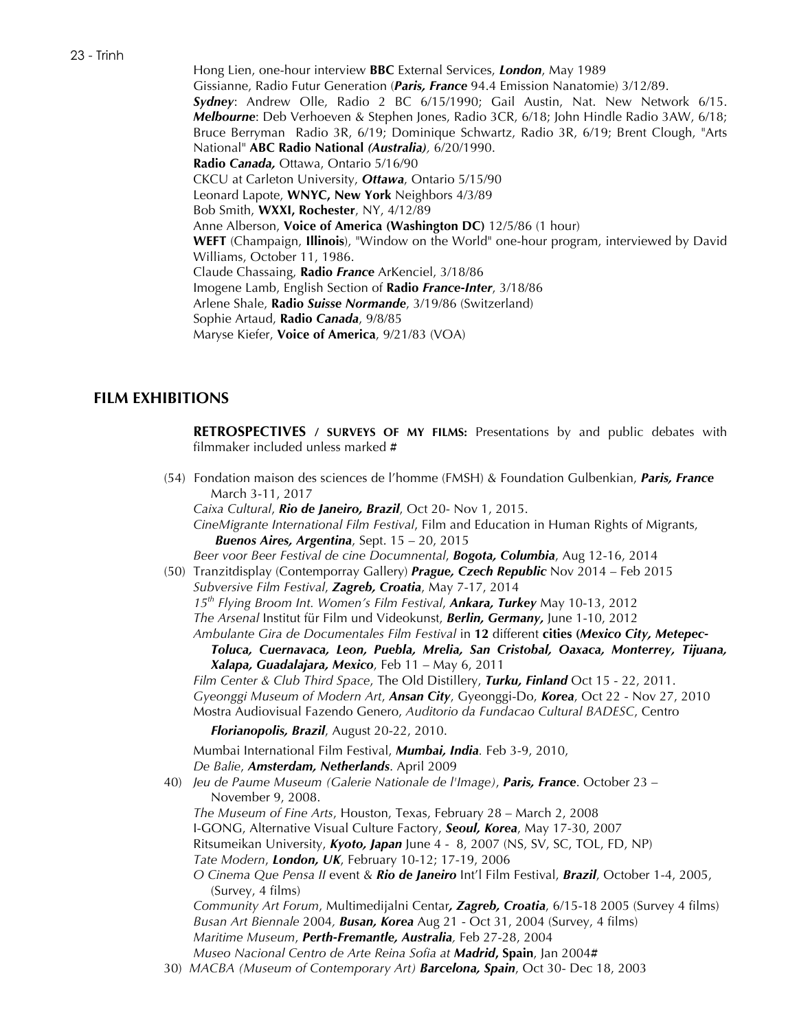Hong Lien, one-hour interview **BBC** External Services, *London*, May 1989 Gissianne, Radio Futur Generation (*Paris, France* 94.4 Emission Nanatomie) 3/12/89. *Sydney*: Andrew Olle, Radio 2 BC 6/15/1990; Gail Austin, Nat. New Network 6/15. *Melbourne*: Deb Verhoeven & Stephen Jones, Radio 3CR, 6/18; John Hindle Radio 3AW, 6/18; Bruce Berryman Radio 3R, 6/19; Dominique Schwartz, Radio 3R, 6/19; Brent Clough, "Arts National" **ABC Radio National** *(Australia),* 6/20/1990. **Radio** *Canada,* Ottawa, Ontario 5/16/90 CKCU at Carleton University, *Ottawa*, Ontario 5/15/90 Leonard Lapote, **WNYC, New York** Neighbors 4/3/89 Bob Smith, **WXXI, Rochester**, NY, 4/12/89 Anne Alberson, **Voice of America (Washington DC)** 12/5/86 (1 hour) **WEFT** (Champaign, **Illinois**), "Window on the World" one-hour program, interviewed by David Williams, October 11, 1986. Claude Chassaing, **Radio** *France* ArKenciel, 3/18/86 Imogene Lamb, English Section of **Radio** *France-Inter*, 3/18/86 Arlene Shale, **Radio** *Suisse Normande*, 3/19/86 (Switzerland) Sophie Artaud, **Radio** *Canada*, 9/8/85 Maryse Kiefer, **Voice of America**, 9/21/83 (VOA)

# **FILM EXHIBITIONS**

**RETROSPECTIVES / SURVEYS OF MY FILMS:** Presentations by and public debates with filmmaker included unless marked **#**

(54) Fondation maison des sciences de l'homme (FMSH) & Foundation Gulbenkian, *Paris, France* March 3-11, 2017

*Caixa Cultural*, *Rio de Janeiro, Brazil*, Oct 20- Nov 1, 2015. *CineMigrante International Film Festival*, Film and Education in Human Rights of Migrants, *Buenos Aires, Argentina*, Sept. 15 – 20, 2015

*Beer voor Beer Festival de cine Documnental*, *Bogota, Columbia*, Aug 12-16, 2014

(50) Tranzitdisplay (Contemporray Gallery) *Prague, Czech Republic* Nov 2014 – Feb 2015 *Subversive Film Festival*, *Zagreb, Croatia*, May 7-17, 2014 *15th Flying Broom Int. Women's Film Festival*, *Ankara, Turkey* May 10-13, 2012 *The Arsenal* Institut für Film und Videokunst, *Berlin, Germany,* June 1-10, 2012 *Ambulante Gira de Documentales Film Festival* in **12** different **cities (***Mexico City, Metepec-*

*Toluca, Cuernavaca, Leon, Puebla, Mrelia, San Cristobal, Oaxaca, Monterrey, Tijuana, Xalapa, Guadalajara, Mexico*, Feb 11 – May 6, 2011

*Film Center & Club Third Space*, The Old Distillery, *Turku, Finland* Oct 15 - 22, 2011. *Gyeonggi Museum of Modern Art*, *Ansan City*, Gyeonggi-Do, *Korea*, Oct 22 - Nov 27, 2010 Mostra Audiovisual Fazendo Genero, *Auditorio da Fundacao Cultural BADESC*, Centro

*Florianopolis, Brazil*, August 20-22, 2010.

Mumbai International Film Festival, *Mumbai, India.* Feb 3-9, 2010, *De Balie*, *Amsterdam, Netherlands*. April 2009

- 40) *Jeu de Paume Museum (Galerie Nationale de l'Image)*, *Paris, France*. October 23 November 9, 2008. *The Museum of Fine Arts*, Houston, Texas, February 28 – March 2, 2008 I-GONG, Alternative Visual Culture Factory, *Seoul, Korea*, May 17-30, 2007 Ritsumeikan University, *Kyoto, Japan* June 4 - 8, 2007 (NS, SV, SC, TOL, FD, NP) *Tate Modern*, *London, UK*, February 10-12; 17-19, 2006 *O Cinema Que Pensa II* event & *Rio de Janeiro* Int'l Film Festival, *Brazil*, October 1-4, 2005, (Survey, 4 films) *Community Art Forum*, Multimedijalni Centar*, Zagreb, Croatia*, 6/15-18 2005 (Survey 4 films) *Busan Art Biennale* 2004*, Busan, Korea* Aug 21 - Oct 31, 2004 (Survey, 4 films) *Maritime Museum*, *Perth-Fremantle, Australia,* Feb 27-28, 2004 *Museo Nacional Centro de Arte Reina Sofia at Madrid***, Spain**, Jan 2004**#**
- 30) *MACBA (Museum of Contemporary Art) Barcelona, Spain*, Oct 30- Dec 18, 2003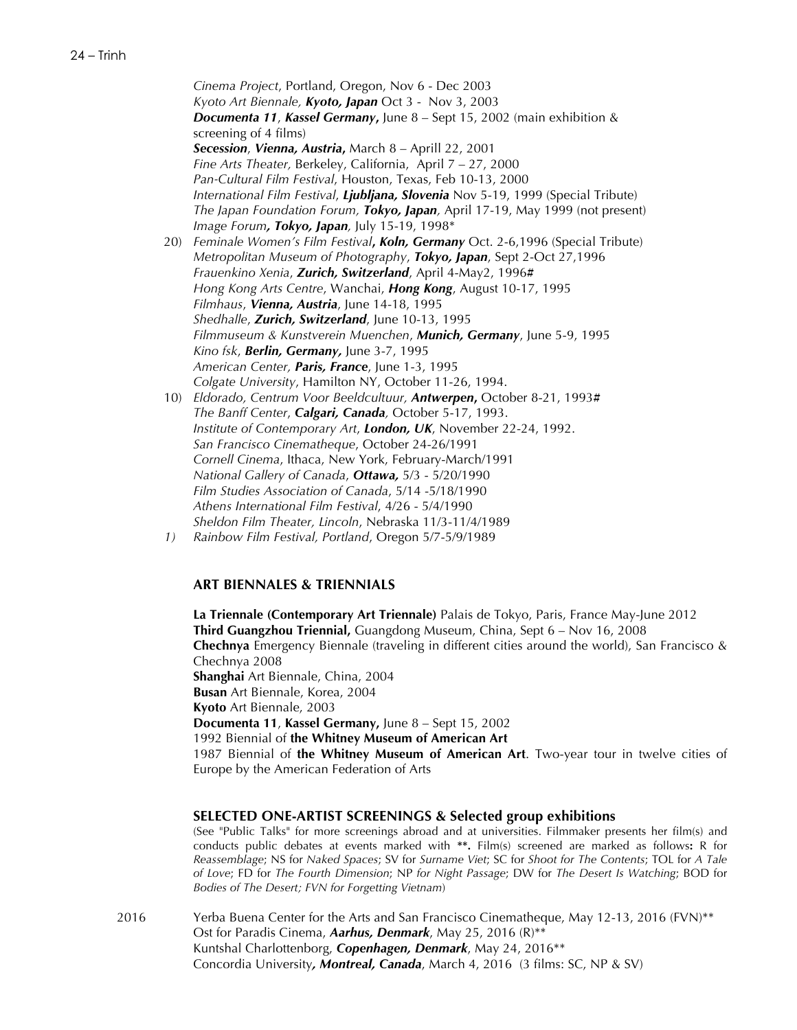*Cinema Project*, Portland, Oregon, Nov 6 - Dec 2003 *Kyoto Art Biennale, Kyoto, Japan* Oct 3 - Nov 3, 2003 *Documenta 11*, *Kassel Germany***,** June 8 – Sept 15, 2002 (main exhibition & screening of 4 films) *Secession*, *Vienna, Austria***,** March 8 – Aprill 22, 2001 *Fine Arts Theater,* Berkeley, California, April 7 – 27, 2000 *Pan-Cultural Film Festival*, Houston, Texas, Feb 10-13, 2000 *International Film Festival*, *Ljubljana, Slovenia* Nov 5-19, 1999 (Special Tribute) *The Japan Foundation Forum, Tokyo, Japan,* April 17-19, May 1999 (not present) *Image Forum, Tokyo, Japan,* July 15-19, 1998\* 20) *Feminale Women's Film Festival***,** *Koln, Germany* Oct. 2-6,1996 (Special Tribute) *Metropolitan Museum of Photography*, *Tokyo, Japan*, Sept 2-Oct 27,1996 *Frauenkino Xenia*, *Zurich, Switzerland*, April 4-May2, 1996**#** *Hong Kong Arts Centre*, Wanchai, *Hong Kong*, August 10-17, 1995 *Filmhaus*, *Vienna, Austria*, June 14-18, 1995 *Shedhalle*, *Zurich, Switzerland*, June 10-13, 1995 *Filmmuseum & Kunstverein Muenchen*, *Munich, Germany*, June 5-9, 1995 *Kino fsk*, *Berlin, Germany,* June 3-7, 1995 *American Center, Paris, France*, June 1-3, 1995 *Colgate University*, Hamilton NY, October 11-26, 1994. 10) *Eldorado, Centrum Voor Beeldcultuur, Antwerpen***,** October 8-21, 1993**#** *The Banff Center*, *Calgari, Canada,* October 5-17, 1993. *Institute of Contemporary Art*, *London, UK*, November 22-24, 1992. *San Francisco Cinematheque*, October 24-26/1991 *Cornell Cinema*, Ithaca, New York, February-March/1991 *National Gallery of Canada*, *Ottawa,* 5/3 - 5/20/1990 *Film Studies Association of Canada*, 5/14 -5/18/1990 *Athens International Film Festival*, 4/26 - 5/4/1990

- *Sheldon Film Theater, Lincoln*, Nebraska 11/3-11/4/1989
- *1) Rainbow Film Festival, Portland*, Oregon 5/7-5/9/1989

### **ART BIENNALES & TRIENNIALS**

**La Triennale (Contemporary Art Triennale)** Palais de Tokyo, Paris, France May-June 2012 **Third Guangzhou Triennial,** Guangdong Museum, China, Sept 6 – Nov 16, 2008 **Chechnya** Emergency Biennale (traveling in different cities around the world), San Francisco & Chechnya 2008 **Shanghai** Art Biennale, China, 2004 **Busan** Art Biennale, Korea, 2004 **Kyoto** Art Biennale, 2003 **Documenta 11**, **Kassel Germany,** June 8 – Sept 15, 2002 1992 Biennial of **the Whitney Museum of American Art** 1987 Biennial of **the Whitney Museum of American Art**. Two-year tour in twelve cities of Europe by the American Federation of Arts

#### **SELECTED ONE-ARTIST SCREENINGS & Selected group exhibitions**

(See "Public Talks" for more screenings abroad and at universities. Filmmaker presents her film(s) and conducts public debates at events marked with **\*\*.** Film(s) screened are marked as follows**:** R for *Reassemblage*; NS for *Naked Spaces*; SV for *Surname Viet*; SC for *Shoot for The Contents*; TOL for *A Tale of Love*; FD for *The Fourth Dimension*; NP *for Night Passage*; DW for *The Desert Is Watching*; BOD for *Bodies of The Desert; FVN for Forgetting Vietnam*)

2016 Yerba Buena Center for the Arts and San Francisco Cinematheque, May 12-13, 2016 (FVN)\*\* Ost for Paradis Cinema, *Aarhus, Denmark*, May 25, 2016 (R)\*\* Kuntshal Charlottenborg, *Copenhagen, Denmark*, May 24, 2016\*\* Concordia University*, Montreal, Canada*, March 4, 2016 (3 films: SC, NP & SV)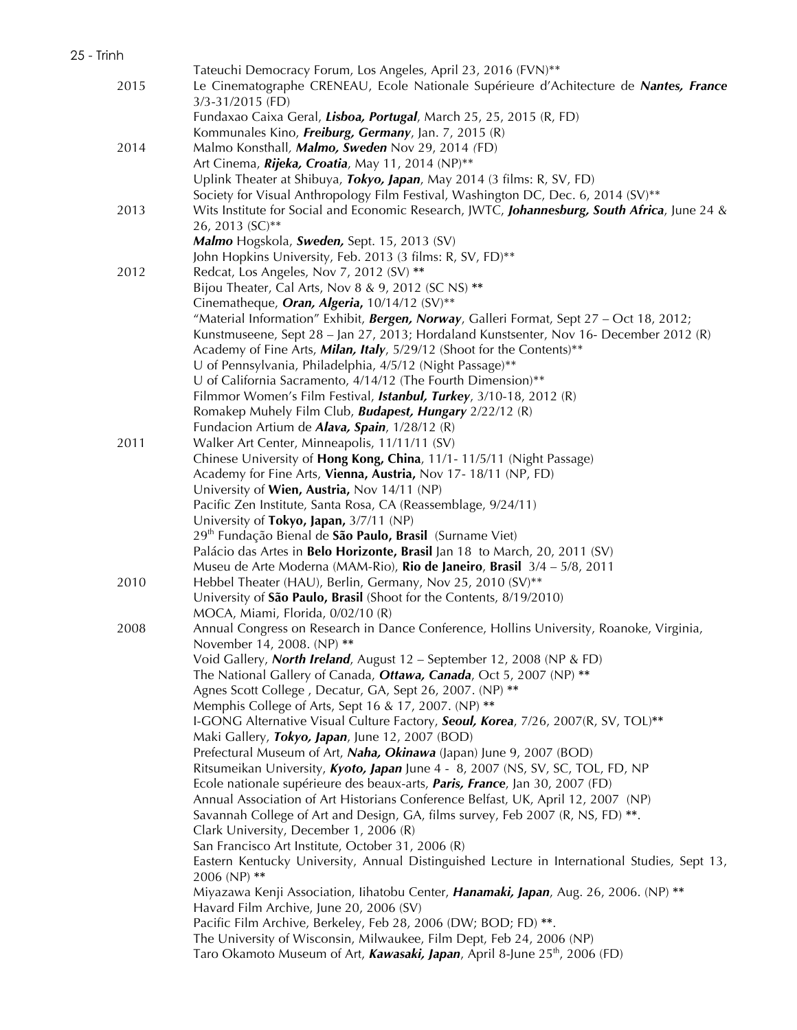|      | Tateuchi Democracy Forum, Los Angeles, April 23, 2016 (FVN)**                                     |
|------|---------------------------------------------------------------------------------------------------|
| 2015 | Le Cinematographe CRENEAU, Ecole Nationale Supérieure d'Achitecture de Nantes, France             |
|      | 3/3-31/2015 (FD)                                                                                  |
|      | Fundaxao Caixa Geral, Lisboa, Portugal, March 25, 25, 2015 (R, FD)                                |
|      | Kommunales Kino, Freiburg, Germany, Jan. 7, 2015 (R)                                              |
| 2014 | Malmo Konsthall, Malmo, Sweden Nov 29, 2014 (FD)                                                  |
|      | Art Cinema, Rijeka, Croatia, May 11, 2014 (NP)**                                                  |
|      | Uplink Theater at Shibuya, Tokyo, Japan, May 2014 (3 films: R, SV, FD)                            |
|      | Society for Visual Anthropology Film Festival, Washington DC, Dec. 6, 2014 (SV)**                 |
| 2013 | Wits Institute for Social and Economic Research, JWTC, Johannesburg, South Africa, June 24 &      |
|      | 26, 2013 (SC)**                                                                                   |
|      | Malmo Hogskola, Sweden, Sept. 15, 2013 (SV)                                                       |
|      | John Hopkins University, Feb. 2013 (3 films: R, SV, FD)**                                         |
| 2012 | Redcat, Los Angeles, Nov 7, 2012 (SV) **                                                          |
|      | Bijou Theater, Cal Arts, Nov 8 & 9, 2012 (SC NS) **                                               |
|      | Cinematheque, Oran, Algeria, 10/14/12 (SV)**                                                      |
|      | "Material Information" Exhibit, <b>Bergen, Norway</b> , Galleri Format, Sept $27 - Oct$ 18, 2012; |
|      | Kunstmuseene, Sept 28 - Jan 27, 2013; Hordaland Kunstsenter, Nov 16- December 2012 (R)            |
|      | Academy of Fine Arts, Milan, Italy, 5/29/12 (Shoot for the Contents)**                            |
|      | U of Pennsylvania, Philadelphia, 4/5/12 (Night Passage)**                                         |
|      | U of California Sacramento, 4/14/12 (The Fourth Dimension)**                                      |
|      | Filmmor Women's Film Festival, Istanbul, Turkey, 3/10-18, 2012 (R)                                |
|      | Romakep Muhely Film Club, Budapest, Hungary 2/22/12 (R)                                           |
|      | Fundacion Artium de Alava, Spain, 1/28/12 (R)                                                     |
| 2011 | Walker Art Center, Minneapolis, 11/11/11 (SV)                                                     |
|      | Chinese University of Hong Kong, China, 11/1-11/5/11 (Night Passage)                              |
|      | Academy for Fine Arts, Vienna, Austria, Nov 17-18/11 (NP, FD)                                     |
|      | University of Wien, Austria, Nov 14/11 (NP)                                                       |
|      | Pacific Zen Institute, Santa Rosa, CA (Reassemblage, 9/24/11)                                     |
|      | University of Tokyo, Japan, 3/7/11 (NP)                                                           |
|      | 29 <sup>th</sup> Fundação Bienal de São Paulo, Brasil (Surname Viet)                              |
|      | Palácio das Artes in Belo Horizonte, Brasil Jan 18 to March, 20, 2011 (SV)                        |
|      | Museu de Arte Moderna (MAM-Rio), Rio de Janeiro, Brasil 3/4 - 5/8, 2011                           |
| 2010 | Hebbel Theater (HAU), Berlin, Germany, Nov 25, 2010 (SV)**                                        |
|      | University of São Paulo, Brasil (Shoot for the Contents, 8/19/2010)                               |
|      | MOCA, Miami, Florida, 0/02/10 (R)                                                                 |
| 2008 | Annual Congress on Research in Dance Conference, Hollins University, Roanoke, Virginia,           |
|      | November 14, 2008. (NP) **                                                                        |
|      | Void Gallery, North Ireland, August 12 - September 12, 2008 (NP & FD)                             |
|      | The National Gallery of Canada, Ottawa, Canada, Oct 5, 2007 (NP) **                               |
|      | Agnes Scott College, Decatur, GA, Sept 26, 2007. (NP) **                                          |
|      | Memphis College of Arts, Sept 16 & 17, 2007. (NP) **                                              |
|      | I-GONG Alternative Visual Culture Factory, Seoul, Korea, 7/26, 2007(R, SV, TOL)**                 |
|      | Maki Gallery, Tokyo, Japan, June 12, 2007 (BOD)                                                   |
|      | Prefectural Museum of Art, Naha, Okinawa (Japan) June 9, 2007 (BOD)                               |
|      | Ritsumeikan University, Kyoto, Japan June 4 - 8, 2007 (NS, SV, SC, TOL, FD, NP                    |
|      | Ecole nationale supérieure des beaux-arts, <i>Paris, France</i> , Jan 30, 2007 (FD)               |
|      | Annual Association of Art Historians Conference Belfast, UK, April 12, 2007 (NP)                  |
|      | Savannah College of Art and Design, GA, films survey, Feb 2007 (R, NS, FD) **.                    |
|      | Clark University, December 1, 2006 (R)                                                            |
|      | San Francisco Art Institute, October 31, 2006 (R)                                                 |
|      | Eastern Kentucky University, Annual Distinguished Lecture in International Studies, Sept 13,      |
|      | 2006 (NP) **                                                                                      |
|      | Miyazawa Kenji Association, Iihatobu Center, Hanamaki, Japan, Aug. 26, 2006. (NP) **              |
|      | Havard Film Archive, June 20, 2006 (SV)                                                           |
|      | Pacific Film Archive, Berkeley, Feb 28, 2006 (DW; BOD; FD) **.                                    |
|      | The University of Wisconsin, Milwaukee, Film Dept, Feb 24, 2006 (NP)                              |
|      | Taro Okamoto Museum of Art, <b>Kawasaki, Japan</b> , April 8-June 25 <sup>th</sup> , 2006 (FD)    |
|      |                                                                                                   |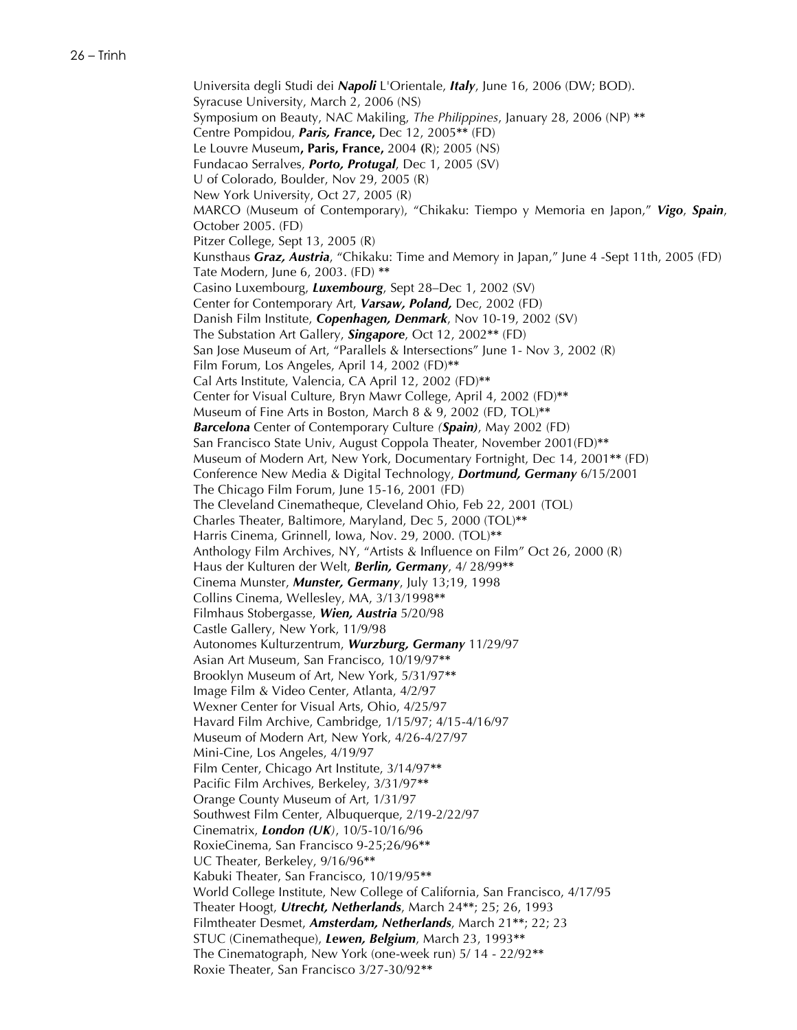Universita degli Studi dei *Napoli* L'Orientale, *Italy*, June 16, 2006 (DW; BOD). Syracuse University, March 2, 2006 (NS) Symposium on Beauty, NAC Makiling, *The Philippines*, January 28, 2006 (NP) **\*\*** Centre Pompidou, *Paris, France***,** Dec 12, 2005**\*\*** (FD) Le Louvre Museum**, Paris, France,** 2004 **(**R); 2005 (NS) Fundacao Serralves, *Porto, Protugal*, Dec 1, 2005 (SV) U of Colorado, Boulder, Nov 29, 2005 (R) New York University, Oct 27, 2005 (R) MARCO (Museum of Contemporary), "Chikaku: Tiempo y Memoria en Japon," *Vigo*, *Spain*, October 2005. (FD) Pitzer College, Sept 13, 2005 (R) Kunsthaus *Graz, Austria*, "Chikaku: Time and Memory in Japan," June 4 -Sept 11th, 2005 (FD) Tate Modern, June 6, 2003. (FD) **\*\*** Casino Luxembourg, *Luxembourg*, Sept 28–Dec 1, 2002 (SV) Center for Contemporary Art, *Varsaw, Poland,* Dec, 2002 (FD) Danish Film Institute, *Copenhagen, Denmark*, Nov 10-19, 2002 (SV) The Substation Art Gallery, *Singapore*, Oct 12, 2002**\*\*** (FD) San Jose Museum of Art, "Parallels & Intersections" June 1- Nov 3, 2002 (R) Film Forum, Los Angeles, April 14, 2002 (FD)**\*\*** Cal Arts Institute, Valencia, CA April 12, 2002 (FD)**\*\*** Center for Visual Culture, Bryn Mawr College, April 4, 2002 (FD)**\*\*** Museum of Fine Arts in Boston, March 8 & 9, 2002 (FD, TOL)**\*\*** *Barcelona* Center of Contemporary Culture *(Spain)*, May 2002 (FD) San Francisco State Univ, August Coppola Theater, November 2001(FD)**\*\*** Museum of Modern Art, New York, Documentary Fortnight, Dec 14, 2001**\*\*** (FD) Conference New Media & Digital Technology, *Dortmund, Germany* 6/15/2001 The Chicago Film Forum, June 15-16, 2001 (FD) The Cleveland Cinematheque, Cleveland Ohio, Feb 22, 2001 (TOL) Charles Theater, Baltimore, Maryland, Dec 5, 2000 (TOL)**\*\*** Harris Cinema, Grinnell, Iowa, Nov. 29, 2000. (TOL)**\*\*** Anthology Film Archives, NY, "Artists & Influence on Film" Oct 26, 2000 (R) Haus der Kulturen der Welt, *Berlin, Germany*, 4/ 28/99**\*\*** Cinema Munster, *Munster, Germany*, July 13;19, 1998 Collins Cinema, Wellesley, MA, 3/13/1998**\*\*** Filmhaus Stobergasse, *Wien, Austria* 5/20/98 Castle Gallery, New York, 11/9/98 Autonomes Kulturzentrum, *Wurzburg, Germany* 11/29/97 Asian Art Museum, San Francisco, 10/19/97**\*\*** Brooklyn Museum of Art, New York, 5/31/97**\*\*** Image Film & Video Center, Atlanta, 4/2/97 Wexner Center for Visual Arts, Ohio, 4/25/97 Havard Film Archive, Cambridge, 1/15/97; 4/15-4/16/97 Museum of Modern Art, New York, 4/26-4/27/97 Mini-Cine, Los Angeles, 4/19/97 Film Center, Chicago Art Institute, 3/14/97**\*\*** Pacific Film Archives, Berkeley, 3/31/97**\*\*** Orange County Museum of Art, 1/31/97 Southwest Film Center, Albuquerque, 2/19-2/22/97 Cinematrix, *London (UK)*, 10/5-10/16/96 RoxieCinema, San Francisco 9-25;26/96**\*\*** UC Theater, Berkeley, 9/16/96**\*\*** Kabuki Theater, San Francisco, 10/19/95**\*\*** World College Institute, New College of California, San Francisco, 4/17/95 Theater Hoogt, *Utrecht, Netherlands*, March 24**\*\***; 25; 26, 1993 Filmtheater Desmet, *Amsterdam, Netherlands*, March 21**\*\***; 22; 23 STUC (Cinematheque), *Lewen, Belgium*, March 23, 1993**\*\*** The Cinematograph, New York (one-week run) 5/ 14 - 22/92**\*\*** Roxie Theater, San Francisco 3/27-30/92**\*\***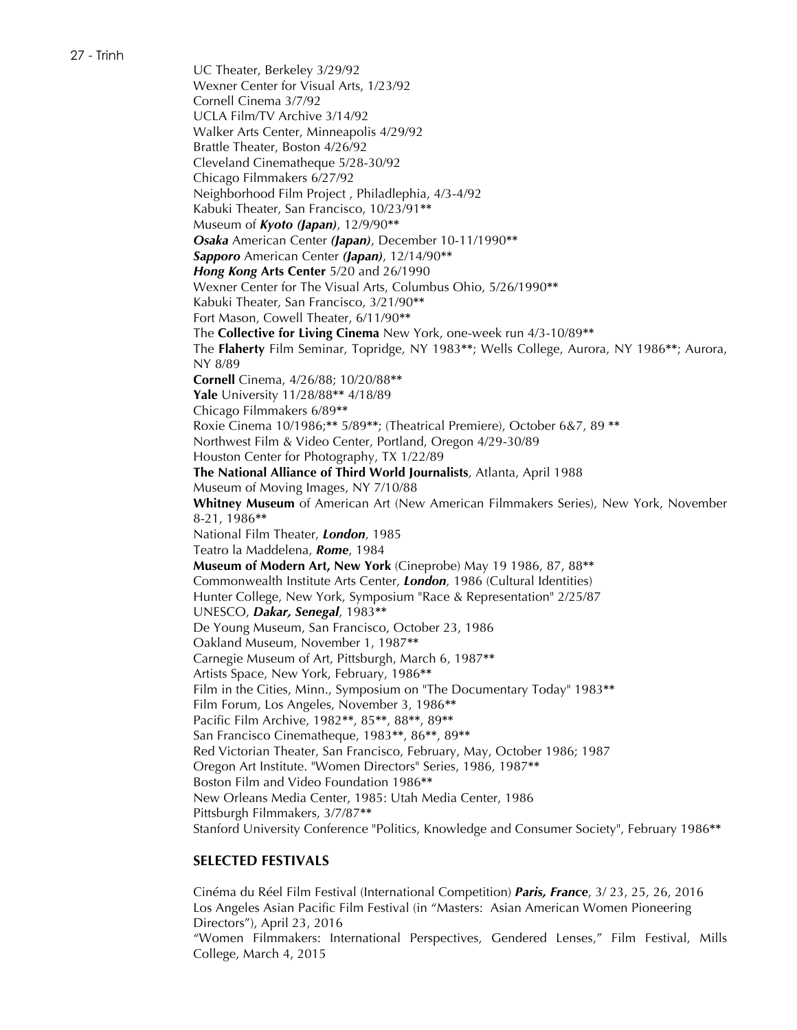27 - Trinh

UC Theater, Berkeley 3/29/92 Wexner Center for Visual Arts, 1/23/92 Cornell Cinema 3/7/92 UCLA Film/TV Archive 3/14/92 Walker Arts Center, Minneapolis 4/29/92 Brattle Theater, Boston 4/26/92 Cleveland Cinematheque 5/28-30/92 Chicago Filmmakers 6/27/92 Neighborhood Film Project , Philadlephia, 4/3-4/92 Kabuki Theater, San Francisco, 10/23/91**\*\*** Museum of *Kyoto (Japan)*, 12/9/90**\*\*** *Osaka* American Center *(Japan)*, December 10-11/1990**\*\*** *Sapporo* American Center *(Japan)*, 12/14/90**\*\*** *Hong Kong* **Arts Center** 5/20 and 26/1990 Wexner Center for The Visual Arts, Columbus Ohio, 5/26/1990**\*\*** Kabuki Theater, San Francisco, 3/21/90**\*\*** Fort Mason, Cowell Theater, 6/11/90**\*\*** The **Collective for Living Cinema** New York, one-week run 4/3-10/89**\*\*** The **Flaherty** Film Seminar, Topridge, NY 1983**\*\***; Wells College, Aurora, NY 1986**\*\***; Aurora, NY 8/89 **Cornell** Cinema, 4/26/88; 10/20/88**\*\* Yale** University 11/28/88**\*\*** 4/18/89 Chicago Filmmakers 6/89**\*\*** Roxie Cinema 10/1986;**\*\*** 5/89**\*\***; (Theatrical Premiere), October 6&7, 89 **\*\*** Northwest Film & Video Center, Portland, Oregon 4/29-30/89 Houston Center for Photography, TX 1/22/89 **The National Alliance of Third World Journalists**, Atlanta, April 1988 Museum of Moving Images, NY 7/10/88 **Whitney Museum** of American Art (New American Filmmakers Series), New York, November 8-21, 1986**\*\*** National Film Theater, *London*, 1985 Teatro la Maddelena, *Rome*, 1984 **Museum of Modern Art, New York** (Cineprobe) May 19 1986, 87, 88**\*\*** Commonwealth Institute Arts Center, *London,* 1986 (Cultural Identities) Hunter College, New York, Symposium "Race & Representation" 2/25/87 UNESCO, *Dakar, Senegal*, 1983**\*\*** De Young Museum, San Francisco, October 23, 1986 Oakland Museum, November 1, 1987**\*\*** Carnegie Museum of Art, Pittsburgh, March 6, 1987**\*\*** Artists Space, New York, February, 1986**\*\*** Film in the Cities, Minn., Symposium on "The Documentary Today" 1983**\*\*** Film Forum, Los Angeles, November 3, 1986**\*\*** Pacific Film Archive, 1982**\*\***, 85**\*\***, 88**\*\***, 89**\*\*** San Francisco Cinematheque, 1983**\*\***, 86**\*\***, 89**\*\*** Red Victorian Theater, San Francisco, February, May, October 1986; 1987 Oregon Art Institute. "Women Directors" Series, 1986, 1987**\*\*** Boston Film and Video Foundation 1986**\*\*** New Orleans Media Center, 1985: Utah Media Center, 1986 Pittsburgh Filmmakers, 3/7/87**\*\*** Stanford University Conference "Politics, Knowledge and Consumer Society", February 1986**\*\***

# **SELECTED FESTIVALS**

Cinéma du Réel Film Festival (International Competition) *Paris, France*, 3/ 23, 25, 26, 2016 Los Angeles Asian Pacific Film Festival (in "Masters: Asian American Women Pioneering Directors"), April 23, 2016 "Women Filmmakers: International Perspectives, Gendered Lenses," Film Festival, Mills College, March 4, 2015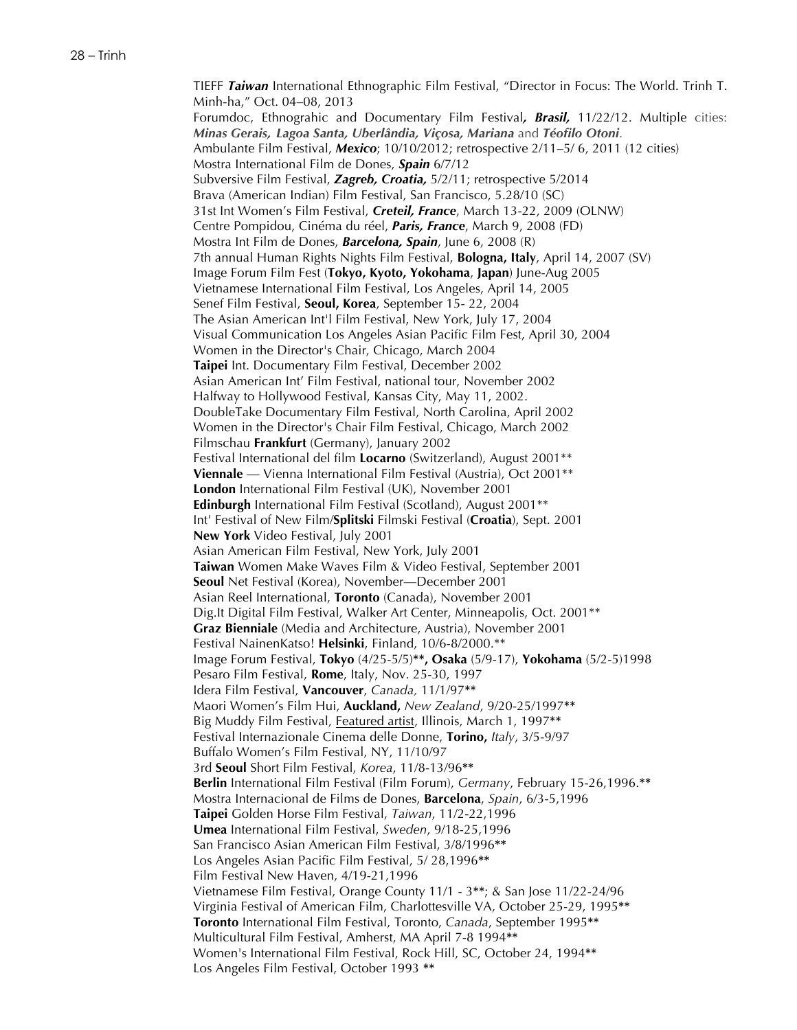TIEFF *Taiwan* International Ethnographic Film Festival, "Director in Focus: The World. Trinh T. Minh-ha," Oct. 04–08, 2013 Forumdoc, Ethnograhic and Documentary Film Festival*, Brasil,* 11/22/12. Multiple cities: *Minas Gerais, Lagoa Santa, Uberlândia, Viçosa, Mariana* and *Téofilo Otoni*. Ambulante Film Festival, *Mexico*; 10/10/2012; retrospective 2/11–5/ 6, 2011 (12 cities) Mostra International Film de Dones, *Spain* 6/7/12 Subversive Film Festival, *Zagreb, Croatia,* 5/2/11; retrospective 5/2014 Brava (American Indian) Film Festival, San Francisco, 5.28/10 (SC) 31st Int Women's Film Festival, *Creteil, France*, March 13-22, 2009 (OLNW) Centre Pompidou, Cinéma du réel, *Paris, France*, March 9, 2008 (FD) Mostra Int Film de Dones, *Barcelona, Spain*, June 6, 2008 (R) 7th annual Human Rights Nights Film Festival, **Bologna, Italy**, April 14, 2007 (SV) Image Forum Film Fest (**Tokyo, Kyoto, Yokohama**, **Japan**) June-Aug 2005 Vietnamese International Film Festival, Los Angeles, April 14, 2005 Senef Film Festival, **Seoul, Korea**, September 15- 22, 2004 The Asian American Int'l Film Festival, New York, July 17, 2004 Visual Communication Los Angeles Asian Pacific Film Fest, April 30, 2004 Women in the Director's Chair, Chicago, March 2004 **Taipei** Int. Documentary Film Festival, December 2002 Asian American Int' Film Festival, national tour, November 2002 Halfway to Hollywood Festival, Kansas City, May 11, 2002. DoubleTake Documentary Film Festival, North Carolina, April 2002 Women in the Director's Chair Film Festival, Chicago, March 2002 Filmschau **Frankfurt** (Germany), January 2002 Festival International del film **Locarno** (Switzerland), August 2001\*\* **Viennale** — Vienna International Film Festival (Austria), Oct 2001\*\* **London** International Film Festival (UK), November 2001 **Edinburgh** International Film Festival (Scotland), August 2001\*\* Int' Festival of New Film/**Splitski** Filmski Festival (**Croatia**), Sept. 2001 **New York** Video Festival, July 2001 Asian American Film Festival, New York, July 2001 **Taiwan** Women Make Waves Film & Video Festival, September 2001 **Seoul** Net Festival (Korea), November—December 2001 Asian Reel International, **Toronto** (Canada), November 2001 Dig.It Digital Film Festival, Walker Art Center, Minneapolis, Oct. 2001\*\* **Graz Bienniale** (Media and Architecture, Austria), November 2001 Festival NainenKatso! **Helsinki**, Finland, 10/6-8/2000.\*\* Image Forum Festival, **Tokyo** (4/25-5/5)**\*\*, Osaka** (5/9-17), **Yokohama** (5/2-5)1998 Pesaro Film Festival, **Rome**, Italy, Nov. 25-30, 1997 Idera Film Festival, **Vancouver**, *Canada,* 11/1/97**\*\*** Maori Women's Film Hui, **Auckland,** *New Zealand*, 9/20-25/1997**\*\*** Big Muddy Film Festival, Featured artist, Illinois, March 1, 1997**\*\*** Festival Internazionale Cinema delle Donne, **Torino,** *Italy*, 3/5-9/97 Buffalo Women's Film Festival, NY, 11/10/97 3rd **Seoul** Short Film Festival, *Korea*, 11/8-13/96**\*\* Berlin** International Film Festival (Film Forum), *Germany*, February 15-26,1996.**\*\*** Mostra Internacional de Films de Dones, **Barcelona**, *Spain*, 6/3-5,1996 **Taipei** Golden Horse Film Festival, *Taiwan*, 11/2-22,1996 **Umea** International Film Festival, *Sweden*, 9/18-25,1996 San Francisco Asian American Film Festival, 3/8/1996**\*\*** Los Angeles Asian Pacific Film Festival, 5/ 28,1996**\*\*** Film Festival New Haven, 4/19-21,1996 Vietnamese Film Festival, Orange County 11/1 - 3**\*\***; & San Jose 11/22-24/96 Virginia Festival of American Film, Charlottesville VA, October 25-29, 1995**\*\* Toronto** International Film Festival, Toronto, *Canada*, September 1995**\*\*** Multicultural Film Festival, Amherst, MA April 7-8 1994**\*\*** Women's International Film Festival, Rock Hill, SC, October 24, 1994**\*\*** Los Angeles Film Festival, October 1993 **\*\***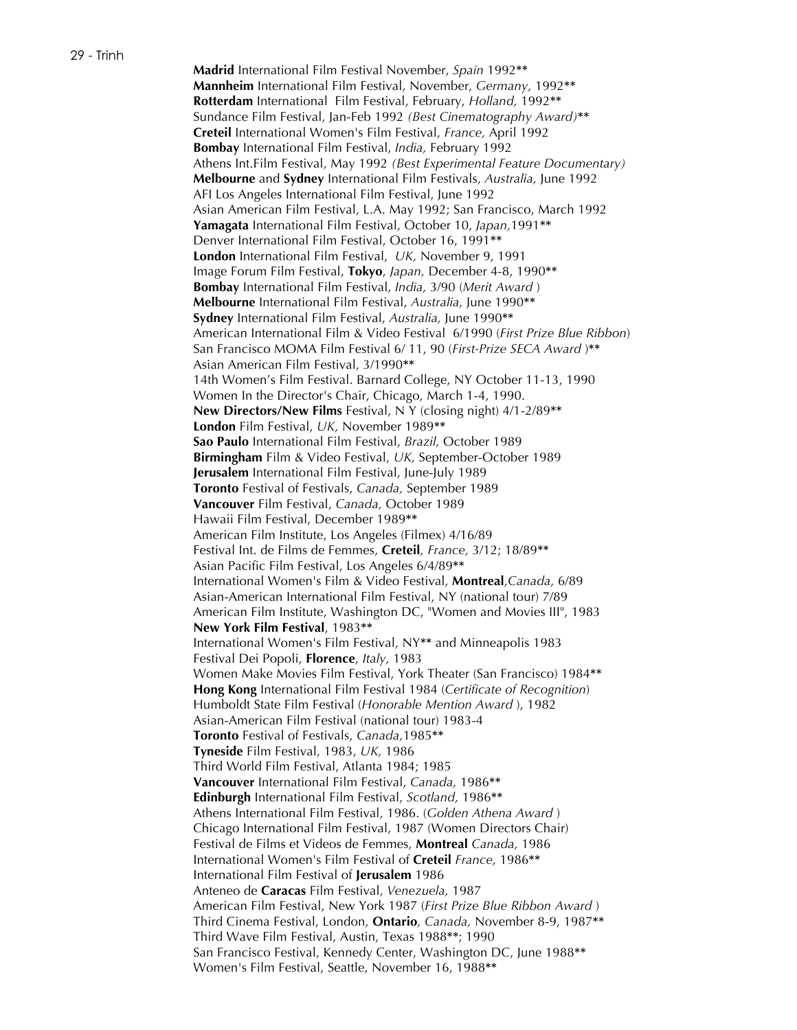**Madrid** International Film Festival November, *Spain* 1992**\*\* Mannheim** International Film Festival, November, *Germany,* 1992**\*\* Rotterdam** International Film Festival, February, *Holland,* 1992**\*\*** Sundance Film Festival, Jan-Feb 1992 *(Best Cinematography Award)***\*\* Creteil** International Women's Film Festival, *France,* April 1992 **Bombay** International Film Festival, *India,* February 1992 Athens Int.Film Festival, May 1992 *(Best Experimental Feature Documentary)* **Melbourne** and **Sydney** International Film Festivals, *Australia,* June 1992 AFI Los Angeles International Film Festival, June 1992 Asian American Film Festival, L.A. May 1992; San Francisco, March 1992 **Yamagata** International Film Festival, October 10, *Japan,*1991**\*\*** Denver International Film Festival, October 16, 1991**\*\* London** International Film Festival, *UK,* November 9, 1991 Image Forum Film Festival, **Tokyo**, *Japan,* December 4-8, 1990**\*\* Bombay** International Film Festival, *India,* 3/90 (*Merit Award* ) **Melbourne** International Film Festival, *Australia,* June 1990**\*\* Sydney** International Film Festival, *Australia,* June 1990**\*\*** American International Film & Video Festival 6/1990 (*First Prize Blue Ribbon*) San Francisco MOMA Film Festival 6/ 11, 90 (*First-Prize SECA Award* )**\*\*** Asian American Film Festival, 3/1990**\*\*** 14th Women's Film Festival. Barnard College, NY October 11-13, 1990 Women In the Director's Chair, Chicago, March 1-4, 1990. **New Directors/New Films** Festival, N Y (closing night) 4/1-2/89**\*\* London** Film Festival, *UK,* November 1989**\*\* Sao Paulo** International Film Festival, *Brazil,* October 1989 **Birmingham** Film & Video Festival, *UK,* September-October 1989 **Jerusalem** International Film Festival, June-July 1989 **Toronto** Festival of Festivals, *Canada,* September 1989 **Vancouver** Film Festival, *Canada,* October 1989 Hawaii Film Festival, December 1989**\*\*** American Film Institute, Los Angeles (Filmex) 4/16/89 Festival Int. de Films de Femmes, **Creteil***, France,* 3/12; 18/89**\*\*** Asian Pacific Film Festival, Los Angeles 6/4/89**\*\*** International Women's Film & Video Festival, **Montreal**,*Canada,* 6/89 Asian-American International Film Festival, NY (national tour) 7/89 American Film Institute, Washington DC, "Women and Movies III", 1983 **New York Film Festival**, 1983**\*\*** International Women's Film Festival, NY**\*\*** and Minneapolis 1983 Festival Dei Popoli, **Florence**, *Italy,* 1983 Women Make Movies Film Festival, York Theater (San Francisco) 1984**\*\* Hong Kong** International Film Festival 1984 (*Certificate of Recognition*) Humboldt State Film Festival (*Honorable Mention Award* ), 1982 Asian-American Film Festival (national tour) 1983-4 **Toronto** Festival of Festivals, *Canada,*1985**\*\* Tyneside** Film Festival, 1983, *UK,* 1986 Third World Film Festival, Atlanta 1984; 1985 **Vancouver** International Film Festival, *Canada,* 1986**\*\* Edinburgh** International Film Festival, *Scotland,* 1986**\*\*** Athens International Film Festival, 1986. (*Golden Athena Award* ) Chicago International Film Festival, 1987 (Women Directors Chair) Festival de Films et Videos de Femmes, **Montreal** *Canada,* 1986 International Women's Film Festival of **Creteil** *France,* 1986**\*\*** International Film Festival of **Jerusalem** 1986 Anteneo de **Caracas** Film Festival, *Venezuela,* 1987 American Film Festival, New York 1987 (*First Prize Blue Ribbon Award* ) Third Cinema Festival, London, **Ontario***, Canada,* November 8-9, 1987**\*\*** Third Wave Film Festival, Austin, Texas 1988**\*\***; 1990 San Francisco Festival, Kennedy Center, Washington DC, June 1988**\*\*** Women's Film Festival, Seattle, November 16, 1988**\*\***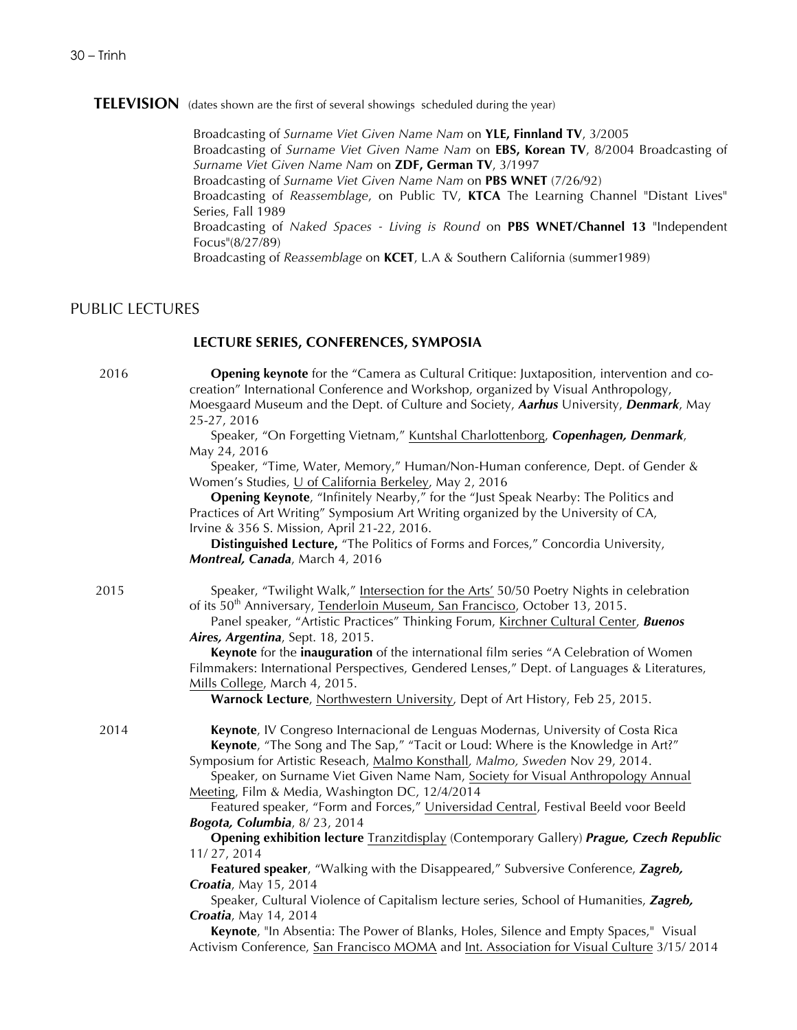# **TELEVISION** (dates shown are the first of several showings scheduled during the year)

Broadcasting of *Surname Viet Given Name Nam* on **YLE, Finnland TV**, 3/2005 Broadcasting of *Surname Viet Given Name Nam* on **EBS, Korean TV**, 8/2004 Broadcasting of *Surname Viet Given Name Nam* on **ZDF, German TV**, 3/1997 Broadcasting of *Surname Viet Given Name Nam* on **PBS WNET** (7/26/92) Broadcasting of *Reassemblage*, on Public TV, **KTCA** The Learning Channel "Distant Lives" Series, Fall 1989 Broadcasting of *Naked Spaces - Living is Round* on **PBS WNET/Channel 13** "Independent Focus"(8/27/89) Broadcasting of *Reassemblage* on **KCET**, L.A & Southern California (summer1989)

# PUBLIC LECTURES

### **LECTURE SERIES, CONFERENCES, SYMPOSIA**

**Opening keynote** for the "Camera as Cultural Critique: Juxtaposition, intervention and cocreation" International Conference and Workshop, organized by Visual Anthropology, Moesgaard Museum and the Dept. of Culture and Society, *Aarhus* University, *Denmark*, May 25-27, 2016

Speaker, "On Forgetting Vietnam," Kuntshal Charlottenborg, *Copenhagen, Denmark*, May 24, 2016

Speaker, "Time, Water, Memory," Human/Non-Human conference, Dept. of Gender & Women's Studies, U of California Berkeley, May 2, 2016

**Opening Keynote**, "Infinitely Nearby," for the "Just Speak Nearby: The Politics and Practices of Art Writing" Symposium Art Writing organized by the University of CA, Irvine & 356 S. Mission, April 21-22, 2016.

**Distinguished Lecture,** "The Politics of Forms and Forces," Concordia University, *Montreal, Canada*, March 4, 2016

2015 Speaker, "Twilight Walk," <u>Intersection for the Arts'</u> 50/50 Poetry Nights in celebration of its 50<sup>th</sup> Anniversary, Tenderloin Museum, San Francisco, October 13, 2015.

Panel speaker, "Artistic Practices" Thinking Forum, Kirchner Cultural Center, *Buenos Aires, Argentina*, Sept. 18, 2015.

**Keynote** for the **inauguration** of the international film series "A Celebration of Women Filmmakers: International Perspectives, Gendered Lenses," Dept. of Languages & Literatures, Mills College, March 4, 2015.

**Warnock Lecture**, Northwestern University, Dept of Art History, Feb 25, 2015.

2014 **Keynote**, IV Congreso Internacional de Lenguas Modernas, University of Costa Rica **Keynote**, "The Song and The Sap," "Tacit or Loud: Where is the Knowledge in Art?" Symposium for Artistic Reseach, Malmo Konsthall*, Malmo, Sweden* Nov 29, 2014.

> Speaker, on Surname Viet Given Name Nam, Society for Visual Anthropology Annual Meeting, Film & Media, Washington DC, 12/4/2014

Featured speaker, "Form and Forces," Universidad Central, Festival Beeld voor Beeld *Bogota, Columbia*, 8/ 23, 2014

**Opening exhibition lecture** Tranzitdisplay (Contemporary Gallery) *Prague, Czech Republic* 11/ 27, 2014

**Featured speaker**, "Walking with the Disappeared," Subversive Conference, *Zagreb, Croatia*, May 15, 2014

Speaker, Cultural Violence of Capitalism lecture series, School of Humanities, *Zagreb, Croatia*, May 14, 2014

**Keynote**, "In Absentia: The Power of Blanks, Holes, Silence and Empty Spaces," Visual Activism Conference, San Francisco MOMA and Int. Association for Visual Culture 3/15/ 2014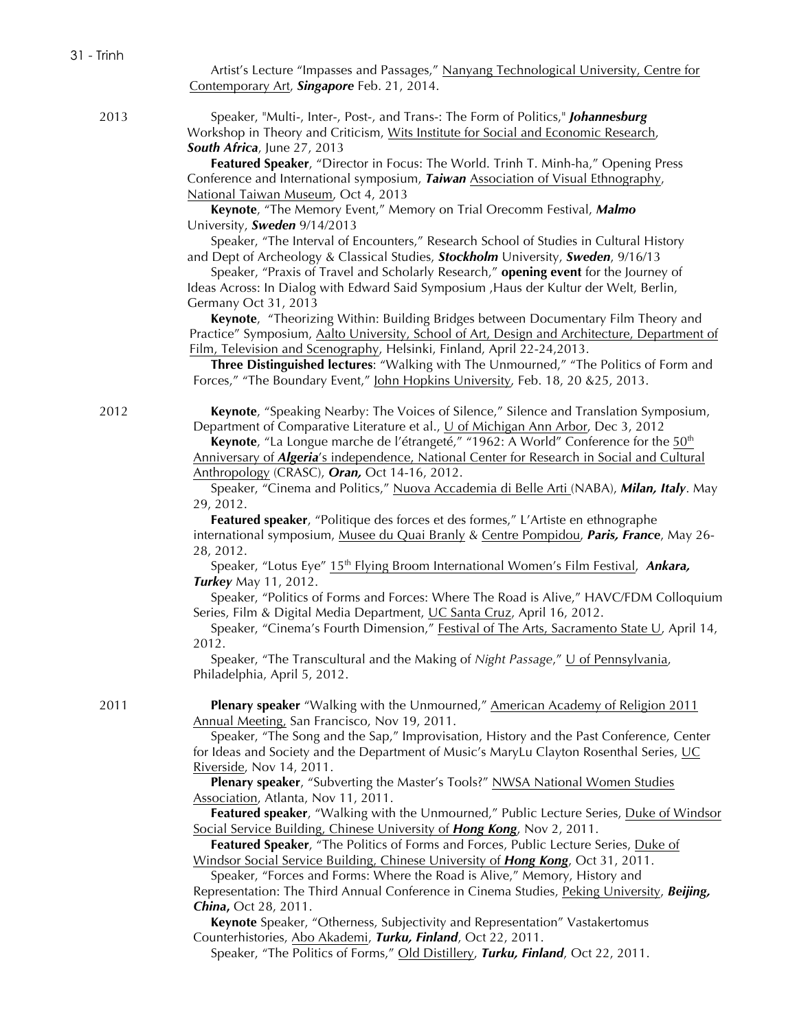Artist's Lecture "Impasses and Passages," Nanyang Technological University, Centre for Contemporary Art, *Singapore* Feb. 21, 2014.

2013 Speaker, "Multi-, Inter-, Post-, and Trans-: The Form of Politics," *Johannesburg* Workshop in Theory and Criticism, Wits Institute for Social and Economic Research, *South Africa*, June 27, 2013

> **Featured Speaker**, "Director in Focus: The World. Trinh T. Minh-ha," Opening Press Conference and International symposium, *Taiwan* Association of Visual Ethnography, National Taiwan Museum, Oct 4, 2013

**Keynote**, "The Memory Event," Memory on Trial Orecomm Festival, *Malmo* University, *Sweden* 9/14/2013

Speaker, "The Interval of Encounters," Research School of Studies in Cultural History and Dept of Archeology & Classical Studies, *Stockholm* University, *Sweden*, 9/16/13

Speaker, "Praxis of Travel and Scholarly Research," **opening event** for the Journey of Ideas Across: In Dialog with Edward Said Symposium ,Haus der Kultur der Welt, Berlin, Germany Oct 31, 2013

**Keynote**, "Theorizing Within: Building Bridges between Documentary Film Theory and Practice" Symposium, Aalto University, School of Art, Design and Architecture, Department of Film, Television and Scenography, Helsinki, Finland, April 22-24,2013.

**Three Distinguished lectures**: "Walking with The Unmourned," "The Politics of Form and Forces," "The Boundary Event," John Hopkins University, Feb. 18, 20 &25, 2013.

2012 **Keynote**, "Speaking Nearby: The Voices of Silence," Silence and Translation Symposium, Department of Comparative Literature et al.,  $\underline{U}$  of Michigan Ann Arbor, Dec 3, 2012

> **Keynote**, "La Longue marche de l'étrangeté," "1962: A World" Conference for the 50<sup>th</sup> Anniversary of *Algeria*'s independence, National Center for Research in Social and Cultural Anthropology (CRASC), *Oran,* Oct 14-16, 2012.

Speaker, "Cinema and Politics," Nuova Accademia di Belle Arti (NABA), *Milan, Italy*. May 29, 2012.

**Featured speaker**, "Politique des forces et des formes," L'Artiste en ethnographe international symposium, Musee du Quai Branly & Centre Pompidou, *Paris, France*, May 26- 28, 2012.

Speaker, "Lotus Eye" 15<sup>th</sup> Flying Broom International Women's Film Festival, Ankara, *Turkey* May 11, 2012.

Speaker, "Politics of Forms and Forces: Where The Road is Alive," HAVC/FDM Colloquium Series, Film & Digital Media Department, UC Santa Cruz, April 16, 2012.

Speaker, "Cinema's Fourth Dimension," Festival of The Arts, Sacramento State U, April 14, 2012.

Speaker, "The Transcultural and the Making of *Night Passage*," U of Pennsylvania, Philadelphia, April 5, 2012.

2011 **Plenary speaker** "Walking with the Unmourned," American Academy of Religion 2011 Annual Meeting, San Francisco, Nov 19, 2011.

> Speaker, "The Song and the Sap," Improvisation, History and the Past Conference, Center for Ideas and Society and the Department of Music's MaryLu Clayton Rosenthal Series, UC Riverside, Nov 14, 2011.

**Plenary speaker**, "Subverting the Master's Tools?" NWSA National Women Studies Association, Atlanta, Nov 11, 2011.

**Featured speaker**, "Walking with the Unmourned," Public Lecture Series, Duke of Windsor Social Service Building, Chinese University of *Hong Kong*, Nov 2, 2011.

**Featured Speaker**, "The Politics of Forms and Forces, Public Lecture Series, Duke of Windsor Social Service Building, Chinese University of *Hong Kong*, Oct 31, 2011.

Speaker, "Forces and Forms: Where the Road is Alive," Memory, History and Representation: The Third Annual Conference in Cinema Studies, Peking University, *Beijing, China***,** Oct 28, 2011.

**Keynote** Speaker, "Otherness, Subjectivity and Representation" Vastakertomus Counterhistories, Abo Akademi, *Turku, Finland*, Oct 22, 2011.

Speaker, "The Politics of Forms," Old Distillery, *Turku, Finland*, Oct 22, 2011.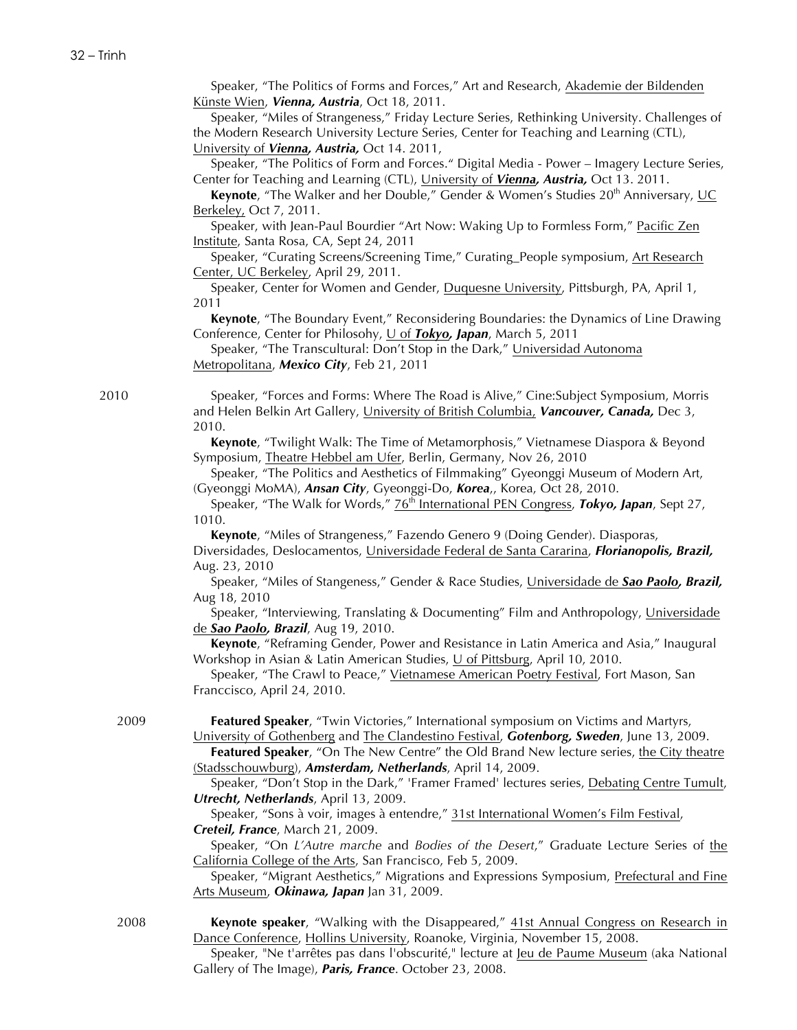Speaker, "The Politics of Forms and Forces," Art and Research, Akademie der Bildenden Künste Wien, *Vienna, Austria*, Oct 18, 2011.

Speaker, "Miles of Strangeness," Friday Lecture Series, Rethinking University. Challenges of the Modern Research University Lecture Series, Center for Teaching and Learning (CTL), University of *Vienna, Austria,* Oct 14. 2011,

Speaker, "The Politics of Form and Forces." Digital Media - Power – Imagery Lecture Series, Center for Teaching and Learning (CTL), University of *Vienna, Austria,* Oct 13. 2011.

**Keynote**, "The Walker and her Double," Gender & Women's Studies 20<sup>th</sup> Anniversary, UC Berkeley, Oct 7, 2011.

Speaker, with Jean-Paul Bourdier "Art Now: Waking Up to Formless Form," Pacific Zen Institute, Santa Rosa, CA, Sept 24, 2011

Speaker, "Curating Screens/Screening Time," Curating\_People symposium, Art Research Center, UC Berkeley, April 29, 2011.

Speaker, Center for Women and Gender, Duquesne University, Pittsburgh, PA, April 1, 2011

**Keynote**, "The Boundary Event," Reconsidering Boundaries: the Dynamics of Line Drawing Conference, Center for Philosohy, U of *Tokyo, Japan*, March 5, 2011

Speaker, "The Transcultural: Don't Stop in the Dark," Universidad Autonoma Metropolitana, *Mexico City*, Feb 21, 2011

2010 Speaker, "Forces and Forms: Where The Road is Alive," Cine:Subject Symposium, Morris and Helen Belkin Art Gallery, University of British Columbia, *Vancouver, Canada,* Dec 3, 2010.

> **Keynote**, "Twilight Walk: The Time of Metamorphosis," Vietnamese Diaspora & Beyond Symposium, Theatre Hebbel am Ufer, Berlin, Germany, Nov 26, 2010

> Speaker, "The Politics and Aesthetics of Filmmaking" Gyeonggi Museum of Modern Art, (Gyeonggi MoMA), *Ansan City*, Gyeonggi-Do, *Korea*,, Korea, Oct 28, 2010.

> Speaker, "The Walk for Words," 76<sup>th</sup> International PEN Congress, *Tokyo, Japan*, Sept 27, 1010.

**Keynote**, "Miles of Strangeness," Fazendo Genero 9 (Doing Gender). Diasporas, Diversidades, Deslocamentos, Universidade Federal de Santa Cararina, *Florianopolis, Brazil,* Aug. 23, 2010

Speaker, "Miles of Stangeness," Gender & Race Studies, Universidade de *Sao Paolo, Brazil,* Aug 18, 2010

Speaker, "Interviewing, Translating & Documenting" Film and Anthropology, Universidade de *Sao Paolo, Brazil*, Aug 19, 2010.

**Keynote**, "Reframing Gender, Power and Resistance in Latin America and Asia," Inaugural Workshop in Asian & Latin American Studies, U of Pittsburg, April 10, 2010.

Speaker, "The Crawl to Peace," Vietnamese American Poetry Festival, Fort Mason, San Franccisco, April 24, 2010.

2009 **Featured Speaker**, "Twin Victories," International symposium on Victims and Martyrs, University of Gothenberg and The Clandestino Festival, *Gotenborg, Sweden*, June 13, 2009.

> **Featured Speaker**, "On The New Centre" the Old Brand New lecture series, the City theatre (Stadsschouwburg), *Amsterdam, Netherlands*, April 14, 2009.

> Speaker, "Don't Stop in the Dark," 'Framer Framed' lectures series, Debating Centre Tumult, *Utrecht, Netherlands*, April 13, 2009.

Speaker, "Sons à voir, images à entendre," 31st International Women's Film Festival, *Creteil, France*, March 21, 2009.

Speaker, "On *L'Autre marche* and *Bodies of the Desert*," Graduate Lecture Series of the California College of the Arts, San Francisco, Feb 5, 2009.

Speaker, "Migrant Aesthetics," Migrations and Expressions Symposium, Prefectural and Fine Arts Museum, *Okinawa, Japan* Jan 31, 2009.

**Keynote speaker**, "Walking with the Disappeared," 41st Annual Congress on Research in Dance Conference, Hollins University, Roanoke, Virginia, November 15, 2008.

Speaker, "Ne t'arrêtes pas dans l'obscurité," lecture at Jeu de Paume Museum (aka National Gallery of The Image), *Paris, France*. October 23, 2008.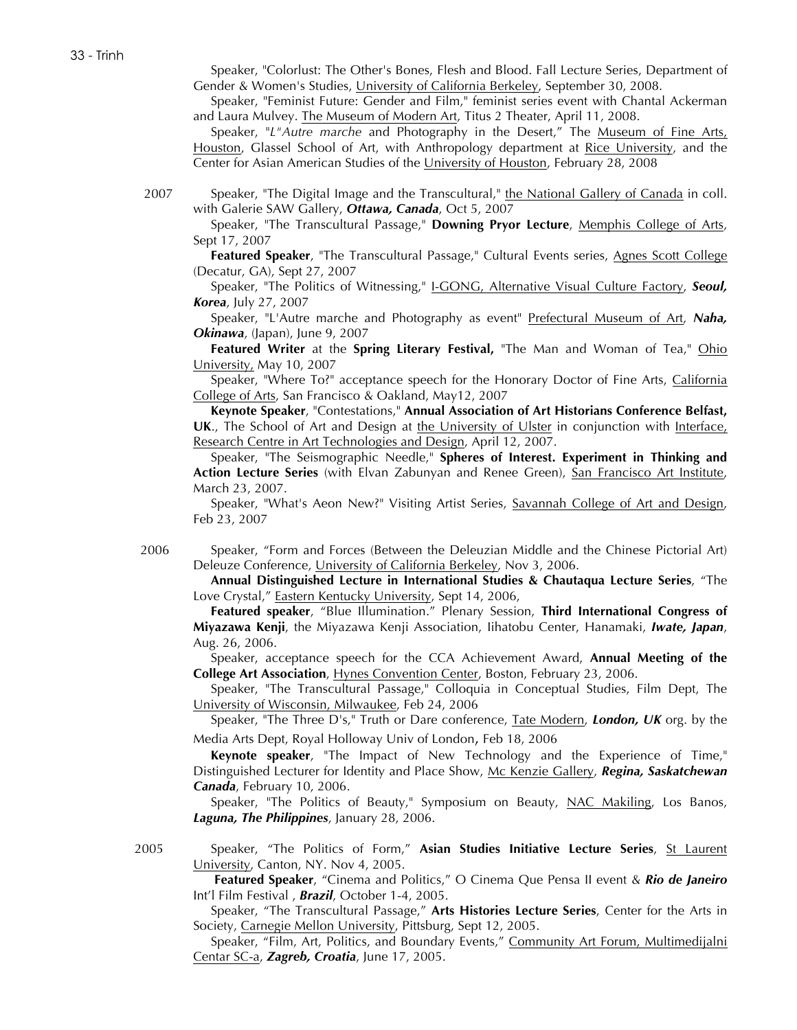Speaker, "Colorlust: The Other's Bones, Flesh and Blood. Fall Lecture Series, Department of Gender & Women's Studies, University of California Berkeley, September 30, 2008.

Speaker, "Feminist Future: Gender and Film," feminist series event with Chantal Ackerman and Laura Mulvey. The Museum of Modern Art, Titus 2 Theater, April 11, 2008.

Speaker, "*L"Autre marche* and Photography in the Desert," The Museum of Fine Arts, Houston, Glassel School of Art, with Anthropology department at Rice University, and the Center for Asian American Studies of the University of Houston, February 28, 2008

2007 Speaker, "The Digital Image and the Transcultural," the National Gallery of Canada in coll. with Galerie SAW Gallery, *Ottawa, Canada*, Oct 5, 2007

Speaker, "The Transcultural Passage," **Downing Pryor Lecture**, Memphis College of Arts, Sept 17, 2007

Featured Speaker, "The Transcultural Passage," Cultural Events series, Agnes Scott College (Decatur, GA), Sept 27, 2007

Speaker, "The Politics of Witnessing," I-GONG, Alternative Visual Culture Factory, *Seoul, Korea*, July 27, 2007

Speaker, "L'Autre marche and Photography as event" Prefectural Museum of Art, *Naha, Okinawa*, (Japan), June 9, 2007

**Featured Writer** at the **Spring Literary Festival,** "The Man and Woman of Tea," Ohio University, May 10, 2007

Speaker, "Where To?" acceptance speech for the Honorary Doctor of Fine Arts, California College of Arts, San Francisco & Oakland, May12, 2007

**Keynote Speaker**, "Contestations," **Annual Association of Art Historians Conference Belfast,**  UK., The School of Art and Design at the University of Ulster in conjunction with Interface, Research Centre in Art Technologies and Design, April 12, 2007.

Speaker, "The Seismographic Needle," **Spheres of Interest. Experiment in Thinking and Action Lecture Series** (with Elvan Zabunyan and Renee Green), San Francisco Art Institute, March 23, 2007.

Speaker, "What's Aeon New?" Visiting Artist Series, Savannah College of Art and Design, Feb 23, 2007

2006 Speaker, "Form and Forces (Between the Deleuzian Middle and the Chinese Pictorial Art) Deleuze Conference, University of California Berkeley, Nov 3, 2006.

**Annual Distinguished Lecture in International Studies & Chautaqua Lecture Series**, "The Love Crystal," Eastern Kentucky University, Sept 14, 2006,

**Featured speaker**, "Blue Illumination." Plenary Session, **Third International Congress of Miyazawa Kenji**, the Miyazawa Kenji Association, Iihatobu Center, Hanamaki, *Iwate, Japan*, Aug. 26, 2006.

Speaker, acceptance speech for the CCA Achievement Award, **Annual Meeting of the College Art Association**, Hynes Convention Center, Boston, February 23, 2006.

Speaker, "The Transcultural Passage," Colloquia in Conceptual Studies, Film Dept, The University of Wisconsin, Milwaukee, Feb 24, 2006

Speaker, "The Three D's," Truth or Dare conference, Tate Modern, *London, UK* org. by the Media Arts Dept, Royal Holloway Univ of London, Feb 18, 2006

**Keynote speaker**, "The Impact of New Technology and the Experience of Time," Distinguished Lecturer for Identity and Place Show, Mc Kenzie Gallery, *Regina, Saskatchewan Canada*, February 10, 2006.

Speaker, "The Politics of Beauty," Symposium on Beauty, NAC Makiling, Los Banos, *Laguna, The Philippines*, January 28, 2006.

2005 Speaker, "The Politics of Form," **Asian Studies Initiative Lecture Series**, St Laurent University, Canton, NY. Nov 4, 2005.

**Featured Speaker**, "Cinema and Politics," O Cinema Que Pensa II event & *Rio de Janeiro* Int'l Film Festival , *Brazil*, October 1-4, 2005.

Speaker, "The Transcultural Passage," **Arts Histories Lecture Series**, Center for the Arts in Society, Carnegie Mellon University, Pittsburg, Sept 12, 2005.

Speaker, "Film, Art, Politics, and Boundary Events," Community Art Forum, Multimedijalni Centar SC-a, *Zagreb, Croatia*, June 17, 2005.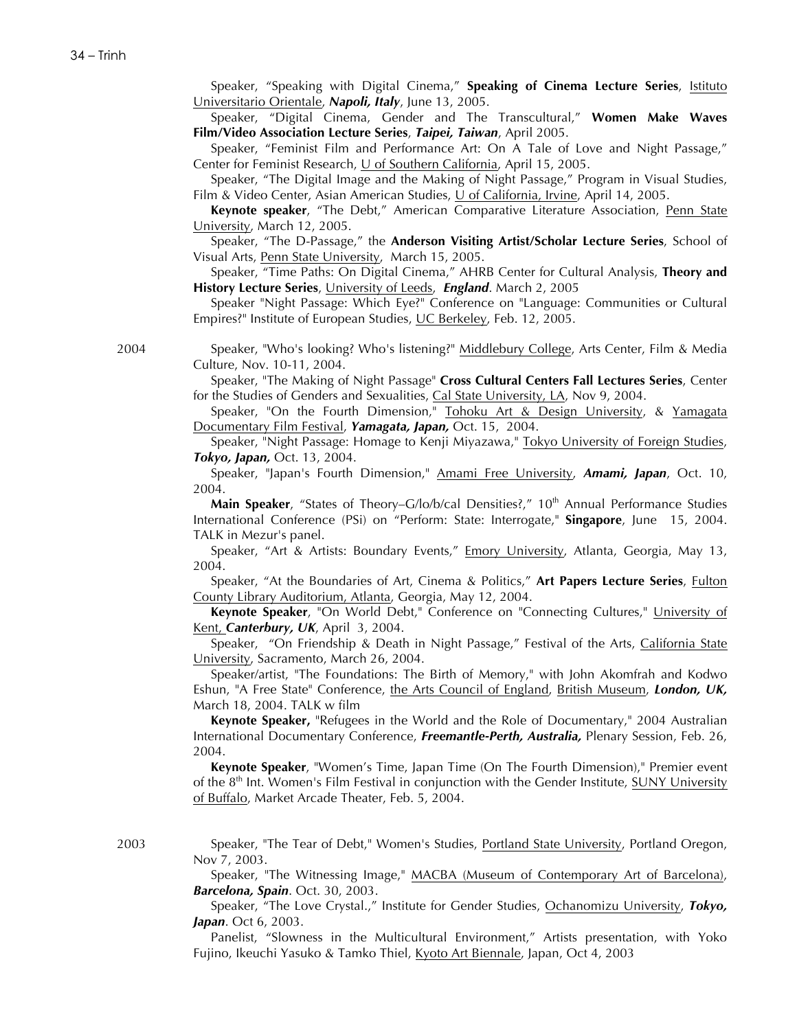Speaker, "Speaking with Digital Cinema," **Speaking of Cinema Lecture Series**, Istituto Universitario Orientale, *Napoli, Italy*, June 13, 2005.

Speaker, "Digital Cinema, Gender and The Transcultural," **Women Make Waves Film/Video Association Lecture Series**, *Taipei, Taiwan*, April 2005.

Speaker, "Feminist Film and Performance Art: On A Tale of Love and Night Passage," Center for Feminist Research, U of Southern California, April 15, 2005.

Speaker, "The Digital Image and the Making of Night Passage," Program in Visual Studies, Film & Video Center, Asian American Studies, U of California, Irvine, April 14, 2005.

**Keynote speaker**, "The Debt," American Comparative Literature Association, Penn State University, March 12, 2005.

Speaker, "The D-Passage," the **Anderson Visiting Artist/Scholar Lecture Series**, School of Visual Arts, Penn State University, March 15, 2005.

Speaker, "Time Paths: On Digital Cinema," AHRB Center for Cultural Analysis, **Theory and History Lecture Series**, University of Leeds, *England*. March 2, 2005

Speaker "Night Passage: Which Eye?" Conference on "Language: Communities or Cultural Empires?" Institute of European Studies, UC Berkeley, Feb. 12, 2005.

2004 Speaker, "Who's looking? Who's listening?" Middlebury College, Arts Center, Film & Media Culture, Nov. 10-11, 2004.

> Speaker, "The Making of Night Passage" **Cross Cultural Centers Fall Lectures Series**, Center for the Studies of Genders and Sexualities, Cal State University, LA, Nov 9, 2004.

> Speaker, "On the Fourth Dimension,"  $Tohoku Art & Design University, & Yamagata$ </u> Documentary Film Festival, *Yamagata, Japan,* Oct. 15, 2004.

> Speaker, "Night Passage: Homage to Kenji Miyazawa," Tokyo University of Foreign Studies, *Tokyo, Japan,* Oct. 13, 2004.

> Speaker, "Japan's Fourth Dimension," Amami Free University, *Amami, Japan*, Oct. 10, 2004.

> **Main Speaker**, "States of Theory–G/lo/b/cal Densities?," 10<sup>th</sup> Annual Performance Studies International Conference (PSi) on "Perform: State: Interrogate," **Singapore**, June 15, 2004. TALK in Mezur's panel.

> Speaker, "Art & Artists: Boundary Events," Emory University, Atlanta, Georgia, May 13, 2004.

> Speaker, "At the Boundaries of Art, Cinema & Politics," **Art Papers Lecture Series**, Fulton County Library Auditorium, Atlanta, Georgia, May 12, 2004.

> **Keynote Speaker**, "On World Debt," Conference on "Connecting Cultures," University of Kent, *Canterbury, UK*, April 3, 2004.

> Speaker, "On Friendship & Death in Night Passage," Festival of the Arts, California State University, Sacramento, March 26, 2004.

> Speaker/artist, "The Foundations: The Birth of Memory," with John Akomfrah and Kodwo Eshun, "A Free State" Conference, the Arts Council of England, British Museum, *London, UK,* March 18, 2004. TALK w film

> **Keynote Speaker,** "Refugees in the World and the Role of Documentary," 2004 Australian International Documentary Conference, *Freemantle-Perth, Australia,* Plenary Session, Feb. 26, 2004.

> **Keynote Speaker**, "Women's Time, Japan Time (On The Fourth Dimension)," Premier event of the 8<sup>th</sup> Int. Women's Film Festival in conjunction with the Gender Institute, SUNY University of Buffalo, Market Arcade Theater, Feb. 5, 2004.

2003 Speaker, "The Tear of Debt," Women's Studies, Portland State University, Portland Oregon, Nov 7, 2003.

> Speaker, "The Witnessing Image," MACBA (Museum of Contemporary Art of Barcelona), *Barcelona, Spain*. Oct. 30, 2003.

> Speaker, "The Love Crystal.," Institute for Gender Studies, Ochanomizu University, *Tokyo, Japan*. Oct 6, 2003.

> Panelist, "Slowness in the Multicultural Environment," Artists presentation, with Yoko Fujino, Ikeuchi Yasuko & Tamko Thiel, Kyoto Art Biennale, Japan, Oct 4, 2003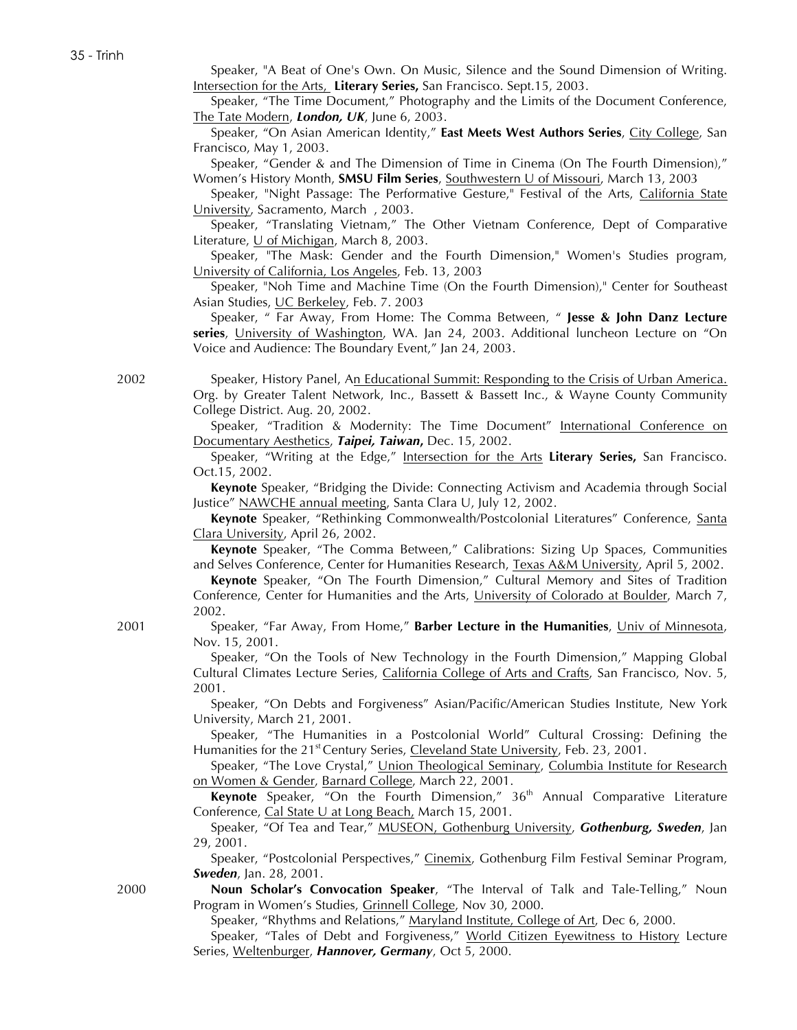Speaker, "A Beat of One's Own. On Music, Silence and the Sound Dimension of Writing. Intersection for the Arts, **Literary Series,** San Francisco. Sept.15, 2003.

Speaker, "The Time Document," Photography and the Limits of the Document Conference, The Tate Modern, *London, UK*, June 6, 2003.

Speaker, "On Asian American Identity," **East Meets West Authors Series**, City College, San Francisco, May 1, 2003.

Speaker, "Gender & and The Dimension of Time in Cinema (On The Fourth Dimension)," Women's History Month, **SMSU Film Series**, Southwestern U of Missouri, March 13, 2003

Speaker, "Night Passage: The Performative Gesture," Festival of the Arts, California State University, Sacramento, March , 2003.

Speaker, "Translating Vietnam," The Other Vietnam Conference, Dept of Comparative Literature,  $\underline{U}$  of Michigan, March 8, 2003.

Speaker, "The Mask: Gender and the Fourth Dimension," Women's Studies program, University of California, Los Angeles, Feb. 13, 2003

Speaker, "Noh Time and Machine Time (On the Fourth Dimension)," Center for Southeast Asian Studies, UC Berkeley, Feb. 7. 2003

Speaker, " Far Away, From Home: The Comma Between, " **Jesse & John Danz Lecture series**, University of Washington, WA. Jan 24, 2003. Additional luncheon Lecture on "On Voice and Audience: The Boundary Event," Jan 24, 2003.

2002 Speaker, History Panel, An Educational Summit: Responding to the Crisis of Urban America. Org. by Greater Talent Network, Inc., Bassett & Bassett Inc., & Wayne County Community College District. Aug. 20, 2002.

> Speaker, "Tradition & Modernity: The Time Document" International Conference on Documentary Aesthetics, *Taipei, Taiwan***,** Dec. 15, 2002.

> Speaker, "Writing at the Edge," Intersection for the Arts **Literary Series,** San Francisco. Oct.15, 2002.

> **Keynote** Speaker, "Bridging the Divide: Connecting Activism and Academia through Social Justice" NAWCHE annual meeting, Santa Clara U, July 12, 2002.

> **Keynote** Speaker, "Rethinking Commonwealth/Postcolonial Literatures" Conference, Santa Clara University, April 26, 2002.

> **Keynote** Speaker, "The Comma Between," Calibrations: Sizing Up Spaces, Communities and Selves Conference, Center for Humanities Research, Texas A&M University, April 5, 2002.

> **Keynote** Speaker, "On The Fourth Dimension," Cultural Memory and Sites of Tradition Conference, Center for Humanities and the Arts, University of Colorado at Boulder, March 7, 2002.

2001 Speaker, "Far Away, From Home," **Barber Lecture in the Humanities**, Univ of Minnesota, Nov. 15, 2001.

> Speaker, "On the Tools of New Technology in the Fourth Dimension," Mapping Global Cultural Climates Lecture Series, California College of Arts and Crafts, San Francisco, Nov. 5, 2001.

> Speaker, "On Debts and Forgiveness" Asian/Pacific/American Studies Institute, New York University, March 21, 2001.

> Speaker, "The Humanities in a Postcolonial World" Cultural Crossing: Defining the Humanities for the 21<sup>st</sup> Century Series, Cleveland State University, Feb. 23, 2001.

> Speaker, "The Love Crystal," Union Theological Seminary, Columbia Institute for Research on Women & Gender, Barnard College, March 22, 2001.

> **Keynote** Speaker, "On the Fourth Dimension," 36<sup>th</sup> Annual Comparative Literature Conference, Cal State U at Long Beach, March 15, 2001.

> Speaker, "Of Tea and Tear," MUSEON, Gothenburg University, *Gothenburg, Sweden*, Jan 29, 2001.

> Speaker, "Postcolonial Perspectives," Cinemix, Gothenburg Film Festival Seminar Program, *Sweden*, Jan. 28, 2001.

2000 **Noun Scholar's Convocation Speaker**, "The Interval of Talk and Tale-Telling," Noun Program in Women's Studies, Grinnell College, Nov 30, 2000.

Speaker, "Rhythms and Relations," Maryland Institute, College of Art, Dec 6, 2000.

Speaker, "Tales of Debt and Forgiveness," World Citizen Eyewitness to History Lecture Series, Weltenburger, *Hannover, Germany*, Oct 5, 2000.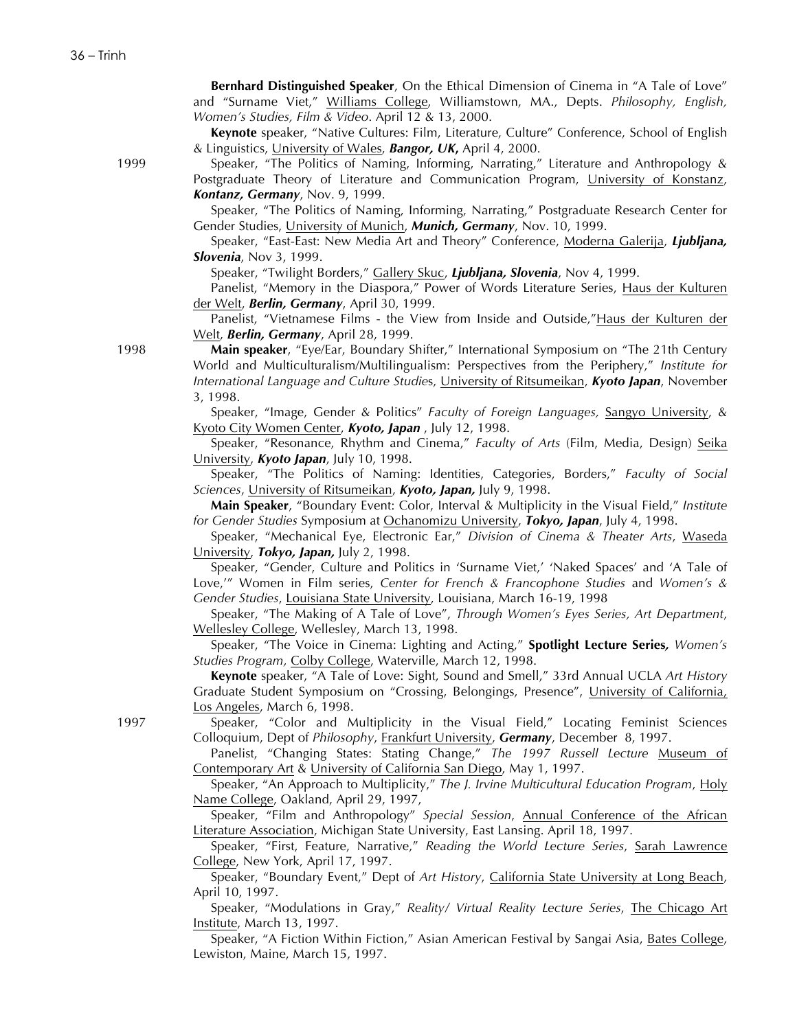**Bernhard Distinguished Speaker**, On the Ethical Dimension of Cinema in "A Tale of Love" and "Surname Viet," Williams College, Williamstown, MA., Depts. *Philosophy, English, Women's Studies, Film & Video*. April 12 & 13, 2000.

**Keynote** speaker, "Native Cultures: Film, Literature, Culture" Conference, School of English & Linguistics, University of Wales, *Bangor, UK***,** April 4, 2000.

1999 Speaker, "The Politics of Naming, Informing, Narrating," Literature and Anthropology & Postgraduate Theory of Literature and Communication Program, University of Konstanz, *Kontanz, Germany*, Nov. 9, 1999.

Speaker, "The Politics of Naming, Informing, Narrating," Postgraduate Research Center for Gender Studies, University of Munich, *Munich, Germany*, Nov. 10, 1999.

Speaker, "East-East: New Media Art and Theory" Conference, Moderna Galerija, *Ljubljana, Slovenia*, Nov 3, 1999.

Speaker, "Twilight Borders," Gallery Skuc, *Ljubljana, Slovenia*, Nov 4, 1999.

Panelist, "Memory in the Diaspora," Power of Words Literature Series, Haus der Kulturen der Welt, *Berlin, Germany*, April 30, 1999.

Panelist, "Vietnamese Films - the View from Inside and Outside,"Haus der Kulturen der Welt, *Berlin, Germany*, April 28, 1999.

1998 **Main speaker**, "Eye/Ear, Boundary Shifter," International Symposium on "The 21th Century World and Multiculturalism/Multilingualism: Perspectives from the Periphery," *Institute for International Language and Culture Studie*s, University of Ritsumeikan, *Kyoto Japan*, November 3, 1998.

> Speaker, "Image, Gender & Politics" *Faculty of Foreign Languages,* Sangyo University, & Kyoto City Women Center, *Kyoto, Japan* , July 12, 1998.

> Speaker, "Resonance, Rhythm and Cinema," *Faculty of Arts* (Film, Media, Design) Seika University, *Kyoto Japan*, July 10, 1998.

> Speaker, "The Politics of Naming: Identities, Categories, Borders," *Faculty of Social Sciences*, University of Ritsumeikan, *Kyoto, Japan,* July 9, 1998.

> **Main Speaker**, "Boundary Event: Color, Interval & Multiplicity in the Visual Field," *Institute for Gender Studies* Symposium at Ochanomizu University, *Tokyo, Japan*, July 4, 1998.

> Speaker, "Mechanical Eye, Electronic Ear," *Division of Cinema & Theater Arts*, Waseda University, *Tokyo, Japan,* July 2, 1998.

> Speaker, "Gender, Culture and Politics in 'Surname Viet,' 'Naked Spaces' and 'A Tale of Love,'" Women in Film series, *Center for French & Francophone Studies* and *Women's & Gender Studies*, Louisiana State University, Louisiana, March 16-19, 1998

> Speaker, "The Making of A Tale of Love", *Through Women's Eyes Series, Art Department*, Wellesley College, Wellesley, March 13, 1998.

> Speaker, "The Voice in Cinema: Lighting and Acting," **Spotlight Lecture Series***, Women's Studies Program,* Colby College, Waterville, March 12, 1998.

> **Keynote** speaker, "A Tale of Love: Sight, Sound and Smell," 33rd Annual UCLA *Art History* Graduate Student Symposium on "Crossing, Belongings, Presence", University of California, Los Angeles, March 6, 1998.

1997 Speaker, "Color and Multiplicity in the Visual Field," Locating Feminist Sciences Colloquium, Dept of *Philosophy*, Frankfurt University, *Germany*, December 8, 1997.

Panelist, "Changing States: Stating Change," *The 1997 Russell Lecture* Museum of Contemporary Art & University of California San Diego, May 1, 1997.

Speaker, "An Approach to Multiplicity," *The J. Irvine Multicultural Education Program*, Holy Name College, Oakland, April 29, 1997,

Speaker, "Film and Anthropology" *Special Session*, Annual Conference of the African Literature Association, Michigan State University, East Lansing. April 18, 1997.

Speaker, "First, Feature, Narrative," *Reading the World Lecture Series*, Sarah Lawrence College, New York, April 17, 1997.

Speaker, "Boundary Event," Dept of *Art History*, California State University at Long Beach, April 10, 1997.

Speaker, "Modulations in Gray," *Reality/ Virtual Reality Lecture Series*, The Chicago Art Institute, March 13, 1997.

Speaker, "A Fiction Within Fiction," Asian American Festival by Sangai Asia, Bates College, Lewiston, Maine, March 15, 1997.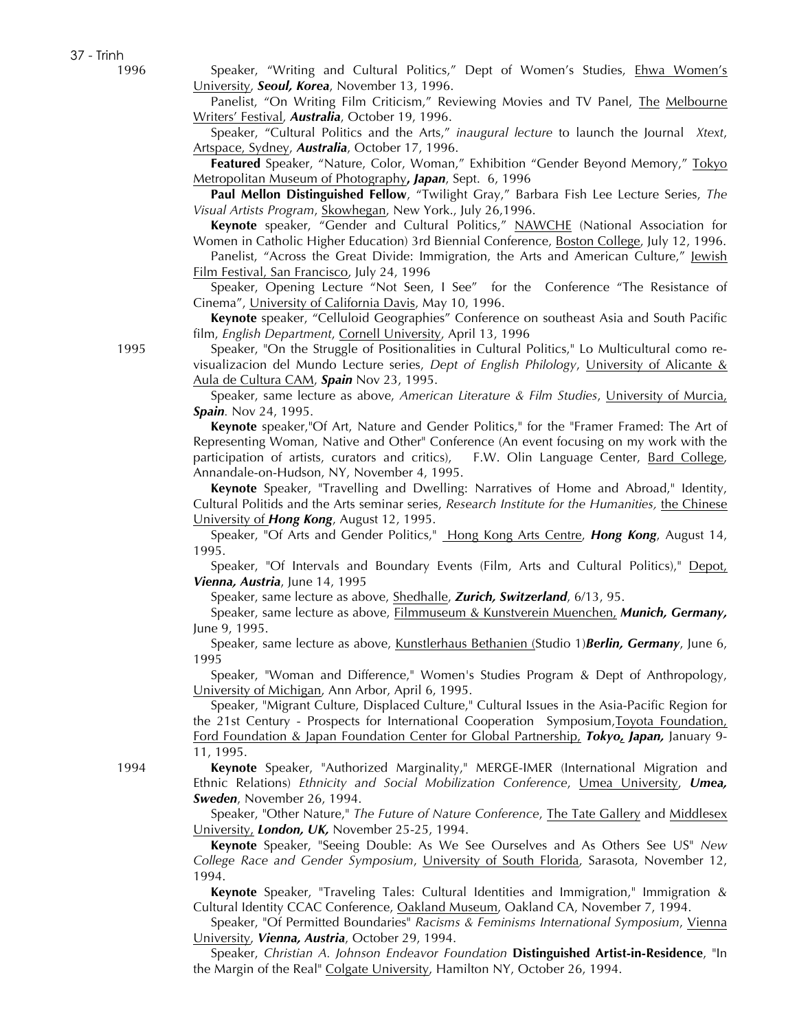1996 Speaker, "Writing and Cultural Politics," Dept of Women's Studies, Ehwa Women's University, *Seoul, Korea*, November 13, 1996.

> Panelist, "On Writing Film Criticism," Reviewing Movies and TV Panel, The Melbourne Writers' Festival, *Australia*, October 19, 1996.

> Speaker, "Cultural Politics and the Arts," *inaugural lecture* to launch the Journal *Xtext*, Artspace, Sydney, *Australia*, October 17, 1996.

> **Featured** Speaker, "Nature, Color, Woman," Exhibition "Gender Beyond Memory," Tokyo Metropolitan Museum of Photography**,** *Japan*, Sept. 6, 1996

> **Paul Mellon Distinguished Fellow**, "Twilight Gray," Barbara Fish Lee Lecture Series, *The Visual Artists Program*, Skowhegan, New York., July 26,1996.

> **Keynote** speaker, "Gender and Cultural Politics," NAWCHE (National Association for Women in Catholic Higher Education) 3rd Biennial Conference, Boston College, July 12, 1996.

> Panelist, "Across the Great Divide: Immigration, the Arts and American Culture," Jewish Film Festival, San Francisco, July 24, 1996

> Speaker, Opening Lecture "Not Seen, I See" for the Conference "The Resistance of Cinema", University of California Davis, May 10, 1996.

> **Keynote** speaker, "Celluloid Geographies" Conference on southeast Asia and South Pacific film, *English Department*, Cornell University, April 13, 1996

1995 Speaker, "On the Struggle of Positionalities in Cultural Politics," Lo Multicultural como revisualizacion del Mundo Lecture series, *Dept of English Philology*, University of Alicante & Aula de Cultura CAM, *Spain* Nov 23, 1995.

> Speaker, same lecture as above, *American Literature & Film Studies*, University of Murcia, *Spain.* Nov 24, 1995.

> **Keynote** speaker,"Of Art, Nature and Gender Politics," for the "Framer Framed: The Art of Representing Woman, Native and Other" Conference (An event focusing on my work with the participation of artists, curators and critics), F.W. Olin Language Center, Bard College, Annandale-on-Hudson, NY, November 4, 1995.

> **Keynote** Speaker, "Travelling and Dwelling: Narratives of Home and Abroad," Identity, Cultural Politids and the Arts seminar series, *Research Institute for the Humanities,* the Chinese University of *Hong Kong*, August 12, 1995.

> Speaker, "Of Arts and Gender Politics," Hong Kong Arts Centre, *Hong Kong*, August 14, 1995.

> Speaker, "Of Intervals and Boundary Events (Film, Arts and Cultural Politics)," Depot, *Vienna, Austria*, June 14, 1995

Speaker, same lecture as above, Shedhalle, *Zurich, Switzerland*, 6/13, 95.

Speaker, same lecture as above, Filmmuseum & Kunstverein Muenchen, *Munich, Germany,* June 9, 1995.

Speaker, same lecture as above, Kunstlerhaus Bethanien (Studio 1)*Berlin, Germany*, June 6, 1995

Speaker, "Woman and Difference," Women's Studies Program & Dept of Anthropology, University of Michigan, Ann Arbor, April 6, 1995.

Speaker, "Migrant Culture, Displaced Culture," Cultural Issues in the Asia-Pacific Region for the 21st Century - Prospects for International Cooperation Symposium,Toyota Foundation, Ford Foundation & Japan Foundation Center for Global Partnership, *Tokyo, Japan,* January 9- 11, 1995.

1994 **Keynote** Speaker, "Authorized Marginality," MERGE-IMER (International Migration and Ethnic Relations) *Ethnicity and Social Mobilization Conference*, Umea University, *Umea, Sweden*, November 26, 1994.

> Speaker, "Other Nature," *The Future of Nature Conference*, The Tate Gallery and Middlesex University, *London, UK,* November 25-25, 1994.

> **Keynote** Speaker, "Seeing Double: As We See Ourselves and As Others See US" *New College Race and Gender Symposium*, University of South Florida, Sarasota, November 12, 1994.

> **Keynote** Speaker, "Traveling Tales: Cultural Identities and Immigration," Immigration & Cultural Identity CCAC Conference, Oakland Museum, Oakland CA, November 7, 1994.

> Speaker, "Of Permitted Boundaries" *Racisms & Feminisms International Symposium*, Vienna University, *Vienna, Austria*, October 29, 1994.

> Speaker, *Christian A. Johnson Endeavor Foundation* **Distinguished Artist-in-Residence**, "In the Margin of the Real" Colgate University, Hamilton NY, October 26, 1994.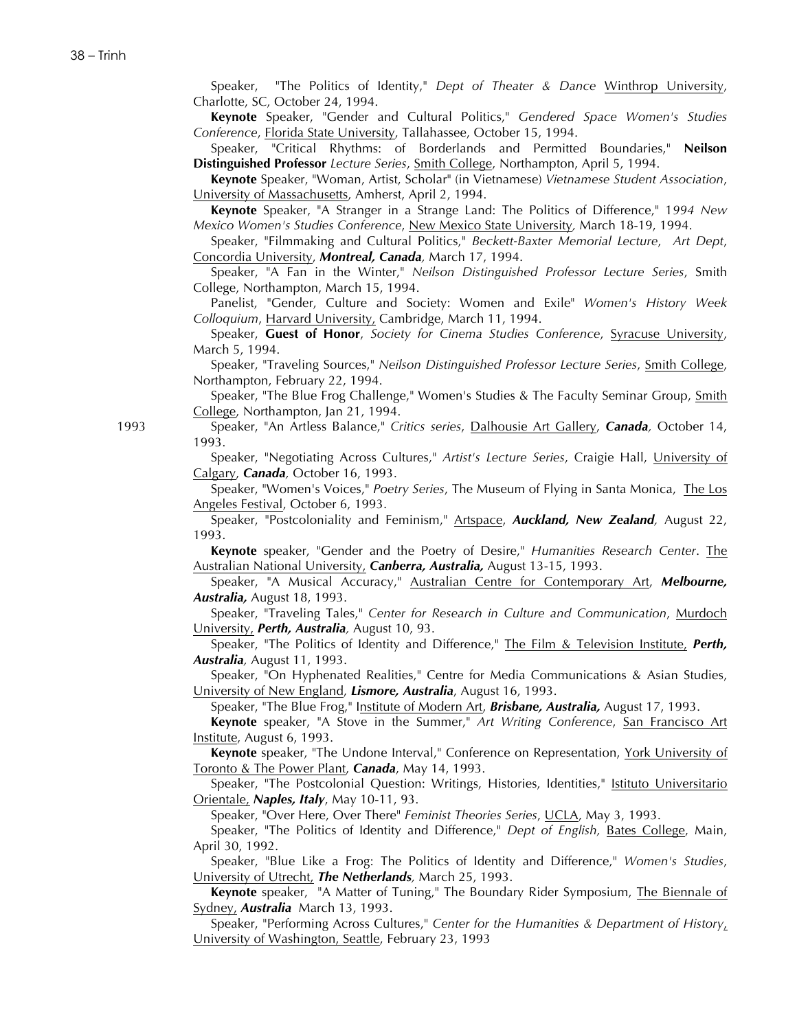Speaker, "The Politics of Identity," *Dept of Theater & Dance* Winthrop University, Charlotte, SC, October 24, 1994.

**Keynote** Speaker, "Gender and Cultural Politics," *Gendered Space Women's Studies Conference*, Florida State University, Tallahassee, October 15, 1994.

Speaker, "Critical Rhythms: of Borderlands and Permitted Boundaries," **Neilson Distinguished Professor** *Lecture Series*, Smith College, Northampton, April 5, 1994.

**Keynote** Speaker, "Woman, Artist, Scholar" (in Vietnamese) *Vietnamese Student Association*, University of Massachusetts, Amherst, April 2, 1994.

**Keynote** Speaker, "A Stranger in a Strange Land: The Politics of Difference," 1*994 New Mexico Women's Studies Conference*, New Mexico State University*,* March 18-19, 1994.

Speaker, "Filmmaking and Cultural Politics," *Beckett-Baxter Memorial Lecture*, *Art Dept*, Concordia University, *Montreal, Canada,* March 17, 1994.

Speaker, "A Fan in the Winter," *Neilson Distinguished Professor Lecture Series*, Smith College, Northampton, March 15, 1994.

Panelist, "Gender, Culture and Society: Women and Exile" *Women's History Week Colloquium*, Harvard University, Cambridge, March 11, 1994.

Speaker, **Guest of Honor**, *Society for Cinema Studies Conference*, Syracuse University, March 5, 1994.

Speaker, "Traveling Sources," *Neilson Distinguished Professor Lecture Series*, Smith College, Northampton, February 22, 1994.

Speaker, "The Blue Frog Challenge," Women's Studies & The Faculty Seminar Group, Smith College, Northampton, Jan 21, 1994.

1993 Speaker, "An Artless Balance," *Critics series*, Dalhousie Art Gallery, *Canada,* October 14, 1993.

> Speaker, "Negotiating Across Cultures," *Artist's Lecture Series*, Craigie Hall, University of Calgary, *Canada,* October 16, 1993.

> Speaker, "Women's Voices," *Poetry Series*, The Museum of Flying in Santa Monica, The Los Angeles Festival, October 6, 1993.

> Speaker, "Postcoloniality and Feminism," Artspace, *Auckland, New Zealand,* August 22, 1993.

> **Keynote** speaker, "Gender and the Poetry of Desire," *Humanities Research Center*. The Australian National University, *Canberra, Australia,* August 13-15, 1993.

> Speaker, "A Musical Accuracy," Australian Centre for Contemporary Art, *Melbourne, Australia,* August 18, 1993.

> Speaker, "Traveling Tales," *Center for Research in Culture and Communication*, Murdoch University, *Perth, Australia,* August 10, 93.

> Speaker, "The Politics of Identity and Difference," The Film & Television Institute, *Perth, Australia,* August 11, 1993.

> Speaker, "On Hyphenated Realities," Centre for Media Communications & Asian Studies, University of New England, *Lismore, Australia*, August 16, 1993.

Speaker, "The Blue Frog," Institute of Modern Art, *Brisbane, Australia,* August 17, 1993.

**Keynote** speaker, "A Stove in the Summer," *Art Writing Conference*, San Francisco Art Institute, August 6, 1993.

**Keynote** speaker, "The Undone Interval," Conference on Representation, York University of Toronto & The Power Plant, *Canada*, May 14, 1993.

Speaker, "The Postcolonial Question: Writings, Histories, Identities," Istituto Universitario Orientale, *Naples, Italy*, May 10-11, 93.

Speaker, "Over Here, Over There" *Feminist Theories Series*, UCLA, May 3, 1993.

Speaker, "The Politics of Identity and Difference," *Dept of English,* Bates College, Main, April 30, 1992.

Speaker, "Blue Like a Frog: The Politics of Identity and Difference," *Women's Studies*, University of Utrecht, *The Netherlands,* March 25, 1993.

**Keynote** speaker, "A Matter of Tuning," The Boundary Rider Symposium, The Biennale of Sydney, *Australia* March 13, 1993.

Speaker, "Performing Across Cultures," *Center for the Humanities & Department of History*, University of Washington, Seattle, February 23, 1993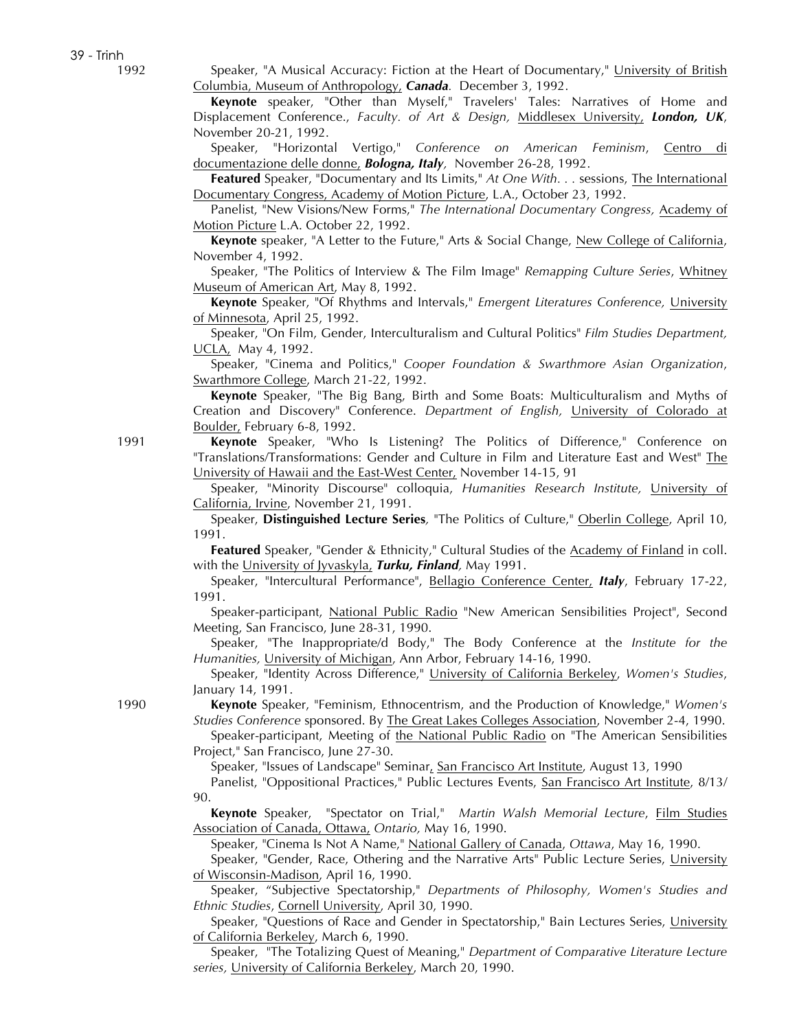39 - Trinh

1992 Speaker, "A Musical Accuracy: Fiction at the Heart of Documentary," University of British Columbia, Museum of Anthropology, *Canada.* December 3, 1992.

> **Keynote** speaker, "Other than Myself," Travelers' Tales: Narratives of Home and Displacement Conference., *Faculty. of Art & Design,* Middlesex University, *London, UK*, November 20-21, 1992.

> Speaker, "Horizontal Vertigo," *Conference on American Feminism*, Centro di documentazione delle donne, *Bologna, Italy,* November 26-28, 1992.

> **Featured** Speaker, "Documentary and Its Limits," *At One With. . .* sessions, The International Documentary Congress, Academy of Motion Picture, L.A., October 23, 1992.

> Panelist, "New Visions/New Forms," *The International Documentary Congress,* Academy of Motion Picture L.A. October 22, 1992.

> **Keynote** speaker, "A Letter to the Future," Arts & Social Change, New College of California, November 4, 1992.

> Speaker, "The Politics of Interview & The Film Image" *Remapping Culture Series*, Whitney Museum of American Art, May 8, 1992.

> **Keynote** Speaker, "Of Rhythms and Intervals," *Emergent Literatures Conference,* University of Minnesota, April 25, 1992.

> Speaker, "On Film, Gender, Interculturalism and Cultural Politics" *Film Studies Department,*  UCLA, May 4, 1992.

> Speaker, "Cinema and Politics," *Cooper Foundation & Swarthmore Asian Organization*, Swarthmore College, March 21-22, 1992.

> **Keynote** Speaker, "The Big Bang, Birth and Some Boats: Multiculturalism and Myths of Creation and Discovery" Conference. *Department of English,* University of Colorado at Boulder, February 6-8, 1992.

1991 **Keynote** Speaker, "Who Is Listening? The Politics of Difference," Conference on "Translations/Transformations: Gender and Culture in Film and Literature East and West" The University of Hawaii and the East-West Center, November 14-15, 91

Speaker, "Minority Discourse" colloquia, *Humanities Research Institute,* University of California, Irvine, November 21, 1991.

Speaker, **Distinguished Lecture Series***,* "The Politics of Culture," Oberlin College, April 10, 1991.

**Featured** Speaker, "Gender & Ethnicity," Cultural Studies of the Academy of Finland in coll. with the University of Jyvaskyla, *Turku, Finland,* May 1991.

Speaker, "Intercultural Performance", Bellagio Conference Center, *Italy*, February 17-22, 1991.

Speaker-participant, National Public Radio "New American Sensibilities Project", Second Meeting, San Francisco, June 28-31, 1990.

Speaker, "The Inappropriate/d Body," The Body Conference at the *Institute for the Humanities,* University of Michigan, Ann Arbor, February 14-16, 1990.

Speaker, "Identity Across Difference," University of California Berkeley, *Women's Studies*, January 14, 1991.

1990 **Keynote** Speaker, "Feminism, Ethnocentrism, and the Production of Knowledge," *Women's Studies Conference* sponsored. By The Great Lakes Colleges Association, November 2-4, 1990. Speaker-participant, Meeting of the National Public Radio on "The American Sensibilities

Project," San Francisco, June 27-30.

Speaker, "Issues of Landscape" Seminar, San Francisco Art Institute, August 13, 1990

Panelist, "Oppositional Practices," Public Lectures Events, San Francisco Art Institute, 8/13/ 90.

**Keynote** Speaker, "Spectator on Trial," *Martin Walsh Memorial Lecture*, Film Studies Association of Canada, Ottawa, *Ontario,* May 16, 1990.

Speaker, "Cinema Is Not A Name," National Gallery of Canada, *Ottawa*, May 16, 1990.

Speaker, "Gender, Race, Othering and the Narrative Arts" Public Lecture Series, University of Wisconsin-Madison, April 16, 1990.

Speaker, "Subjective Spectatorship," *Departments of Philosophy, Women's Studies and Ethnic Studies*, Cornell University, April 30, 1990.

Speaker, "Questions of Race and Gender in Spectatorship," Bain Lectures Series, University of California Berkeley, March 6, 1990.

Speaker, "The Totalizing Quest of Meaning," *Department of Comparative Literature Lecture series,* University of California Berkeley, March 20, 1990.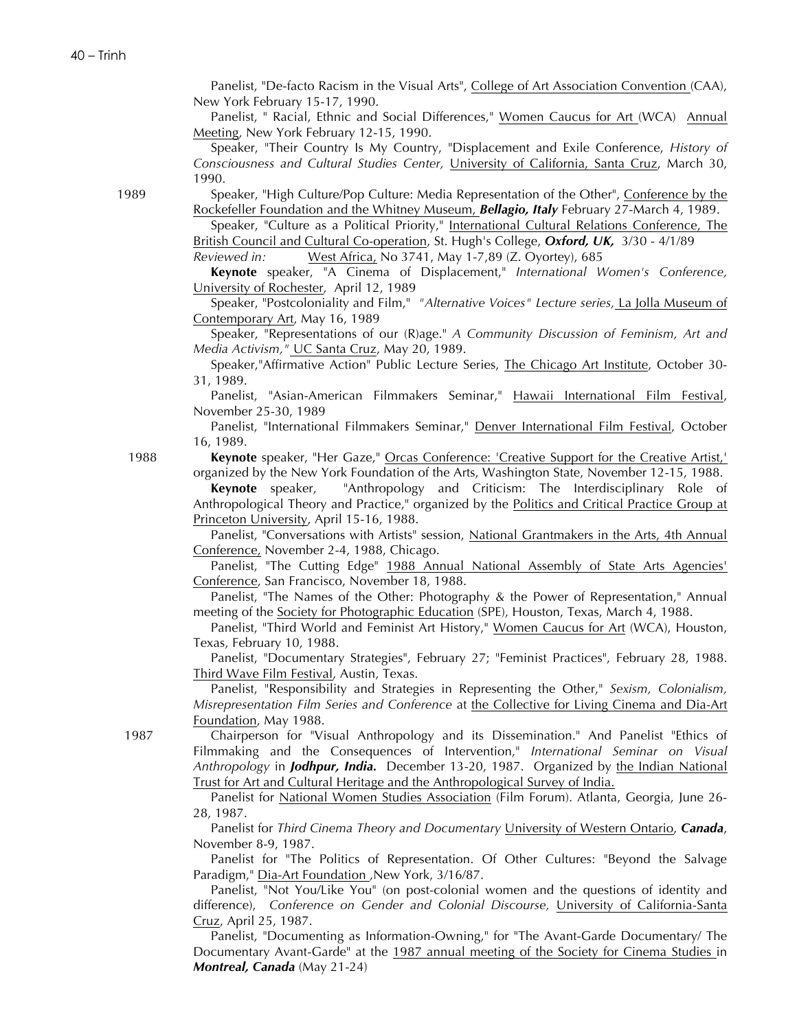Panelist, "De-facto Racism in the Visual Arts", College of Art Association Convention (CAA), New York February 15-17, 1990.

Panelist, " Racial, Ethnic and Social Differences," Women Caucus for Art (WCA) Annual Meeting, New York February 12-15, 1990.

Speaker, "Their Country Is My Country, "Displacement and Exile Conference, *History of Consciousness and Cultural Studies Center,* University of California, Santa Cruz, March 30, 1990.

1989 Speaker, "High Culture/Pop Culture: Media Representation of the Other", Conference by the Rockefeller Foundation and the Whitney Museum, *Bellagio, Italy* February 27-March 4, 1989.

> Speaker, "Culture as a Political Priority," International Cultural Relations Conference, The British Council and Cultural Co-operation, St. Hugh's College, *Oxford, UK,* 3/30 - 4/1/89

*Reviewed in:* West Africa, No 3741, May 1-7,89 (Z. Oyortey), 685

**Keynote** speaker, "A Cinema of Displacement," *International Women's Conference,*  University of Rochester, April 12, 1989

Speaker, "Postcoloniality and Film," *"Alternative Voices" Lecture series,* La Jolla Museum of Contemporary Art, May 16, 1989

Speaker, "Representations of our (R)age." *A Community Discussion of Feminism, Art and Media Activism,"* UC Santa Cruz, May 20, 1989.

Speaker,"Affirmative Action" Public Lecture Series, The Chicago Art Institute, October 30- 31, 1989.

Panelist, "Asian-American Filmmakers Seminar," Hawaii International Film Festival, November 25-30, 1989

Panelist, "International Filmmakers Seminar," Denver International Film Festival, October 16, 1989.

 1988 **Keynote** speaker, "Her Gaze," Orcas Conference: 'Creative Support for the Creative Artist,' organized by the New York Foundation of the Arts, Washington State, November 12-15, 1988.

> **Keynote** speaker, "Anthropology and Criticism: The Interdisciplinary Role of Anthropological Theory and Practice," organized by the Politics and Critical Practice Group at Princeton University, April 15-16, 1988.

> Panelist, "Conversations with Artists" session, National Grantmakers in the Arts, 4th Annual Conference, November 2-4, 1988, Chicago.

> Panelist, "The Cutting Edge" 1988 Annual National Assembly of State Arts Agencies' Conference, San Francisco, November 18, 1988.

> Panelist, "The Names of the Other: Photography & the Power of Representation," Annual meeting of the Society for Photographic Education (SPE), Houston, Texas, March 4, 1988.

> Panelist, "Third World and Feminist Art History," Women Caucus for Art (WCA), Houston, Texas, February 10, 1988.

> Panelist, "Documentary Strategies", February 27; "Feminist Practices", February 28, 1988. Third Wave Film Festival, Austin, Texas.

> Panelist, "Responsibility and Strategies in Representing the Other," *Sexism, Colonialism, Misrepresentation Film Series and Conference* at the Collective for Living Cinema and Dia-Art Foundation, May 1988.

 1987 Chairperson for "Visual Anthropology and its Dissemination." And Panelist "Ethics of Filmmaking and the Consequences of Intervention," *International Seminar on Visual Anthropology* in *Jodhpur, India.* December 13-20, 1987. Organized by the Indian National Trust for Art and Cultural Heritage and the Anthropological Survey of India.

> Panelist for National Women Studies Association (Film Forum). Atlanta, Georgia, June 26- 28, 1987.

> Panelist for *Third Cinema Theory and Documentary* University of Western Ontario, *Canada*, November 8-9, 1987.

> Panelist for "The Politics of Representation. Of Other Cultures: "Beyond the Salvage Paradigm," Dia-Art Foundation ,New York, 3/16/87.

> Panelist, "Not You/Like You" (on post-colonial women and the questions of identity and difference), *Conference on Gender and Colonial Discourse,* University of California-Santa Cruz, April 25, 1987.

> Panelist, "Documenting as Information-Owning," for "The Avant-Garde Documentary/ The Documentary Avant-Garde" at the 1987 annual meeting of the Society for Cinema Studies in *Montreal, Canada* (May 21-24)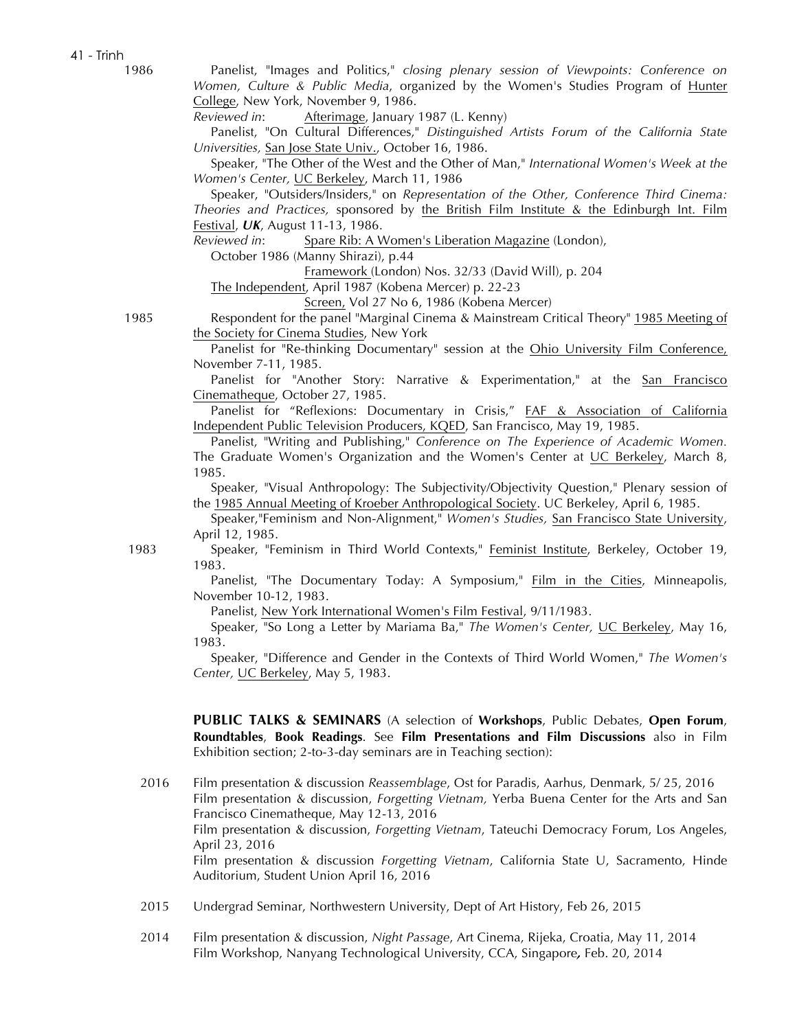41 - Trinh

 1986 Panelist, "Images and Politics," *closing plenary session of Viewpoints: Conference on Women, Culture & Public Media*, organized by the Women's Studies Program of Hunter College, New York, November 9, 1986.

*Reviewed in*: Afterimage, January 1987 (L. Kenny)

Panelist, "On Cultural Differences," *Distinguished Artists Forum of the California State Universities,* San Jose State Univ., October 16, 1986.

Speaker, "The Other of the West and the Other of Man," *International Women's Week at the Women's Center,* UC Berkeley, March 11, 1986

Speaker, "Outsiders/Insiders," on *Representation of the Other, Conference Third Cinema: Theories and Practices,* sponsored by the British Film Institute & the Edinburgh Int. Film Festival, *UK*, August 11-13, 1986.

*Reviewed in*: Spare Rib: A Women's Liberation Magazine (London),

October 1986 (Manny Shirazi), p.44

Framework (London) Nos. 32/33 (David Will), p. 204

The Independent, April 1987 (Kobena Mercer) p. 22-23

Screen, Vol 27 No 6, 1986 (Kobena Mercer)

 1985 Respondent for the panel "Marginal Cinema & Mainstream Critical Theory" 1985 Meeting of the Society for Cinema Studies, New York

> Panelist for "Re-thinking Documentary" session at the Ohio University Film Conference, November 7-11, 1985.

> Panelist for "Another Story: Narrative & Experimentation," at the San Francisco Cinematheque, October 27, 1985.

> Panelist for "Reflexions: Documentary in Crisis," FAF & Association of California Independent Public Television Producers, KQED, San Francisco, May 19, 1985.

> Panelist, "Writing and Publishing," *Conference on The Experience of Academic Women.* The Graduate Women's Organization and the Women's Center at UC Berkeley, March 8, 1985.

> Speaker, "Visual Anthropology: The Subjectivity/Objectivity Question," Plenary session of the 1985 Annual Meeting of Kroeber Anthropological Society. UC Berkeley, April 6, 1985.

> Speaker,"Feminism and Non-Alignment," *Women's Studies,* San Francisco State University, April 12, 1985.

 1983 Speaker, "Feminism in Third World Contexts," Feminist Institute, Berkeley, October 19, 1983.

> Panelist, "The Documentary Today: A Symposium," Film in the Cities, Minneapolis, November 10-12, 1983.

Panelist, New York International Women's Film Festival, 9/11/1983.

Speaker, "So Long a Letter by Mariama Ba," *The Women's Center,* UC Berkeley, May 16, 1983.

Speaker, "Difference and Gender in the Contexts of Third World Women," *The Women's Center,* UC Berkeley, May 5, 1983.

**PUBLIC TALKS & SEMINARS** (A selection of **Workshops**, Public Debates, **Open Forum**, **Roundtables**, **Book Readings**. See **Film Presentations and Film Discussions** also in Film Exhibition section; 2-to-3-day seminars are in Teaching section):

2016 Film presentation & discussion *Reassemblage*, Ost for Paradis, Aarhus, Denmark, 5/ 25, 2016 Film presentation & discussion, *Forgetting Vietnam,* Yerba Buena Center for the Arts and San Francisco Cinematheque, May 12-13, 2016 Film presentation & discussion, *Forgetting Vietnam*, Tateuchi Democracy Forum, Los Angeles, April 23, 2016 Film presentation & discussion *Forgetting Vietnam*, California State U, Sacramento, Hinde Auditorium, Student Union April 16, 2016

- 2015 Undergrad Seminar, Northwestern University, Dept of Art History, Feb 26, 2015
- 2014 Film presentation & discussion, *Night Passage*, Art Cinema, Rijeka, Croatia, May 11, 2014 Film Workshop, Nanyang Technological University, CCA, Singapore*,* Feb. 20, 2014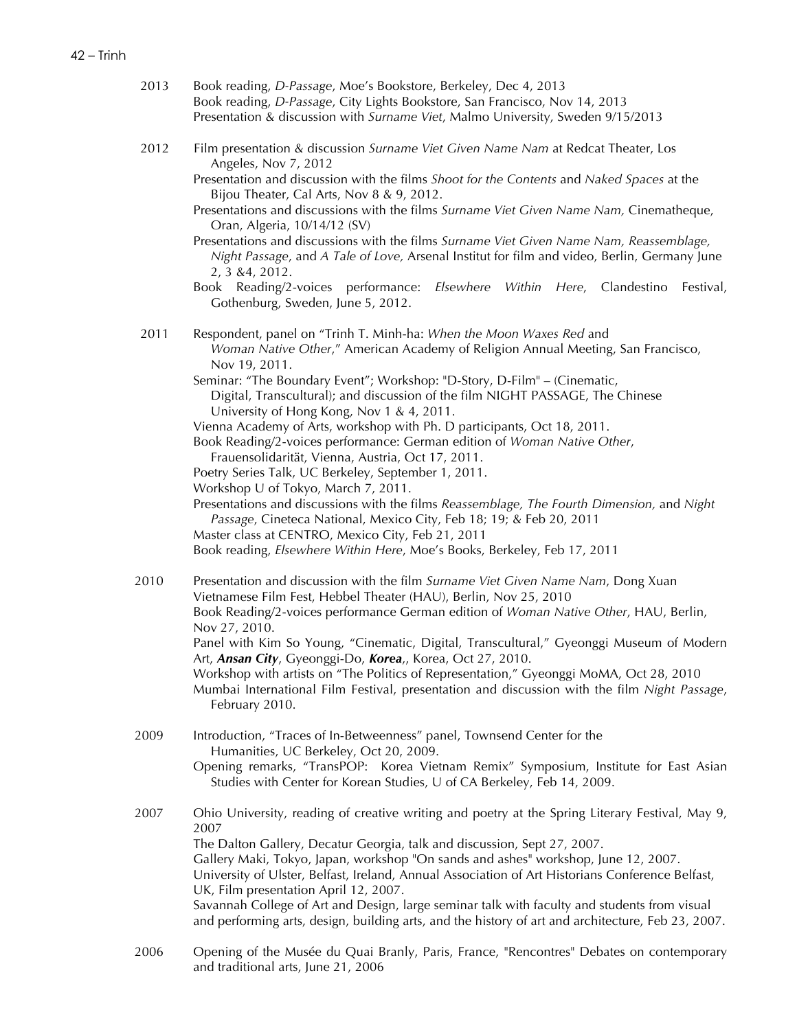- 2013 Book reading, *D-Passage*, Moe's Bookstore, Berkeley, Dec 4, 2013 Book reading, *D-Passage*, City Lights Bookstore, San Francisco, Nov 14, 2013 Presentation & discussion with *Surname Viet*, Malmo University, Sweden 9/15/2013
- 2012 Film presentation & discussion *Surname Viet Given Name Nam* at Redcat Theater, Los Angeles, Nov 7, 2012
	- Presentation and discussion with the films *Shoot for the Contents* and *Naked Spaces* at the Bijou Theater, Cal Arts, Nov 8 & 9, 2012.
	- Presentations and discussions with the films *Surname Viet Given Name Nam,* Cinematheque, Oran, Algeria, 10/14/12 (SV)
	- Presentations and discussions with the films *Surname Viet Given Name Nam, Reassemblage, Night Passage*, and *A Tale of Love,* Arsenal Institut for film and video, Berlin, Germany June 2, 3 &4, 2012.
	- Book Reading/2-voices performance: *Elsewhere Within Here*, Clandestino Festival, Gothenburg, Sweden, June 5, 2012.
- 2011 Respondent, panel on "Trinh T. Minh-ha: *When the Moon Waxes Red* and *Woman Native Other*," American Academy of Religion Annual Meeting, San Francisco, Nov 19, 2011.

Seminar: "The Boundary Event"; Workshop: "D-Story, D-Film" – (Cinematic, Digital, Transcultural); and discussion of the film NIGHT PASSAGE, The Chinese University of Hong Kong, Nov 1 & 4, 2011.

Vienna Academy of Arts, workshop with Ph. D participants, Oct 18, 2011. Book Reading/2-voices performance: German edition of *Woman Native Other*,

- Frauensolidarität, Vienna, Austria, Oct 17, 2011.
- Poetry Series Talk, UC Berkeley, September 1, 2011.
- Workshop U of Tokyo, March 7, 2011.

Presentations and discussions with the films *Reassemblage, The Fourth Dimension,* and *Night Passage*, Cineteca National, Mexico City, Feb 18; 19; & Feb 20, 2011

Master class at CENTRO, Mexico City, Feb 21, 2011

Book reading, *Elsewhere Within Here*, Moe's Books, Berkeley, Feb 17, 2011

2010 Presentation and discussion with the film *Surname Viet Given Name Nam*, Dong Xuan Vietnamese Film Fest, Hebbel Theater (HAU), Berlin, Nov 25, 2010 Book Reading/2-voices performance German edition of *Woman Native Other*, HAU, Berlin, Nov 27, 2010. Panel with Kim So Young, "Cinematic, Digital, Transcultural," Gyeonggi Museum of Modern Art, *Ansan City*, Gyeonggi-Do, *Korea*,, Korea, Oct 27, 2010. Workshop with artists on "The Politics of Representation," Gyeonggi MoMA, Oct 28, 2010 Mumbai International Film Festival, presentation and discussion with the film *Night Passage*, February 2010.

2009 Introduction, "Traces of In-Betweenness" panel, Townsend Center for the Humanities, UC Berkeley, Oct 20, 2009. Opening remarks, "TransPOP: Korea Vietnam Remix" Symposium, Institute for East Asian Studies with Center for Korean Studies, U of CA Berkeley, Feb 14, 2009.

2007 Ohio University, reading of creative writing and poetry at the Spring Literary Festival, May 9, 2007 The Dalton Gallery, Decatur Georgia, talk and discussion, Sept 27, 2007. Gallery Maki, Tokyo, Japan, workshop "On sands and ashes" workshop, June 12, 2007. University of Ulster, Belfast, Ireland, Annual Association of Art Historians Conference Belfast, UK, Film presentation April 12, 2007. Savannah College of Art and Design, large seminar talk with faculty and students from visual and performing arts, design, building arts, and the history of art and architecture, Feb 23, 2007.

2006 Opening of the Musée du Quai Branly, Paris, France, "Rencontres" Debates on contemporary and traditional arts, June 21, 2006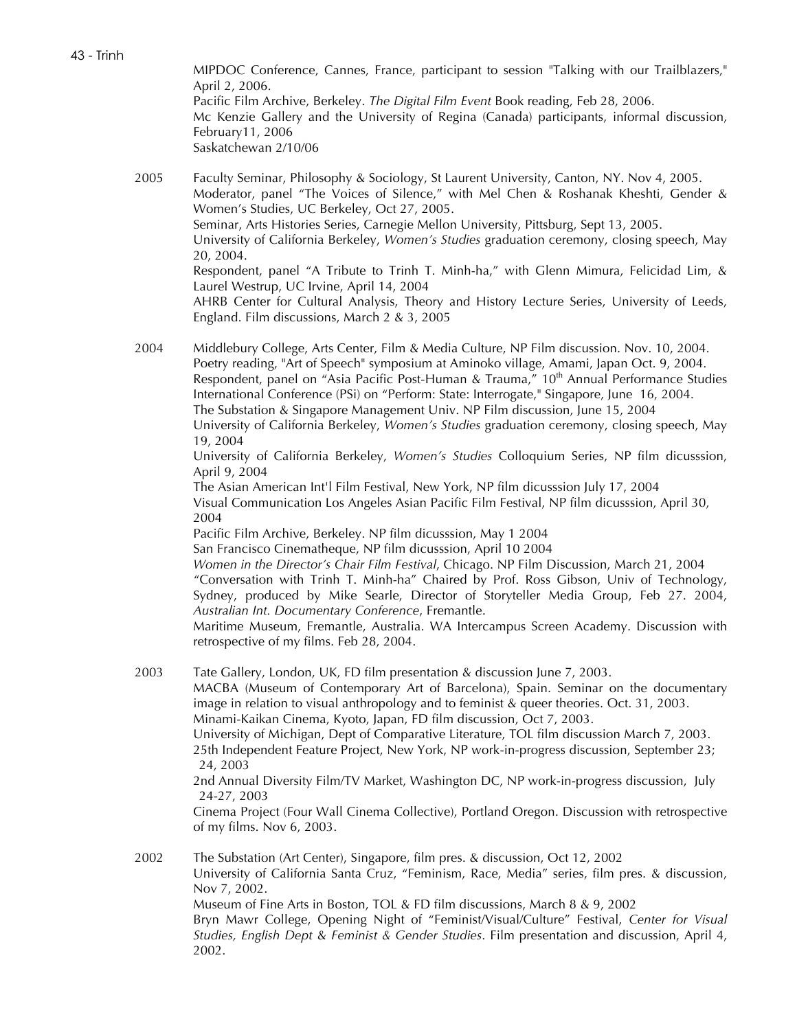43 - Trinh

MIPDOC Conference, Cannes, France, participant to session "Talking with our Trailblazers," April 2, 2006. Pacific Film Archive, Berkeley. *The Digital Film Event* Book reading, Feb 28, 2006. Mc Kenzie Gallery and the University of Regina (Canada) participants, informal discussion, February11, 2006 Saskatchewan 2/10/06

2005 Faculty Seminar, Philosophy & Sociology, St Laurent University, Canton, NY. Nov 4, 2005. Moderator, panel "The Voices of Silence," with Mel Chen & Roshanak Kheshti, Gender & Women's Studies, UC Berkeley, Oct 27, 2005. Seminar, Arts Histories Series, Carnegie Mellon University, Pittsburg, Sept 13, 2005. University of California Berkeley, *Women's Studies* graduation ceremony, closing speech, May 20, 2004. Respondent, panel "A Tribute to Trinh T. Minh-ha," with Glenn Mimura, Felicidad Lim, & Laurel Westrup, UC Irvine, April 14, 2004 AHRB Center for Cultural Analysis, Theory and History Lecture Series, University of Leeds, England. Film discussions, March 2 & 3, 2005

2004 Middlebury College, Arts Center, Film & Media Culture, NP Film discussion. Nov. 10, 2004. Poetry reading, "Art of Speech" symposium at Aminoko village, Amami, Japan Oct. 9, 2004. Respondent, panel on "Asia Pacific Post-Human & Trauma," 10<sup>th</sup> Annual Performance Studies International Conference (PSi) on "Perform: State: Interrogate," Singapore, June 16, 2004. The Substation & Singapore Management Univ. NP Film discussion, June 15, 2004 University of California Berkeley, *Women's Studies* graduation ceremony, closing speech, May 19, 2004

University of California Berkeley, *Women's Studies* Colloquium Series, NP film dicusssion, April 9, 2004

The Asian American Int'l Film Festival, New York, NP film dicusssion July 17, 2004 Visual Communication Los Angeles Asian Pacific Film Festival, NP film dicusssion, April 30, 2004

Pacific Film Archive, Berkeley. NP film dicusssion, May 1 2004

San Francisco Cinematheque, NP film dicusssion, April 10 2004

*Women in the Director's Chair Film Festival*, Chicago. NP Film Discussion, March 21, 2004 "Conversation with Trinh T. Minh-ha" Chaired by Prof. Ross Gibson, Univ of Technology, Sydney, produced by Mike Searle, Director of Storyteller Media Group, Feb 27. 2004, *Australian Int. Documentary Conference*, Fremantle.

Maritime Museum, Fremantle, Australia. WA Intercampus Screen Academy. Discussion with retrospective of my films. Feb 28, 2004.

2003 Tate Gallery, London, UK, FD film presentation & discussion June 7, 2003.

MACBA (Museum of Contemporary Art of Barcelona), Spain. Seminar on the documentary image in relation to visual anthropology and to feminist & queer theories. Oct. 31, 2003. Minami-Kaikan Cinema, Kyoto, Japan, FD film discussion, Oct 7, 2003.

University of Michigan, Dept of Comparative Literature, TOL film discussion March 7, 2003. 25th Independent Feature Project, New York, NP work-in-progress discussion, September 23; 24, 2003

2nd Annual Diversity Film/TV Market, Washington DC, NP work-in-progress discussion, July 24-27, 2003

Cinema Project (Four Wall Cinema Collective), Portland Oregon. Discussion with retrospective of my films. Nov 6, 2003.

2002 The Substation (Art Center), Singapore, film pres. & discussion, Oct 12, 2002 University of California Santa Cruz, "Feminism, Race, Media" series, film pres. & discussion, Nov 7, 2002. Museum of Fine Arts in Boston, TOL & FD film discussions, March 8 & 9, 2002 Bryn Mawr College, Opening Night of "Feminist/Visual/Culture" Festival, *Center for Visual Studies, English Dept* & *Feminist & Gender Studies*. Film presentation and discussion, April 4, 2002.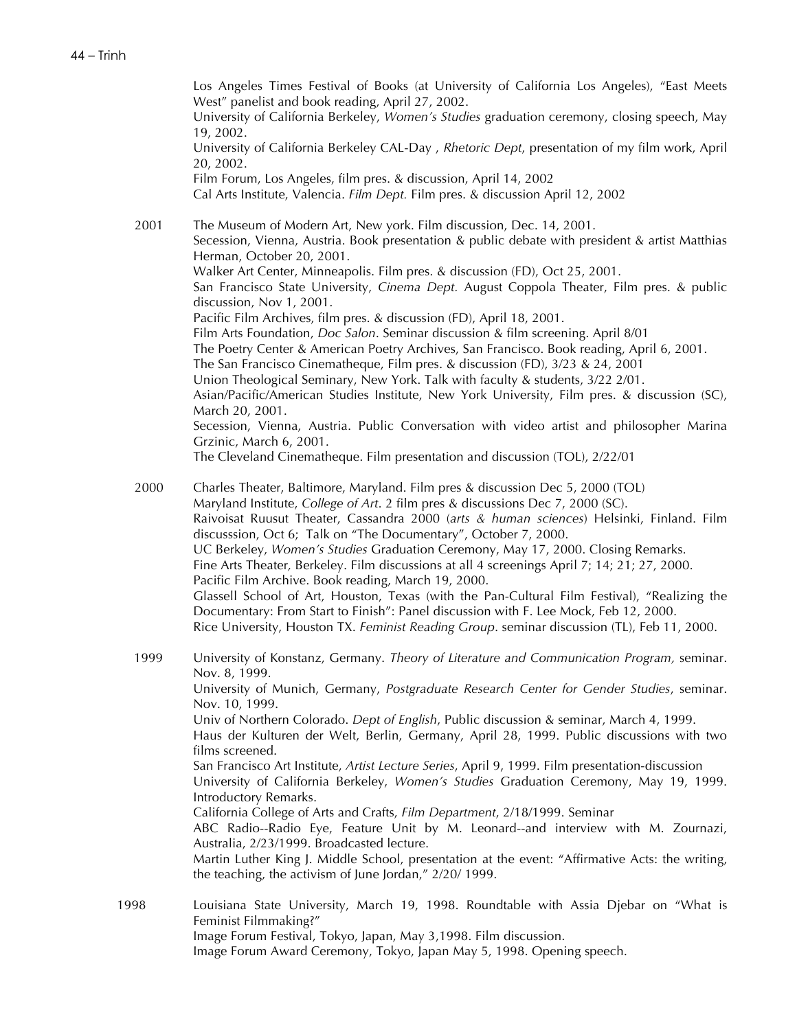Los Angeles Times Festival of Books (at University of California Los Angeles), "East Meets West" panelist and book reading, April 27, 2002. University of California Berkeley, *Women's Studies* graduation ceremony, closing speech, May 19, 2002. University of California Berkeley CAL-Day , *Rhetoric Dept*, presentation of my film work, April 20, 2002. Film Forum, Los Angeles, film pres. & discussion, April 14, 2002 Cal Arts Institute, Valencia. *Film Dept.* Film pres. & discussion April 12, 2002 2001 The Museum of Modern Art, New york. Film discussion, Dec. 14, 2001. Secession, Vienna, Austria. Book presentation & public debate with president & artist Matthias Herman, October 20, 2001. Walker Art Center, Minneapolis. Film pres. & discussion (FD), Oct 25, 2001. San Francisco State University, *Cinema Dept.* August Coppola Theater, Film pres. & public discussion, Nov 1, 2001. Pacific Film Archives, film pres. & discussion (FD), April 18, 2001. Film Arts Foundation, *Doc Salon*. Seminar discussion & film screening. April 8/01 The Poetry Center & American Poetry Archives, San Francisco. Book reading, April 6, 2001. The San Francisco Cinematheque, Film pres. & discussion (FD), 3/23 & 24, 2001 Union Theological Seminary, New York. Talk with faculty & students, 3/22 2/01. Asian/Pacific/American Studies Institute, New York University, Film pres. & discussion (SC), March 20, 2001. Secession, Vienna, Austria. Public Conversation with video artist and philosopher Marina Grzinic, March 6, 2001. The Cleveland Cinematheque. Film presentation and discussion (TOL), 2/22/01 2000 Charles Theater, Baltimore, Maryland. Film pres & discussion Dec 5, 2000 (TOL) Maryland Institute, *College of Art*. 2 film pres & discussions Dec 7, 2000 (SC). Raivoisat Ruusut Theater, Cassandra 2000 (*arts & human sciences*) Helsinki, Finland. Film discusssion, Oct 6; Talk on "The Documentary", October 7, 2000. UC Berkeley, *Women's Studies* Graduation Ceremony, May 17, 2000. Closing Remarks. Fine Arts Theater*,* Berkeley. Film discussions at all 4 screenings April 7; 14; 21; 27, 2000. Pacific Film Archive. Book reading, March 19, 2000. Glassell School of Art, Houston, Texas (with the Pan-Cultural Film Festival), "Realizing the Documentary: From Start to Finish": Panel discussion with F. Lee Mock, Feb 12, 2000. Rice University, Houston TX. *Feminist Reading Group*. seminar discussion (TL), Feb 11, 2000. 1999 University of Konstanz, Germany. *Theory of Literature and Communication Program,* seminar. Nov. 8, 1999. University of Munich, Germany, *Postgraduate Research Center for Gender Studies*, seminar. Nov. 10, 1999. Univ of Northern Colorado. *Dept of English*, Public discussion & seminar, March 4, 1999. Haus der Kulturen der Welt, Berlin, Germany, April 28, 1999. Public discussions with two films screened. San Francisco Art Institute, *Artist Lecture Series*, April 9, 1999. Film presentation-discussion University of California Berkeley, *Women's Studies* Graduation Ceremony, May 19, 1999. Introductory Remarks. California College of Arts and Crafts, *Film Department*, 2/18/1999. Seminar ABC Radio--Radio Eye, Feature Unit by M. Leonard--and interview with M. Zournazi, Australia, 2/23/1999. Broadcasted lecture. Martin Luther King J. Middle School, presentation at the event: "Affirmative Acts: the writing, the teaching, the activism of June Jordan," 2/20/ 1999. 1998 Louisiana State University, March 19, 1998. Roundtable with Assia Djebar on "What is Feminist Filmmaking?" Image Forum Festival, Tokyo, Japan, May 3,1998. Film discussion.

Image Forum Award Ceremony, Tokyo, Japan May 5, 1998. Opening speech.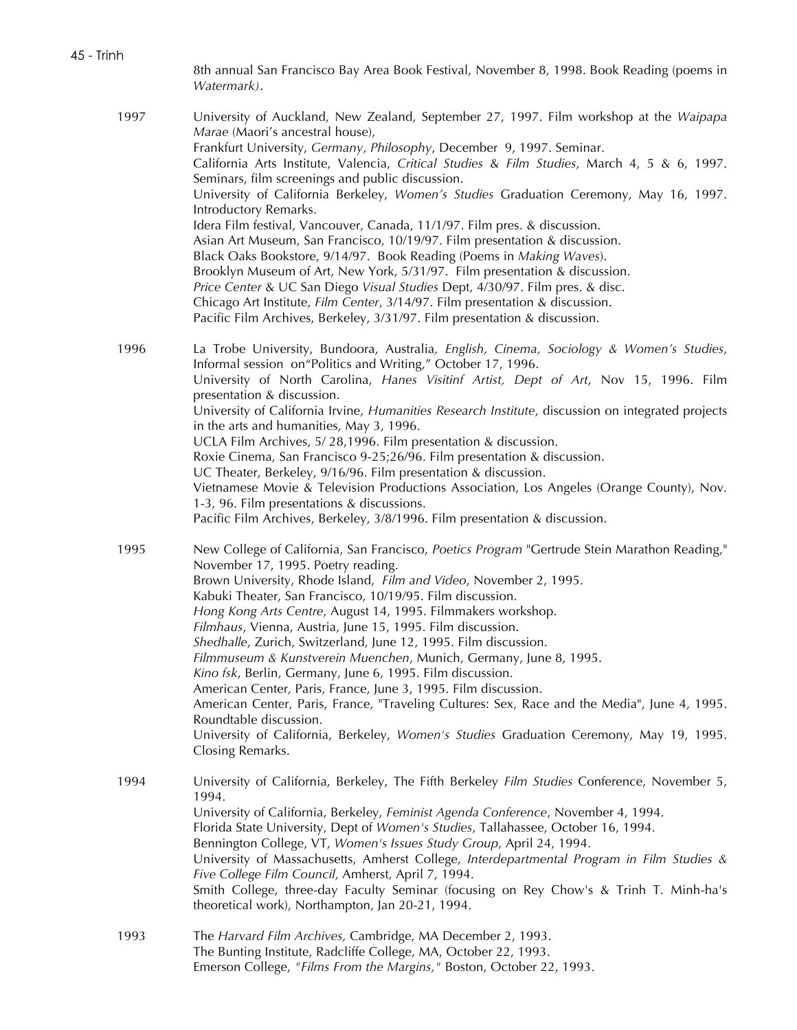8th annual San Francisco Bay Area Book Festival, November 8, 1998. Book Reading (poems in *Watermark)*.

1997 University of Auckland, New Zealand, September 27, 1997. Film workshop at the *Waipapa Marae* (Maori's ancestral house), Frankfurt University, *Germany*, *Philosophy*, December 9, 1997. Seminar. California Arts Institute, Valencia, *Critical Studies* & *Film Studies*, March 4, 5 & 6, 1997. Seminars, film screenings and public discussion. University of California Berkeley, *Women's Studies* Graduation Ceremony, May 16, 1997. Introductory Remarks. Idera Film festival, Vancouver, Canada, 11/1/97. Film pres. & discussion. Asian Art Museum, San Francisco, 10/19/97. Film presentation & discussion. Black Oaks Bookstore, 9/14/97. Book Reading (Poems in *Making Waves*). Brooklyn Museum of Art, New York, 5/31/97. Film presentation & discussion. *Price Center* & UC San Diego *Visual Studies* Dept, 4/30/97. Film pres. & disc. Chicago Art Institute, *Film Center*, 3/14/97. Film presentation & discussion. Pacific Film Archives, Berkeley, 3/31/97. Film presentation & discussion. 1996 La Trobe University, Bundoora, Australia*, English, Cinema, Sociology & Women's Studies*, Informal session on"Politics and Writing," October 17, 1996. University of North Carolina, *Hanes Visitinf Artist, Dept of Art*, Nov 15, 1996. Film presentation & discussion. University of California Irvine, *Humanities Research Institute*, discussion on integrated projects in the arts and humanities, May 3, 1996. UCLA Film Archives, 5/ 28,1996. Film presentation & discussion. Roxie Cinema, San Francisco 9-25;26/96. Film presentation & discussion. UC Theater, Berkeley, 9/16/96. Film presentation & discussion. Vietnamese Movie & Television Productions Association, Los Angeles (Orange County), Nov. 1-3, 96. Film presentations & discussions. Pacific Film Archives, Berkeley, 3/8/1996. Film presentation & discussion. 1995 New College of California, San Francisco, *Poetics Program* "Gertrude Stein Marathon Reading," November 17, 1995. Poetry reading. Brown University, Rhode Island, *Film and Video*, November 2, 1995. Kabuki Theater, San Francisco, 10/19/95. Film discussion. *Hong Kong Arts Centre*, August 14, 1995. Filmmakers workshop. *Filmhaus*, Vienna, Austria, June 15, 1995. Film discussion. *Shedhalle*, Zurich, Switzerland, June 12, 1995. Film discussion. *Filmmuseum & Kunstverein Muenchen*, Munich, Germany, June 8, 1995. *Kino fsk*, Berlin, Germany, June 6, 1995. Film discussion. American Center*,* Paris, France, June 3, 1995. Film discussion. American Center, Paris, France, "Traveling Cultures: Sex, Race and the Media", June 4, 1995. Roundtable discussion. University of California, Berkeley, *Women's Studies* Graduation Ceremony, May 19, 1995. Closing Remarks. 1994 University of California, Berkeley, The Fifth Berkeley *Film Studies* Conference, November 5, 1994. University of California, Berkeley, *Feminist Agenda Conference*, November 4, 1994. Florida State University, Dept of *Women's Studies*, Tallahassee, October 16, 1994. Bennington College, VT, *Women's Issues Study Group*, April 24, 1994. University of Massachusetts, Amherst College, *Interdepartmental Program in Film Studies & Five College Film Council*, Amherst, April 7, 1994. Smith College, three-day Faculty Seminar (focusing on Rey Chow's & Trinh T. Minh-ha's theoretical work), Northampton, Jan 20-21, 1994. 1993 The *Harvard Film Archives,* Cambridge, MA December 2, 1993. The Bunting Institute, Radcliffe College, MA, October 22, 1993.

Emerson College, *"Films From the Margins,"* Boston, October 22, 1993.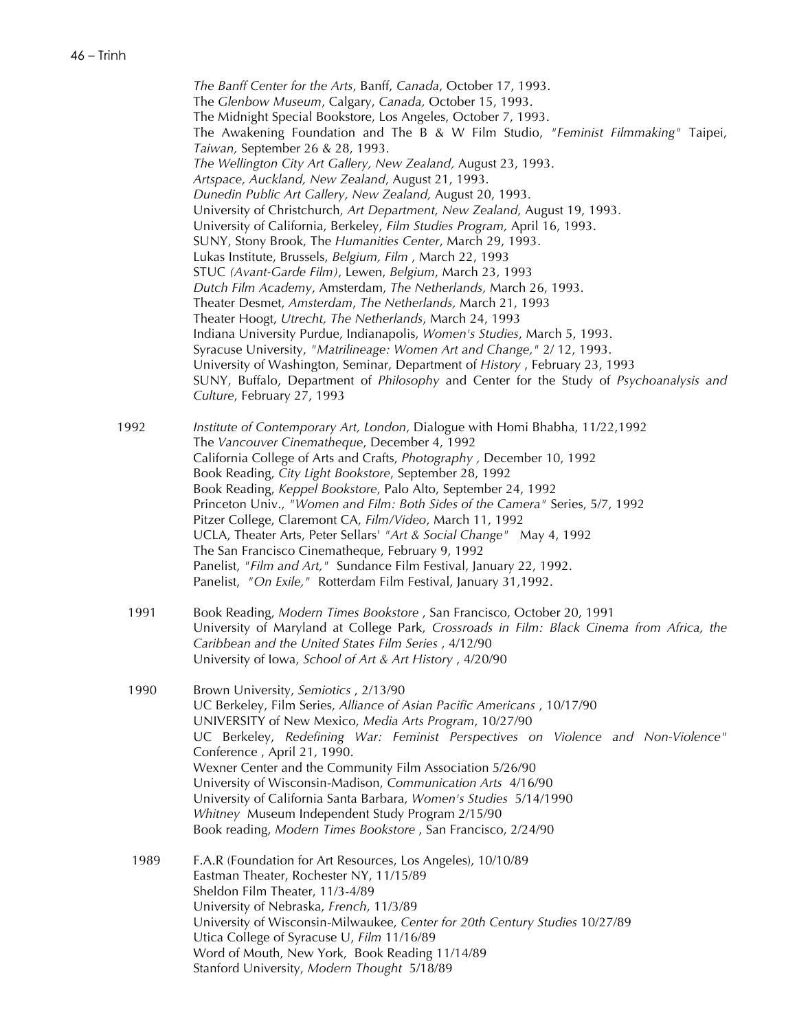*The Banff Center for the Arts*, Banff, *Canada*, October 17, 1993. The *Glenbow Museum*, Calgary, *Canada,* October 15, 1993. The Midnight Special Bookstore, Los Angeles, October 7, 1993. The Awakening Foundation and The B & W Film Studio, *"Feminist Filmmaking"* Taipei, *Taiwan,* September 26 & 28, 1993. *The Wellington City Art Gallery, New Zealand,* August 23, 1993. *Artspace, Auckland, New Zealand*, August 21, 1993. *Dunedin Public Art Gallery, New Zealand,* August 20, 1993. University of Christchurch, *Art Department, New Zealand,* August 19, 1993. University of California, Berkeley, *Film Studies Program,* April 16, 1993. SUNY, Stony Brook, The *Humanities Center*, March 29, 1993. Lukas Institute, Brussels, *Belgium, Film* , March 22, 1993 STUC *(Avant-Garde Film)*, Lewen, *Belgium*, March 23, 1993 *Dutch Film Academy*, Amsterdam, *The Netherlands,* March 26, 1993. Theater Desmet, *Amsterdam*, *The Netherlands,* March 21, 1993 Theater Hoogt, *Utrecht, The Netherlands*, March 24, 1993 Indiana University Purdue, Indianapolis, *Women's Studies*, March 5, 1993. Syracuse University, *"Matrilineage: Women Art and Change,"* 2/ 12, 1993. University of Washington, Seminar, Department of *History* , February 23, 1993 SUNY, Buffalo, Department of *Philosophy* and Center for the Study of *Psychoanalysis and Culture*, February 27, 1993 1992 *Institute of Contemporary Art, London*, Dialogue with Homi Bhabha, 11/22,1992 The *Vancouver Cinematheque*, December 4, 1992 California College of Arts and Crafts, *Photography ,* December 10, 1992 Book Reading, *City Light Bookstore*, September 28, 1992 Book Reading, *Keppel Bookstore*, Palo Alto, September 24, 1992 Princeton Univ., *"Women and Film: Both Sides of the Camera"* Series, 5/7, 1992 Pitzer College, Claremont CA, *Film/Video*, March 11, 1992 UCLA, Theater Arts, Peter Sellars' *"Art & Social Change"* May 4, 1992 The San Francisco Cinematheque, February 9, 1992 Panelist, *"Film and Art,"* Sundance Film Festival, January 22, 1992. Panelist, *"On Exile,"* Rotterdam Film Festival, January 31,1992.

- 1991 Book Reading, *Modern Times Bookstore* , San Francisco, October 20, 1991 University of Maryland at College Park, *Crossroads in Film: Black Cinema from Africa, the Caribbean and the United States Film Series* , 4/12/90 University of Iowa, *School of Art & Art History* , 4/20/90
- 1990 Brown University, *Semiotics* , 2/13/90 UC Berkeley, Film Series, *Alliance of Asian Pacific Americans* , 10/17/90 UNIVERSITY of New Mexico, *Media Arts Program*, 10/27/90 UC Berkeley, *Redefining War: Feminist Perspectives on Violence and Non-Violence"* Conference , April 21, 1990. Wexner Center and the Community Film Association 5/26/90 University of Wisconsin-Madison, *Communication Arts* 4/16/90 University of California Santa Barbara, *Women's Studies* 5/14/1990 *Whitney* Museum Independent Study Program 2/15/90 Book reading, *Modern Times Bookstore* , San Francisco, 2/24/90 1989 F.A.R (Foundation for Art Resources, Los Angeles), 10/10/89
	- Eastman Theater, Rochester NY, 11/15/89 Sheldon Film Theater, 11/3-4/89 University of Nebraska, *French*, 11/3/89 University of Wisconsin-Milwaukee, *Center for 20th Century Studies* 10/27/89 Utica College of Syracuse U, *Film* 11/16/89 Word of Mouth, New York, Book Reading 11/14/89 Stanford University, *Modern Thought* 5/18/89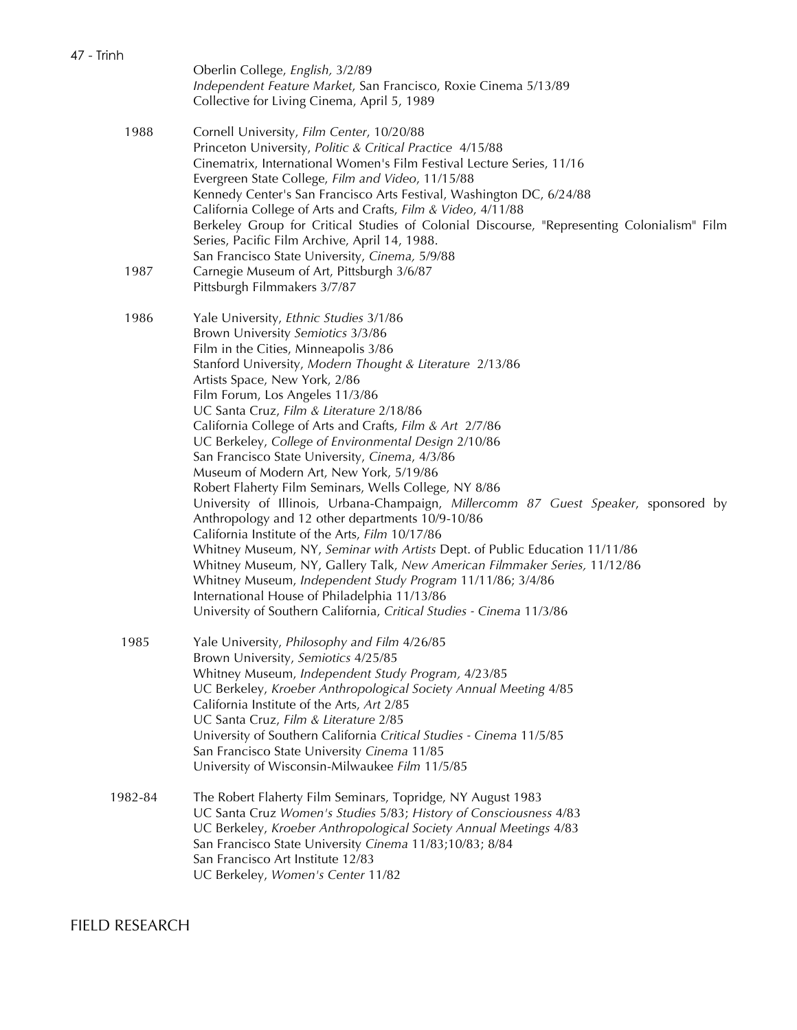|         | Oberlin College, English, 3/2/89<br>Independent Feature Market, San Francisco, Roxie Cinema 5/13/89<br>Collective for Living Cinema, April 5, 1989                                                                                                                                                                                                                                                                                                                                                                                                                                                                                                                                                                                                                                                                                                                                                                                                                                                                                                                                                                        |
|---------|---------------------------------------------------------------------------------------------------------------------------------------------------------------------------------------------------------------------------------------------------------------------------------------------------------------------------------------------------------------------------------------------------------------------------------------------------------------------------------------------------------------------------------------------------------------------------------------------------------------------------------------------------------------------------------------------------------------------------------------------------------------------------------------------------------------------------------------------------------------------------------------------------------------------------------------------------------------------------------------------------------------------------------------------------------------------------------------------------------------------------|
| 1988    | Cornell University, Film Center, 10/20/88<br>Princeton University, Politic & Critical Practice 4/15/88<br>Cinematrix, International Women's Film Festival Lecture Series, 11/16<br>Evergreen State College, Film and Video, 11/15/88<br>Kennedy Center's San Francisco Arts Festival, Washington DC, 6/24/88<br>California College of Arts and Crafts, Film & Video, 4/11/88<br>Berkeley Group for Critical Studies of Colonial Discourse, "Representing Colonialism" Film<br>Series, Pacific Film Archive, April 14, 1988.<br>San Francisco State University, Cinema, 5/9/88                                                                                                                                                                                                                                                                                                                                                                                                                                                                                                                                             |
| 1987    | Carnegie Museum of Art, Pittsburgh 3/6/87<br>Pittsburgh Filmmakers 3/7/87                                                                                                                                                                                                                                                                                                                                                                                                                                                                                                                                                                                                                                                                                                                                                                                                                                                                                                                                                                                                                                                 |
| 1986    | Yale University, Ethnic Studies 3/1/86<br>Brown University Semiotics 3/3/86<br>Film in the Cities, Minneapolis 3/86<br>Stanford University, Modern Thought & Literature 2/13/86<br>Artists Space, New York, 2/86<br>Film Forum, Los Angeles 11/3/86<br>UC Santa Cruz, Film & Literature 2/18/86<br>California College of Arts and Crafts, Film & Art 2/7/86<br>UC Berkeley, College of Environmental Design 2/10/86<br>San Francisco State University, Cinema, 4/3/86<br>Museum of Modern Art, New York, 5/19/86<br>Robert Flaherty Film Seminars, Wells College, NY 8/86<br>University of Illinois, Urbana-Champaign, Millercomm 87 Guest Speaker, sponsored by<br>Anthropology and 12 other departments 10/9-10/86<br>California Institute of the Arts, Film 10/17/86<br>Whitney Museum, NY, Seminar with Artists Dept. of Public Education 11/11/86<br>Whitney Museum, NY, Gallery Talk, New American Filmmaker Series, 11/12/86<br>Whitney Museum, Independent Study Program 11/11/86; 3/4/86<br>International House of Philadelphia 11/13/86<br>University of Southern California, Critical Studies - Cinema 11/3/86 |
| 1985    | Yale University, Philosophy and Film 4/26/85<br>Brown University, Semiotics 4/25/85<br>Whitney Museum, Independent Study Program, 4/23/85<br>UC Berkeley, Kroeber Anthropological Society Annual Meeting 4/85<br>California Institute of the Arts, Art 2/85<br>UC Santa Cruz, Film & Literature 2/85<br>University of Southern California Critical Studies - Cinema 11/5/85<br>San Francisco State University Cinema 11/85<br>University of Wisconsin-Milwaukee Film 11/5/85                                                                                                                                                                                                                                                                                                                                                                                                                                                                                                                                                                                                                                              |
| 1982-84 | The Robert Flaherty Film Seminars, Topridge, NY August 1983<br>UC Santa Cruz Women's Studies 5/83; History of Consciousness 4/83<br>UC Berkeley, Kroeber Anthropological Society Annual Meetings 4/83<br>San Francisco State University Cinema 11/83;10/83; 8/84<br>San Francisco Art Institute 12/83<br>UC Berkeley, Women's Center 11/82                                                                                                                                                                                                                                                                                                                                                                                                                                                                                                                                                                                                                                                                                                                                                                                |

FIELD RESEARCH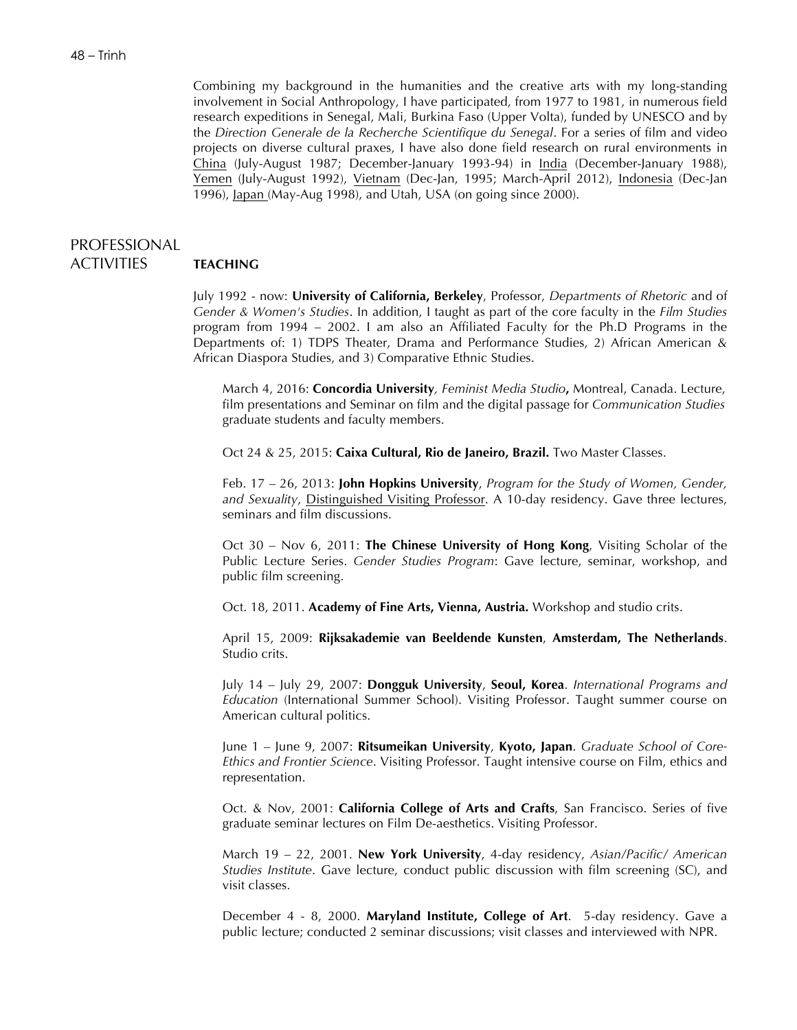Combining my background in the humanities and the creative arts with my long-standing involvement in Social Anthropology, I have participated, from 1977 to 1981, in numerous field research expeditions in Senegal, Mali, Burkina Faso (Upper Volta), funded by UNESCO and by the *Direction Generale de la Recherche Scientifique du Senegal*. For a series of film and video projects on diverse cultural praxes, I have also done field research on rural environments in China (July-August 1987; December-January 1993-94) in India (December-January 1988), Yemen (July-August 1992), Vietnam (Dec-Jan, 1995; March-April 2012), Indonesia (Dec-Jan 1996), Japan (May-Aug 1998), and Utah, USA (on going since 2000).

# PROFESSIONAL ACTIVITIES **TEACHING**

July 1992 - now: **University of California, Berkeley**, Professor, *Departments of Rhetoric* and of *Gender & Women's Studies*. In addition, I taught as part of the core faculty in the *Film Studies*  program from 1994 – 2002. I am also an Affiliated Faculty for the Ph.D Programs in the Departments of: 1) TDPS Theater, Drama and Performance Studies, 2) African American &

African Diaspora Studies, and 3) Comparative Ethnic Studies.

March 4, 2016: **Concordia University***, Feminist Media Studio***,** Montreal, Canada. Lecture, film presentations and Seminar on film and the digital passage for *Communication Studies* graduate students and faculty members.

Oct 24 & 25, 2015: **Caixa Cultural, Rio de Janeiro, Brazil.** Two Master Classes.

Feb. 17 – 26, 2013: **John Hopkins University**, *Program for the Study of Women, Gender, and Sexuality*, Distinguished Visiting Professor. A 10-day residency. Gave three lectures, seminars and film discussions.

Oct 30 – Nov 6, 2011: **The Chinese University of Hong Kong**, Visiting Scholar of the Public Lecture Series. *Gender Studies Program*: Gave lecture, seminar, workshop, and public film screening.

Oct. 18, 2011. **Academy of Fine Arts, Vienna, Austria.** Workshop and studio crits.

April 15, 2009: **Rijksakademie van Beeldende Kunsten**, **Amsterdam, The Netherlands**. Studio crits.

July 14 – July 29, 2007: **Dongguk University**, **Seoul, Korea**. *International Programs and Education* (International Summer School). Visiting Professor. Taught summer course on American cultural politics.

June 1 – June 9, 2007: **Ritsumeikan University**, **Kyoto, Japan**. *Graduate School of Core-Ethics and Frontier Science*. Visiting Professor. Taught intensive course on Film, ethics and representation.

Oct. & Nov, 2001: **California College of Arts and Crafts**, San Francisco. Series of five graduate seminar lectures on Film De-aesthetics. Visiting Professor.

March 19 – 22, 2001. **New York University**, 4-day residency, *Asian/Pacific/ American Studies Institute*. Gave lecture, conduct public discussion with film screening (SC), and visit classes.

December 4 - 8, 2000. **Maryland Institute, College of Art**. 5-day residency. Gave a public lecture; conducted 2 seminar discussions; visit classes and interviewed with NPR.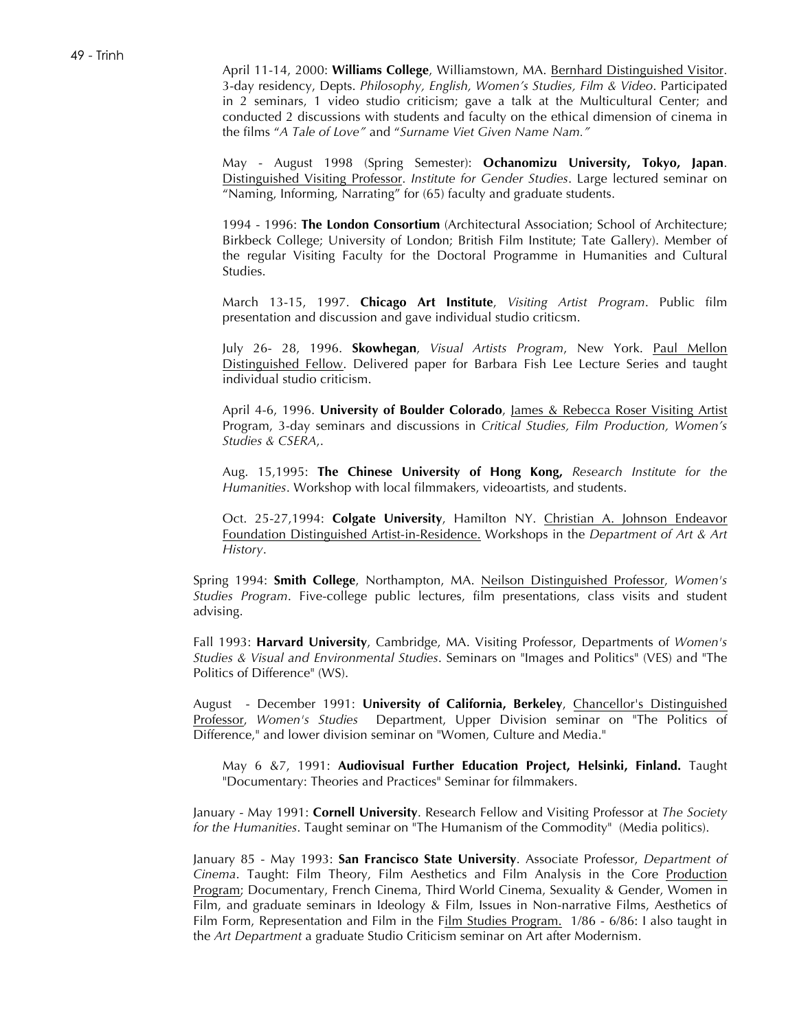April 11-14, 2000: **Williams College**, Williamstown, MA. Bernhard Distinguished Visitor. 3-day residency, Depts. *Philosophy, English, Women's Studies, Film & Video*. Participated in 2 seminars, 1 video studio criticism; gave a talk at the Multicultural Center; and conducted 2 discussions with students and faculty on the ethical dimension of cinema in the films "*A Tale of Love"* and "*Surname Viet Given Name Nam."*

May - August 1998 (Spring Semester): **Ochanomizu University, Tokyo, Japan**. Distinguished Visiting Professor. *Institute for Gender Studies*. Large lectured seminar on "Naming, Informing, Narrating" for (65) faculty and graduate students.

1994 - 1996: **The London Consortium** (Architectural Association; School of Architecture; Birkbeck College; University of London; British Film Institute; Tate Gallery). Member of the regular Visiting Faculty for the Doctoral Programme in Humanities and Cultural Studies.

March 13-15, 1997. **Chicago Art Institute**, *Visiting Artist Program*. Public film presentation and discussion and gave individual studio criticsm.

July 26- 28, 1996. **Skowhegan**, *Visual Artists Program*, New York. Paul Mellon Distinguished Fellow. Delivered paper for Barbara Fish Lee Lecture Series and taught individual studio criticism.

April 4-6, 1996. **University of Boulder Colorado**, James & Rebecca Roser Visiting Artist Program, 3-day seminars and discussions in *Critical Studies, Film Production, Women's Studies & CSERA*,.

Aug. 15,1995: **The Chinese University of Hong Kong,** *Research Institute for the Humanities*. Workshop with local filmmakers, videoartists, and students.

Oct. 25-27,1994: **Colgate University**, Hamilton NY. Christian A. Johnson Endeavor Foundation Distinguished Artist-in-Residence. Workshops in the *Department of Art & Art History*.

Spring 1994: **Smith College**, Northampton, MA. Neilson Distinguished Professor, *Women's Studies Program*. Five-college public lectures, film presentations, class visits and student advising.

Fall 1993: **Harvard University**, Cambridge, MA. Visiting Professor, Departments of *Women's Studies & Visual and Environmental Studies*. Seminars on "Images and Politics" (VES) and "The Politics of Difference" (WS).

August - December 1991: **University of California, Berkeley**, Chancellor's Distinguished Professor, *Women's Studies* Department, Upper Division seminar on "The Politics of Difference," and lower division seminar on "Women, Culture and Media."

May 6 &7, 1991: **Audiovisual Further Education Project, Helsinki, Finland.** Taught "Documentary: Theories and Practices" Seminar for filmmakers.

January - May 1991: **Cornell University**. Research Fellow and Visiting Professor at *The Society for the Humanities*. Taught seminar on "The Humanism of the Commodity" (Media politics).

January 85 - May 1993: **San Francisco State University**. Associate Professor, *Department of Cinema*. Taught: Film Theory, Film Aesthetics and Film Analysis in the Core Production Program; Documentary, French Cinema, Third World Cinema, Sexuality & Gender, Women in Film, and graduate seminars in Ideology & Film, Issues in Non-narrative Films, Aesthetics of Film Form, Representation and Film in the Film Studies Program. 1/86 - 6/86: I also taught in the *Art Department* a graduate Studio Criticism seminar on Art after Modernism.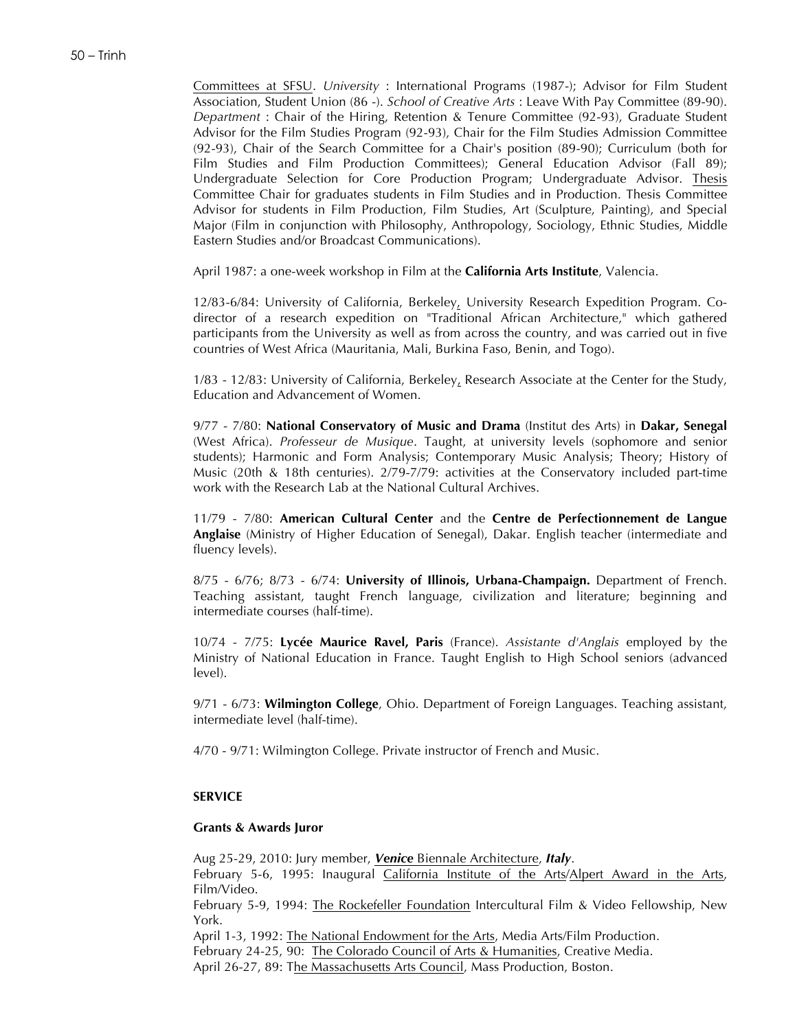Committees at SFSU. *University* : International Programs (1987-); Advisor for Film Student Association, Student Union (86 -). *School of Creative Arts* : Leave With Pay Committee (89-90). *Department* : Chair of the Hiring, Retention & Tenure Committee (92-93), Graduate Student Advisor for the Film Studies Program (92-93), Chair for the Film Studies Admission Committee (92-93), Chair of the Search Committee for a Chair's position (89-90); Curriculum (both for Film Studies and Film Production Committees); General Education Advisor (Fall 89); Undergraduate Selection for Core Production Program; Undergraduate Advisor. Thesis Committee Chair for graduates students in Film Studies and in Production. Thesis Committee Advisor for students in Film Production, Film Studies, Art (Sculpture, Painting), and Special Major (Film in conjunction with Philosophy, Anthropology, Sociology, Ethnic Studies, Middle Eastern Studies and/or Broadcast Communications).

April 1987: a one-week workshop in Film at the **California Arts Institute**, Valencia.

12/83-6/84: University of California, Berkeley, University Research Expedition Program. Codirector of a research expedition on "Traditional African Architecture," which gathered participants from the University as well as from across the country, and was carried out in five countries of West Africa (Mauritania, Mali, Burkina Faso, Benin, and Togo).

1/83 - 12/83: University of California, Berkeley, Research Associate at the Center for the Study, Education and Advancement of Women.

9/77 - 7/80: **National Conservatory of Music and Drama** (Institut des Arts) in **Dakar, Senegal** (West Africa). *Professeur de Musique*. Taught, at university levels (sophomore and senior students); Harmonic and Form Analysis; Contemporary Music Analysis; Theory; History of Music (20th & 18th centuries). 2/79-7/79: activities at the Conservatory included part-time work with the Research Lab at the National Cultural Archives.

11/79 - 7/80: **American Cultural Center** and the **Centre de Perfectionnement de Langue Anglaise** (Ministry of Higher Education of Senegal), Dakar. English teacher (intermediate and fluency levels).

8/75 - 6/76; 8/73 - 6/74: **University of Illinois, Urbana-Champaign.** Department of French. Teaching assistant, taught French language, civilization and literature; beginning and intermediate courses (half-time).

10/74 - 7/75: **Lycée Maurice Ravel, Paris** (France). *Assistante d'Anglais* employed by the Ministry of National Education in France. Taught English to High School seniors (advanced level).

9/71 - 6/73: **Wilmington College**, Ohio. Department of Foreign Languages. Teaching assistant, intermediate level (half-time).

4/70 - 9/71: Wilmington College. Private instructor of French and Music.

#### **SERVICE**

#### **Grants & Awards Juror**

Aug 25-29, 2010: Jury member, *Venice* Biennale Architecture, *Italy*.

February 5-6, 1995: Inaugural California Institute of the Arts/Alpert Award in the Arts, Film/Video.

February 5-9, 1994: The Rockefeller Foundation Intercultural Film & Video Fellowship, New York.

April 1-3, 1992: The National Endowment for the Arts, Media Arts/Film Production.

February 24-25, 90: The Colorado Council of Arts & Humanities, Creative Media.

April 26-27, 89: The Massachusetts Arts Council, Mass Production, Boston.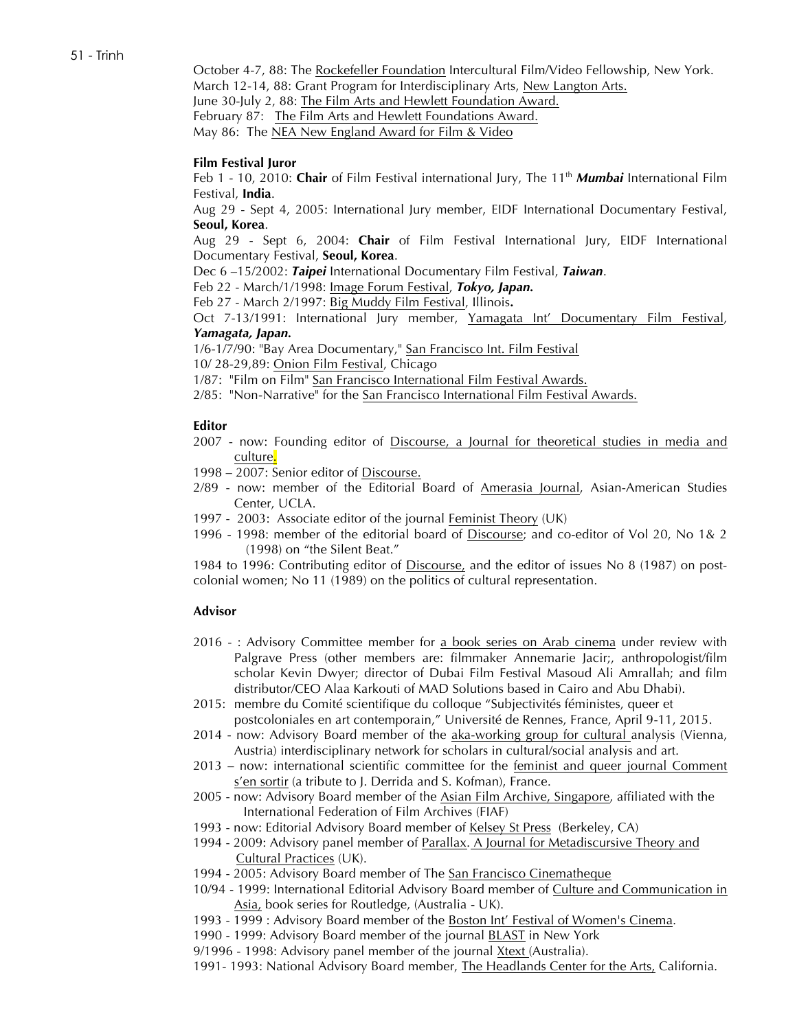October 4-7, 88: The Rockefeller Foundation Intercultural Film/Video Fellowship, New York. March 12-14, 88: Grant Program for Interdisciplinary Arts, New Langton Arts. June 30-July 2, 88: The Film Arts and Hewlett Foundation Award. February 87: The Film Arts and Hewlett Foundations Award. May 86: The NEA New England Award for Film & Video

## **Film Festival Juror**

Feb 1 - 10, 2010: **Chair** of Film Festival international Jury, The 11<sup>th</sup> *Mumbai* International Film Festival, **India**.

Aug 29 - Sept 4, 2005: International Jury member, EIDF International Documentary Festival, **Seoul, Korea**.

Aug 29 - Sept 6, 2004: **Chair** of Film Festival International Jury, EIDF International Documentary Festival, **Seoul, Korea**.

Dec 6 –15/2002: *Taipei* International Documentary Film Festival, *Taiwan*.

Feb 22 - March/1/1998: Image Forum Festival, *Tokyo, Japan.*

Feb 27 - March 2/1997: Big Muddy Film Festival, Illinois**.**

Oct 7-13/1991: International Jury member, Yamagata Int' Documentary Film Festival, *Yamagata, Japan.*

1/6-1/7/90: "Bay Area Documentary," San Francisco Int. Film Festival

10/ 28-29,89: Onion Film Festival, Chicago

1/87: "Film on Film" San Francisco International Film Festival Awards.

2/85: "Non-Narrative" for the San Francisco International Film Festival Awards.

### **Editor**

- 2007 now: Founding editor of Discourse, a Journal for theoretical studies in media and culture.
- 1998 2007: Senior editor of Discourse.
- 2/89 now: member of the Editorial Board of Amerasia Journal, Asian-American Studies Center, UCLA.
- 1997 2003: Associate editor of the journal Feminist Theory (UK)
- 1996 1998: member of the editorial board of Discourse; and co-editor of Vol 20, No 1& 2 (1998) on "the Silent Beat."

1984 to 1996: Contributing editor of Discourse, and the editor of issues No 8 (1987) on postcolonial women; No 11 (1989) on the politics of cultural representation.

### **Advisor**

- 2016 : Advisory Committee member for a book series on Arab cinema under review with Palgrave Press (other members are: filmmaker Annemarie Jacir;, anthropologist/film scholar Kevin Dwyer; director of Dubai Film Festival Masoud Ali Amrallah; and film distributor/CEO Alaa Karkouti of MAD Solutions based in Cairo and Abu Dhabi).
- 2015: membre du Comité scientifique du colloque "Subjectivités féministes, queer et postcoloniales en art contemporain," Université de Rennes, France, April 9-11, 2015.
- 2014 now: Advisory Board member of the aka-working group for cultural analysis (Vienna, Austria) interdisciplinary network for scholars in cultural/social analysis and art.
- 2013 now: international scientific committee for the feminist and queer journal Comment s'en sortir (a tribute to J. Derrida and S. Kofman), France.
- 2005 now: Advisory Board member of the Asian Film Archive, Singapore, affiliated with the International Federation of Film Archives (FIAF)
- 1993 now: Editorial Advisory Board member of Kelsey St Press (Berkeley, CA)
- 1994 2009: Advisory panel member of Parallax. A Journal for Metadiscursive Theory and Cultural Practices (UK).
- 1994 2005: Advisory Board member of The San Francisco Cinematheque
- 10/94 1999: International Editorial Advisory Board member of Culture and Communication in Asia, book series for Routledge, (Australia - UK).
- 1993 1999 : Advisory Board member of the Boston Int' Festival of Women's Cinema.
- 1990 1999: Advisory Board member of the journal BLAST in New York
- 9/1996 1998: Advisory panel member of the journal Xtext (Australia).
- 1991- 1993: National Advisory Board member, The Headlands Center for the Arts, California.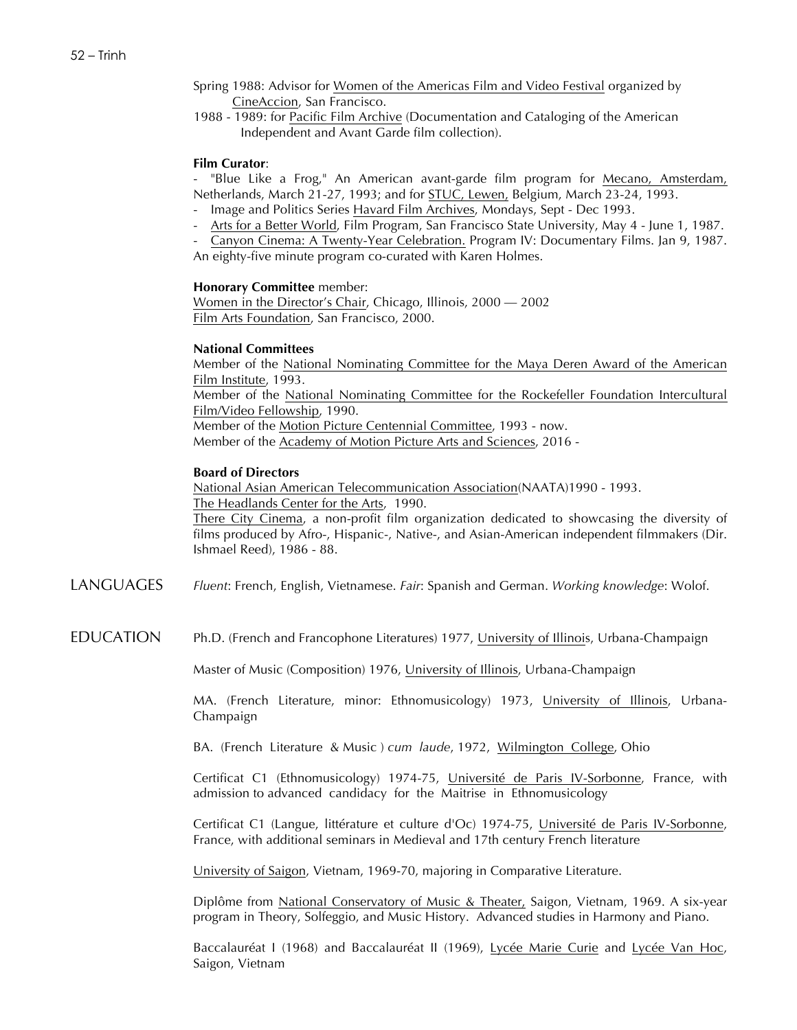- Spring 1988: Advisor for Women of the Americas Film and Video Festival organized by CineAccion, San Francisco.
- 1988 1989: for Pacific Film Archive (Documentation and Cataloging of the American Independent and Avant Garde film collection).

### **Film Curator**:

- "Blue Like a Frog," An American avant-garde film program for Mecano, Amsterdam, Netherlands, March 21-27, 1993; and for STUC, Lewen, Belgium, March 23-24, 1993.

- Image and Politics Series Havard Film Archives, Mondays, Sept Dec 1993.
- Arts for a Better World, Film Program, San Francisco State University, May 4 June 1, 1987.
- Canyon Cinema: A Twenty-Year Celebration. Program IV: Documentary Films. Jan 9, 1987. An eighty-five minute program co-curated with Karen Holmes.

#### **Honorary Committee** member:

Women in the Director's Chair, Chicago, Illinois, 2000 — 2002 Film Arts Foundation, San Francisco, 2000.

#### **National Committees**

Member of the National Nominating Committee for the Maya Deren Award of the American Film Institute, 1993. Member of the National Nominating Committee for the Rockefeller Foundation Intercultural Film/Video Fellowship, 1990.

Member of the Motion Picture Centennial Committee, 1993 - now.

Member of the Academy of Motion Picture Arts and Sciences, 2016 -

### **Board of Directors**

National Asian American Telecommunication Association(NAATA)1990 - 1993. The Headlands Center for the Arts, 1990.

There City Cinema, a non-profit film organization dedicated to showcasing the diversity of films produced by Afro-, Hispanic-, Native-, and Asian-American independent filmmakers (Dir. Ishmael Reed), 1986 - 88.

LANGUAGES *Fluent*: French, English, Vietnamese. *Fair*: Spanish and German. *Working knowledge*: Wolof.

EDUCATION Ph.D. (French and Francophone Literatures) 1977, University of Illinois, Urbana-Champaign

Master of Music (Composition) 1976, University of Illinois, Urbana-Champaign

MA. (French Literature, minor: Ethnomusicology) 1973, University of Illinois, Urbana-Champaign

BA. (French Literature & Music ) *cum laude*, 1972, Wilmington College, Ohio

Certificat C1 (Ethnomusicology) 1974-75, Université de Paris IV-Sorbonne, France, with admission to advanced candidacy for the Maitrise in Ethnomusicology

Certificat C1 (Langue, littérature et culture d'Oc) 1974-75, Université de Paris IV-Sorbonne, France, with additional seminars in Medieval and 17th century French literature

University of Saigon, Vietnam, 1969-70, majoring in Comparative Literature.

Diplôme from National Conservatory of Music & Theater, Saigon, Vietnam, 1969. A six-year program in Theory, Solfeggio, and Music History. Advanced studies in Harmony and Piano.

Baccalauréat I (1968) and Baccalauréat II (1969), Lycée Marie Curie and Lycée Van Hoc, Saigon, Vietnam